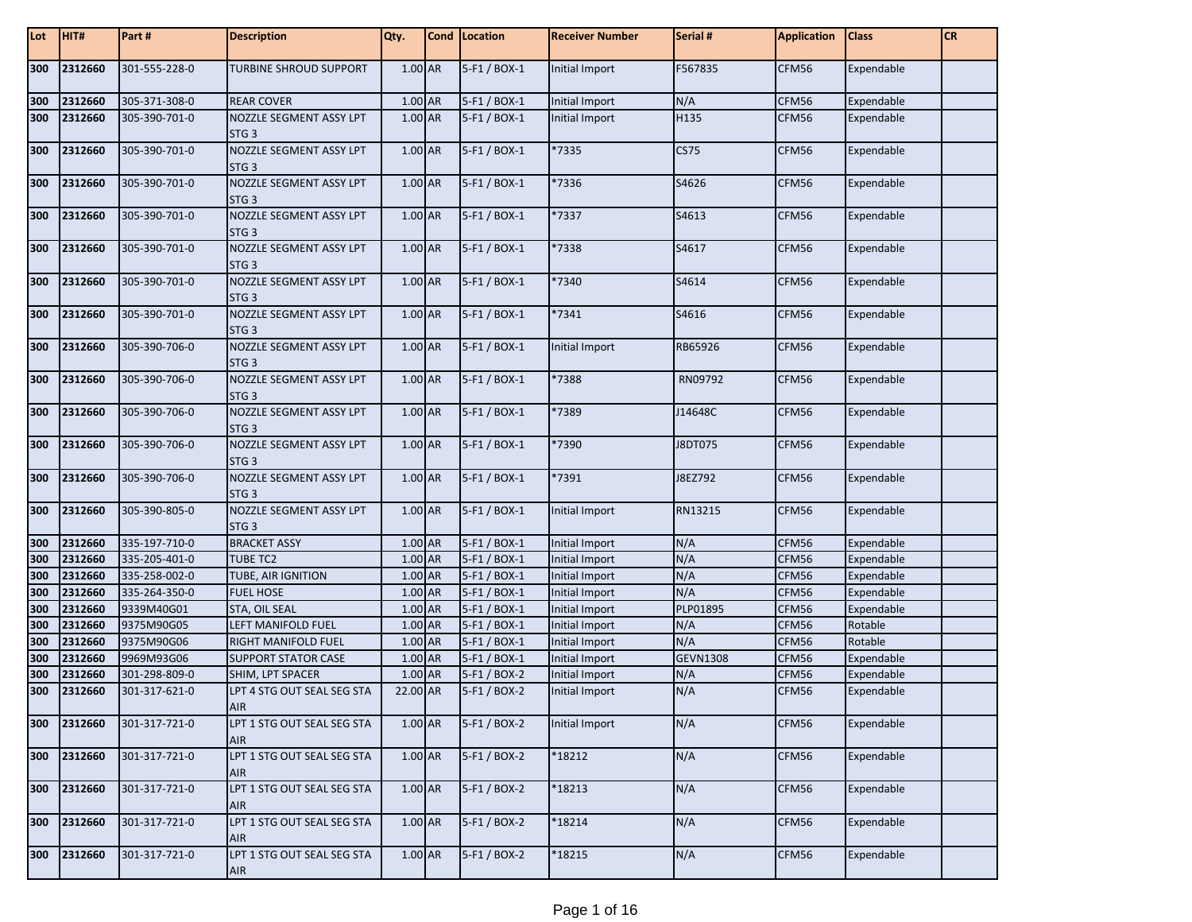| Lot | HIT#    | Part#         | <b>Description</b>                          | Qty.      | Cond   Location | <b>Receiver Number</b> | Serial #        | <b>Application</b> | <b>Class</b> | <b>CR</b> |
|-----|---------|---------------|---------------------------------------------|-----------|-----------------|------------------------|-----------------|--------------------|--------------|-----------|
| 300 | 2312660 | 301-555-228-0 | TURBINE SHROUD SUPPORT                      | 1.00 AR   | 5-F1 / BOX-1    | Initial Import         | F567835         | CFM56              | Expendable   |           |
| 300 | 2312660 | 305-371-308-0 | <b>REAR COVER</b>                           | 1.00 AR   | 5-F1 / BOX-1    | Initial Import         | N/A             | CFM56              | Expendable   |           |
| 300 | 2312660 | 305-390-701-0 | NOZZLE SEGMENT ASSY LPT<br>STG <sub>3</sub> | 1.00 AR   | 5-F1 / BOX-1    | Initial Import         | H135            | CFM56              | Expendable   |           |
| 300 | 2312660 | 305-390-701-0 | NOZZLE SEGMENT ASSY LPT<br>STG <sub>3</sub> | 1.00 AR   | 5-F1 / BOX-1    | *7335                  | <b>CS75</b>     | CFM56              | Expendable   |           |
| 300 | 2312660 | 305-390-701-0 | NOZZLE SEGMENT ASSY LPT<br>STG <sub>3</sub> | 1.00 AR   | 5-F1 / BOX-1    | *7336                  | S4626           | CFM56              | Expendable   |           |
| 300 | 2312660 | 305-390-701-0 | NOZZLE SEGMENT ASSY LPT<br>STG <sub>3</sub> | 1.00 AR   | 5-F1 / BOX-1    | *7337                  | S4613           | CFM56              | Expendable   |           |
| 300 | 2312660 | 305-390-701-0 | NOZZLE SEGMENT ASSY LPT<br>STG <sub>3</sub> | 1.00 AR   | 5-F1 / BOX-1    | *7338                  | S4617           | CFM56              | Expendable   |           |
| 300 | 2312660 | 305-390-701-0 | NOZZLE SEGMENT ASSY LPT<br>STG <sub>3</sub> | 1.00 AR   | 5-F1 / BOX-1    | *7340                  | S4614           | CFM56              | Expendable   |           |
| 300 | 2312660 | 305-390-701-0 | NOZZLE SEGMENT ASSY LPT<br>STG <sub>3</sub> | 1.00 AR   | 5-F1 / BOX-1    | *7341                  | S4616           | CFM56              | Expendable   |           |
| 300 | 2312660 | 305-390-706-0 | NOZZLE SEGMENT ASSY LPT<br>STG <sub>3</sub> | 1.00 AR   | 5-F1 / BOX-1    | Initial Import         | RB65926         | CFM56              | Expendable   |           |
| 300 | 2312660 | 305-390-706-0 | NOZZLE SEGMENT ASSY LPT<br>STG <sub>3</sub> | 1.00 AR   | 5-F1 / BOX-1    | *7388                  | RN09792         | CFM56              | Expendable   |           |
| 300 | 2312660 | 305-390-706-0 | NOZZLE SEGMENT ASSY LPT<br>STG <sub>3</sub> | 1.00 AR   | 5-F1 / BOX-1    | *7389                  | J14648C         | CFM56              | Expendable   |           |
| 300 | 2312660 | 305-390-706-0 | NOZZLE SEGMENT ASSY LPT<br>STG <sub>3</sub> | 1.00 AR   | 5-F1 / BOX-1    | *7390                  | J8DT075         | CFM56              | Expendable   |           |
| 300 | 2312660 | 305-390-706-0 | NOZZLE SEGMENT ASSY LPT<br>STG <sub>3</sub> | 1.00 AR   | 5-F1 / BOX-1    | *7391                  | J8EZ792         | CFM56              | Expendable   |           |
| 300 | 2312660 | 305-390-805-0 | NOZZLE SEGMENT ASSY LPT<br>STG <sub>3</sub> | 1.00 AR   | 5-F1 / BOX-1    | Initial Import         | RN13215         | CFM56              | Expendable   |           |
| 300 | 2312660 | 335-197-710-0 | <b>BRACKET ASSY</b>                         | 1.00 AR   | 5-F1 / BOX-1    | <b>Initial Import</b>  | N/A             | CFM56              | Expendable   |           |
| 300 | 2312660 | 335-205-401-0 | <b>TUBE TC2</b>                             | 1.00 AR   | 5-F1 / BOX-1    | <b>Initial Import</b>  | N/A             | CFM56              | Expendable   |           |
| 300 | 2312660 | 335-258-002-0 | TUBE, AIR IGNITION                          | 1.00 AR   | 5-F1 / BOX-1    | Initial Import         | N/A             | CFM56              | Expendable   |           |
| 300 | 2312660 | 335-264-350-0 | <b>FUEL HOSE</b>                            | 1.00 AR   | 5-F1 / BOX-1    | <b>Initial Import</b>  | N/A             | CFM56              | Expendable   |           |
| 300 | 2312660 | 9339M40G01    | STA, OIL SEAL                               | 1.00 AR   | 5-F1 / BOX-1    | Initial Import         | PLP01895        | CFM56              | Expendable   |           |
| 300 | 2312660 | 9375M90G05    | LEFT MANIFOLD FUEL                          | 1.00 AR   | 5-F1 / BOX-1    | Initial Import         | N/A             | CFM56              | Rotable      |           |
| 300 | 2312660 | 9375M90G06    | <b>RIGHT MANIFOLD FUEL</b>                  | 1.00 AR   | 5-F1 / BOX-1    | Initial Import         | N/A             | CFM56              | Rotable      |           |
| 300 | 2312660 | 9969M93G06    | <b>SUPPORT STATOR CASE</b>                  | 1.00 AR   | 5-F1 / BOX-1    | <b>Initial Import</b>  | <b>GEVN1308</b> | CFM56              | Expendable   |           |
| 300 | 2312660 | 301-298-809-0 | SHIM, LPT SPACER                            | 1.00 AR   | 5-F1 / BOX-2    | Initial Import         | N/A             | CFM56              | Expendable   |           |
| 300 | 2312660 | 301-317-621-0 | LPT 4 STG OUT SEAL SEG STA<br><b>AIR</b>    | 22.00 AR  | 5-F1 / BOX-2    | Initial Import         | N/A             | CFM56              | Expendable   |           |
| 300 | 2312660 | 301-317-721-0 | LPT 1 STG OUT SEAL SEG STA<br>AIR           | 1.00 AR   | 5-F1 / BOX-2    | Initial Import         | N/A             | CFM56              | Expendable   |           |
| 300 | 2312660 | 301-317-721-0 | LPT 1 STG OUT SEAL SEG STA<br><b>AIR</b>    | 1.00 AR   | 5-F1 / BOX-2    | *18212                 | N/A             | CFM56              | Expendable   |           |
| 300 | 2312660 | 301-317-721-0 | LPT 1 STG OUT SEAL SEG STA<br><b>AIR</b>    | 1.00 AR   | 5-F1 / BOX-2    | *18213                 | N/A             | CFM56              | Expendable   |           |
| 300 | 2312660 | 301-317-721-0 | LPT 1 STG OUT SEAL SEG STA<br><b>AIR</b>    | 1.00 AR   | 5-F1 / BOX-2    | *18214                 | N/A             | CFM56              | Expendable   |           |
| 300 | 2312660 | 301-317-721-0 | LPT 1 STG OUT SEAL SEG STA<br>AIR           | $1.00$ AR | $5-F1 / BOX-2$  | *18215                 | N/A             | CFM56              | Expendable   |           |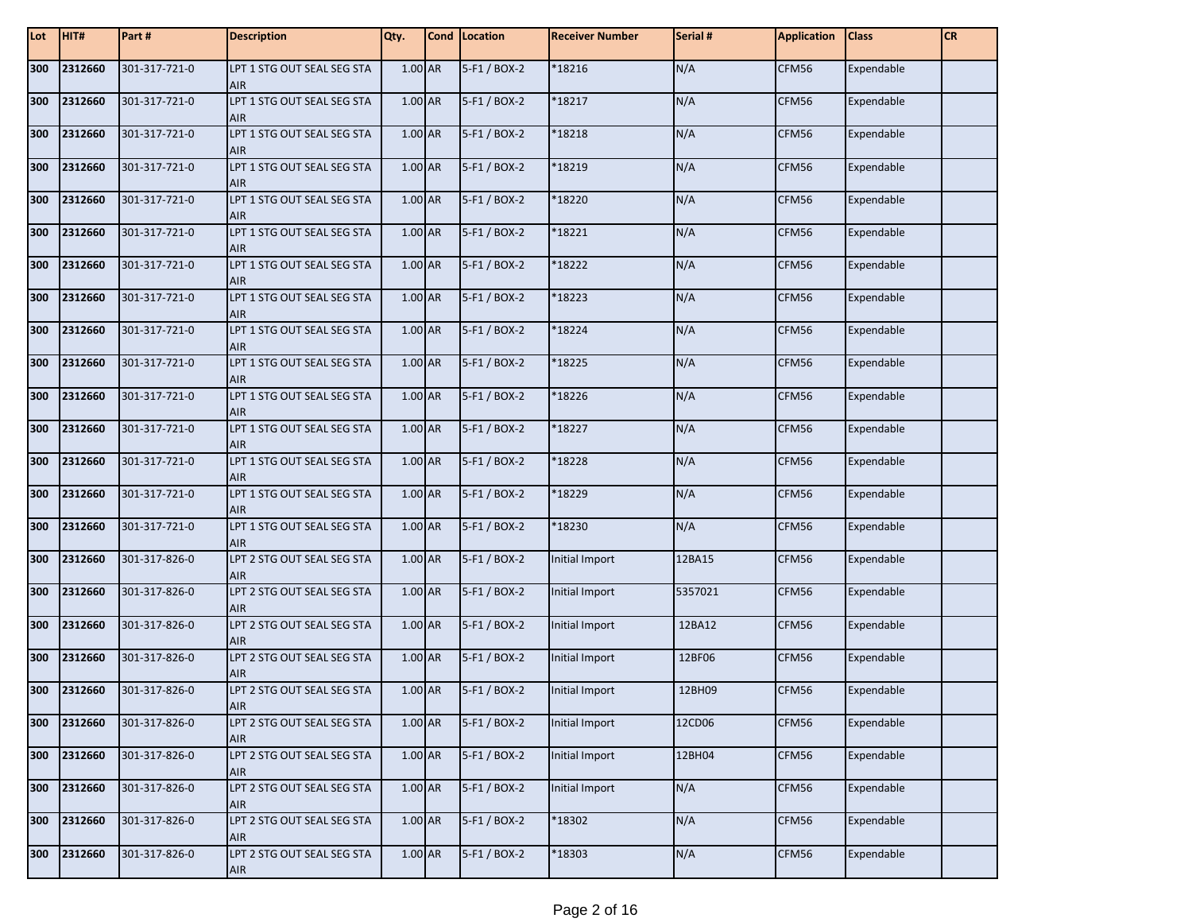| Lot | HIT#    | Part #        | <b>Description</b>                       | Qty.      | Cond Location | <b>Receiver Number</b> | Serial # | <b>Application</b> | <b>Class</b> | <b>CR</b> |
|-----|---------|---------------|------------------------------------------|-----------|---------------|------------------------|----------|--------------------|--------------|-----------|
| 300 | 2312660 | 301-317-721-0 | LPT 1 STG OUT SEAL SEG STA<br><b>AIR</b> | 1.00 AR   | 5-F1 / BOX-2  | *18216                 | N/A      | CFM56              | Expendable   |           |
| 300 | 2312660 | 301-317-721-0 | LPT 1 STG OUT SEAL SEG STA<br>AIR        | 1.00 AR   | 5-F1 / BOX-2  | *18217                 | N/A      | CFM56              | Expendable   |           |
| 300 | 2312660 | 301-317-721-0 | LPT 1 STG OUT SEAL SEG STA<br><b>AIR</b> | 1.00 AR   | 5-F1 / BOX-2  | *18218                 | N/A      | CFM56              | Expendable   |           |
| 300 | 2312660 | 301-317-721-0 | LPT 1 STG OUT SEAL SEG STA<br><b>AIR</b> | 1.00 AR   | 5-F1 / BOX-2  | *18219                 | N/A      | CFM56              | Expendable   |           |
| 300 | 2312660 | 301-317-721-0 | LPT 1 STG OUT SEAL SEG STA<br><b>AIR</b> | 1.00 AR   | 5-F1 / BOX-2  | *18220                 | N/A      | CFM56              | Expendable   |           |
| 300 | 2312660 | 301-317-721-0 | LPT 1 STG OUT SEAL SEG STA<br><b>AIR</b> | 1.00 AR   | 5-F1 / BOX-2  | *18221                 | N/A      | CFM56              | Expendable   |           |
| 300 | 2312660 | 301-317-721-0 | LPT 1 STG OUT SEAL SEG STA<br><b>AIR</b> | 1.00 AR   | 5-F1 / BOX-2  | *18222                 | N/A      | CFM56              | Expendable   |           |
| 300 | 2312660 | 301-317-721-0 | LPT 1 STG OUT SEAL SEG STA<br><b>AIR</b> | 1.00 AR   | 5-F1 / BOX-2  | *18223                 | N/A      | CFM56              | Expendable   |           |
| 300 | 2312660 | 301-317-721-0 | LPT 1 STG OUT SEAL SEG STA<br><b>AIR</b> | 1.00 AR   | 5-F1 / BOX-2  | *18224                 | N/A      | CFM56              | Expendable   |           |
| 300 | 2312660 | 301-317-721-0 | LPT 1 STG OUT SEAL SEG STA<br><b>AIR</b> | 1.00 AR   | 5-F1 / BOX-2  | *18225                 | N/A      | CFM56              | Expendable   |           |
| 300 | 2312660 | 301-317-721-0 | LPT 1 STG OUT SEAL SEG STA<br><b>AIR</b> | $1.00$ AR | 5-F1 / BOX-2  | *18226                 | N/A      | CFM56              | Expendable   |           |
| 300 | 2312660 | 301-317-721-0 | LPT 1 STG OUT SEAL SEG STA<br><b>AIR</b> | 1.00 AR   | 5-F1 / BOX-2  | *18227                 | N/A      | CFM56              | Expendable   |           |
| 300 | 2312660 | 301-317-721-0 | LPT 1 STG OUT SEAL SEG STA<br><b>AIR</b> | $1.00$ AR | 5-F1 / BOX-2  | *18228                 | N/A      | CFM56              | Expendable   |           |
| 300 | 2312660 | 301-317-721-0 | LPT 1 STG OUT SEAL SEG STA<br><b>AIR</b> | $1.00$ AR | 5-F1 / BOX-2  | *18229                 | N/A      | CFM56              | Expendable   |           |
| 300 | 2312660 | 301-317-721-0 | LPT 1 STG OUT SEAL SEG STA<br><b>AIR</b> | 1.00 AR   | 5-F1 / BOX-2  | *18230                 | N/A      | CFM56              | Expendable   |           |
| 300 | 2312660 | 301-317-826-0 | LPT 2 STG OUT SEAL SEG STA<br><b>AIR</b> | 1.00 AR   | 5-F1 / BOX-2  | Initial Import         | 12BA15   | CFM56              | Expendable   |           |
| 300 | 2312660 | 301-317-826-0 | LPT 2 STG OUT SEAL SEG STA<br><b>AIR</b> | 1.00 AR   | 5-F1 / BOX-2  | Initial Import         | 5357021  | CFM56              | Expendable   |           |
| 300 | 2312660 | 301-317-826-0 | LPT 2 STG OUT SEAL SEG STA<br><b>AIR</b> | 1.00 AR   | 5-F1 / BOX-2  | Initial Import         | 12BA12   | CFM56              | Expendable   |           |
| 300 | 2312660 | 301-317-826-0 | LPT 2 STG OUT SEAL SEG STA<br><b>AIR</b> | 1.00 AR   | 5-F1 / BOX-2  | Initial Import         | 12BF06   | CFM56              | Expendable   |           |
| 300 | 2312660 | 301-317-826-0 | LPT 2 STG OUT SEAL SEG STA<br>AIR.       | 1.00 AR   | 5-F1 / BOX-2  | Initial Import         | 12BH09   | CFM56              | Expendable   |           |
| 300 | 2312660 | 301-317-826-0 | LPT 2 STG OUT SEAL SEG STA<br>AIR        | $1.00$ AR | 5-F1 / BOX-2  | Initial Import         | 12CD06   | CFM56              | Expendable   |           |
| 300 | 2312660 | 301-317-826-0 | LPT 2 STG OUT SEAL SEG STA<br>AIR        | 1.00 AR   | 5-F1 / BOX-2  | Initial Import         | 12BH04   | CFM56              | Expendable   |           |
| 300 | 2312660 | 301-317-826-0 | LPT 2 STG OUT SEAL SEG STA<br><b>AIR</b> | 1.00 AR   | 5-F1 / BOX-2  | Initial Import         | N/A      | CFM56              | Expendable   |           |
| 300 | 2312660 | 301-317-826-0 | LPT 2 STG OUT SEAL SEG STA<br>AIR        | 1.00 AR   | 5-F1 / BOX-2  | *18302                 | N/A      | CFM56              | Expendable   |           |
| 300 | 2312660 | 301-317-826-0 | LPT 2 STG OUT SEAL SEG STA<br>AIR        | 1.00 AR   | 5-F1 / BOX-2  | *18303                 | N/A      | CFM56              | Expendable   |           |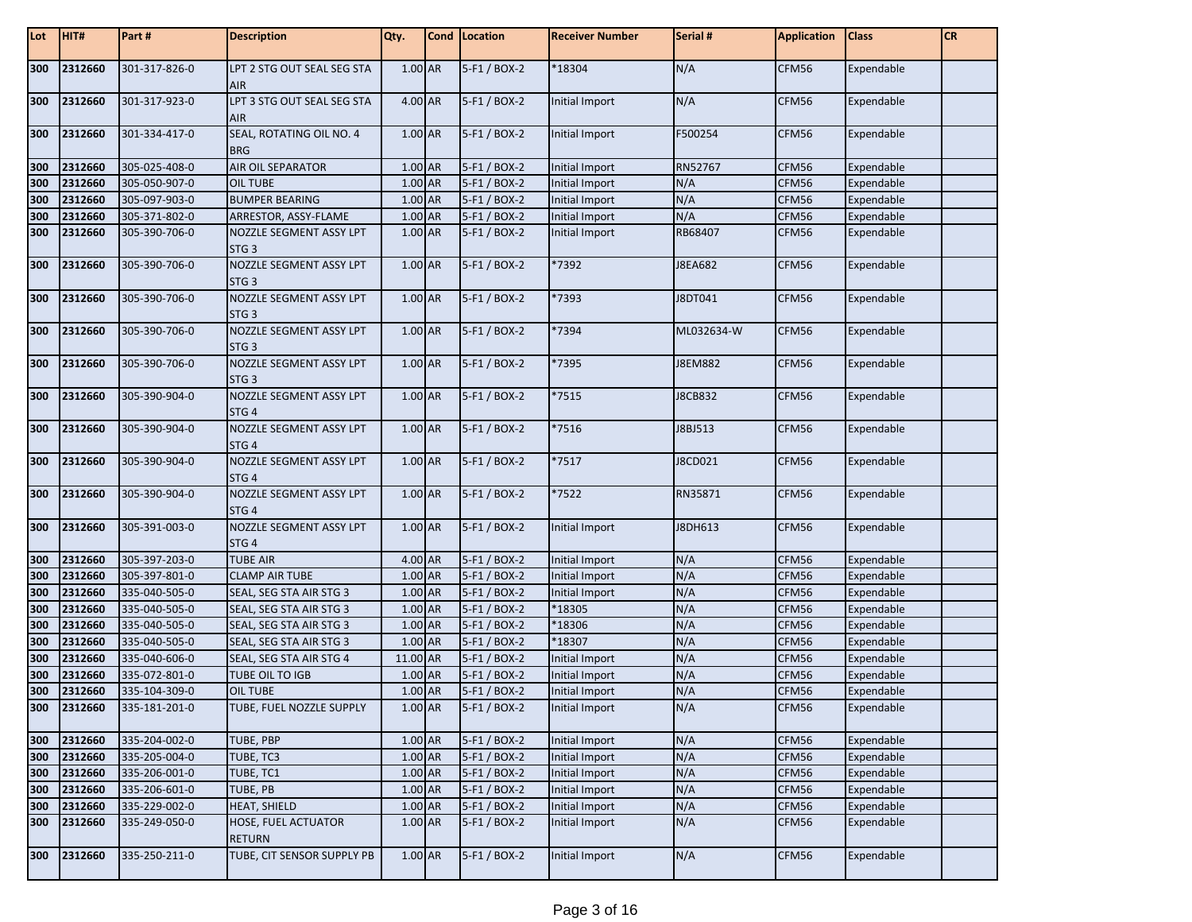| Lot | HIT#    | Part#         | <b>Description</b>                          | Qty.      | Cond   Location | <b>Receiver Number</b> | Serial #       | <b>Application</b> | <b>Class</b> | <b>CR</b> |
|-----|---------|---------------|---------------------------------------------|-----------|-----------------|------------------------|----------------|--------------------|--------------|-----------|
| 300 | 2312660 | 301-317-826-0 | LPT 2 STG OUT SEAL SEG STA<br><b>AIR</b>    | 1.00 AR   | 5-F1 / BOX-2    | *18304                 | N/A            | CFM56              | Expendable   |           |
| 300 | 2312660 | 301-317-923-0 | LPT 3 STG OUT SEAL SEG STA<br><b>AIR</b>    | 4.00 AR   | 5-F1 / BOX-2    | Initial Import         | N/A            | CFM56              | Expendable   |           |
| 300 | 2312660 | 301-334-417-0 | SEAL, ROTATING OIL NO. 4<br><b>BRG</b>      | 1.00 AR   | 5-F1 / BOX-2    | Initial Import         | F500254        | CFM56              | Expendable   |           |
| 300 | 2312660 | 305-025-408-0 | AIR OIL SEPARATOR                           | 1.00 AR   | 5-F1 / BOX-2    | Initial Import         | RN52767        | CFM56              | Expendable   |           |
| 300 | 2312660 | 305-050-907-0 | <b>OIL TUBE</b>                             | 1.00 AR   | 5-F1 / BOX-2    | Initial Import         | N/A            | CFM56              | Expendable   |           |
| 300 | 2312660 | 305-097-903-0 | <b>BUMPER BEARING</b>                       | 1.00 AR   | 5-F1 / BOX-2    | Initial Import         | N/A            | CFM56              | Expendable   |           |
| 300 | 2312660 | 305-371-802-0 | ARRESTOR, ASSY-FLAME                        | 1.00 AR   | 5-F1 / BOX-2    | Initial Import         | N/A            | CFM56              | Expendable   |           |
| 300 | 2312660 | 305-390-706-0 | NOZZLE SEGMENT ASSY LPT                     | 1.00 AR   | 5-F1 / BOX-2    | Initial Import         | RB68407        | CFM56              | Expendable   |           |
|     |         |               | STG <sub>3</sub>                            |           |                 |                        |                |                    |              |           |
| 300 | 2312660 | 305-390-706-0 | NOZZLE SEGMENT ASSY LPT<br>STG <sub>3</sub> | 1.00 AR   | 5-F1 / BOX-2    | *7392                  | J8EA682        | CFM56              | Expendable   |           |
| 300 | 2312660 | 305-390-706-0 | NOZZLE SEGMENT ASSY LPT<br>STG <sub>3</sub> | 1.00 AR   | 5-F1 / BOX-2    | 7393                   | J8DT041        | CFM56              | Expendable   |           |
| 300 | 2312660 | 305-390-706-0 | NOZZLE SEGMENT ASSY LPT<br>STG <sub>3</sub> | 1.00 AR   | 5-F1 / BOX-2    | *7394                  | ML032634-W     | CFM56              | Expendable   |           |
| 300 | 2312660 | 305-390-706-0 | NOZZLE SEGMENT ASSY LPT<br>STG <sub>3</sub> | 1.00 AR   | 5-F1 / BOX-2    | *7395                  | <b>J8EM882</b> | CFM56              | Expendable   |           |
| 300 | 2312660 | 305-390-904-0 | NOZZLE SEGMENT ASSY LPT<br>STG <sub>4</sub> | 1.00 AR   | 5-F1 / BOX-2    | *7515                  | J8CB832        | CFM56              | Expendable   |           |
| 300 | 2312660 | 305-390-904-0 | NOZZLE SEGMENT ASSY LPT<br>STG <sub>4</sub> | 1.00 AR   | 5-F1 / BOX-2    | *7516                  | J8BJ513        | CFM56              | Expendable   |           |
| 300 | 2312660 | 305-390-904-0 | NOZZLE SEGMENT ASSY LPT<br>STG <sub>4</sub> | 1.00 AR   | 5-F1 / BOX-2    | *7517                  | J8CD021        | CFM56              | Expendable   |           |
| 300 | 2312660 | 305-390-904-0 | NOZZLE SEGMENT ASSY LPT<br>STG <sub>4</sub> | 1.00 AR   | 5-F1 / BOX-2    | *7522                  | RN35871        | CFM56              | Expendable   |           |
| 300 | 2312660 | 305-391-003-0 | NOZZLE SEGMENT ASSY LPT<br>STG <sub>4</sub> | 1.00 AR   | 5-F1 / BOX-2    | Initial Import         | J8DH613        | CFM56              | Expendable   |           |
| 300 | 2312660 | 305-397-203-0 | <b>TUBE AIR</b>                             | 4.00 AR   | 5-F1 / BOX-2    | Initial Import         | N/A            | CFM56              | Expendable   |           |
| 300 | 2312660 | 305-397-801-0 | <b>CLAMP AIR TUBE</b>                       | 1.00 AR   | 5-F1 / BOX-2    | Initial Import         | N/A            | CFM56              | Expendable   |           |
| 300 | 2312660 | 335-040-505-0 | SEAL, SEG STA AIR STG 3                     | 1.00 AR   | 5-F1 / BOX-2    | Initial Import         | N/A            | CFM56              | Expendable   |           |
| 300 | 2312660 | 335-040-505-0 | SEAL, SEG STA AIR STG 3                     | 1.00 AR   | 5-F1 / BOX-2    | *18305                 | N/A            | CFM56              | Expendable   |           |
| 300 | 2312660 | 335-040-505-0 | SEAL, SEG STA AIR STG 3                     | 1.00 AR   | 5-F1 / BOX-2    | *18306                 | N/A            | CFM56              | Expendable   |           |
| 300 | 2312660 | 335-040-505-0 | SEAL, SEG STA AIR STG 3                     | 1.00 AR   | 5-F1 / BOX-2    | *18307                 | N/A            | CFM56              | Expendable   |           |
| 300 | 2312660 | 335-040-606-0 | SEAL, SEG STA AIR STG 4                     | 11.00 AR  | 5-F1 / BOX-2    | <b>Initial Import</b>  | N/A            | CFM56              | Expendable   |           |
| 300 | 2312660 | 335-072-801-0 | TUBE OIL TO IGB                             | 1.00 AR   | 5-F1 / BOX-2    | <b>Initial Import</b>  | N/A            | CFM56              | Expendable   |           |
| 300 | 2312660 | 335-104-309-0 | OIL TUBE                                    | 1.00 AR   | 5-F1 / BOX-2    | Initial Import         | N/A            | CFM56              | Expendable   |           |
| 300 | 2312660 | 335-181-201-0 | TUBE, FUEL NOZZLE SUPPLY                    | 1.00 AR   | 5-F1 / BOX-2    | Initial Import         | N/A            | CFM56              | Expendable   |           |
| 300 | 2312660 | 335-204-002-0 | TUBE, PBP                                   | $1.00$ AR | 5-F1 / BOX-2    | Initial Import         | N/A            | CFM56              | Expendable   |           |
| 300 | 2312660 | 335-205-004-0 | TUBE, TC3                                   | 1.00 AR   | 5-F1 / BOX-2    | Initial Import         | N/A            | CFM56              | Expendable   |           |
| 300 | 2312660 | 335-206-001-0 | TUBE, TC1                                   | 1.00 AR   | 5-F1 / BOX-2    | Initial Import         | N/A            | CFM56              | Expendable   |           |
| 300 | 2312660 | 335-206-601-0 | TUBE, PB                                    | $1.00$ AR | 5-F1 / BOX-2    | Initial Import         | N/A            | CFM56              | Expendable   |           |
| 300 | 2312660 | 335-229-002-0 | HEAT, SHIELD                                | 1.00 AR   | 5-F1 / BOX-2    | Initial Import         | N/A            | CFM56              | Expendable   |           |
| 300 | 2312660 | 335-249-050-0 | HOSE, FUEL ACTUATOR<br><b>RETURN</b>        | 1.00 AR   | $5-F1 / BOX-2$  | Initial Import         | N/A            | CFM56              | Expendable   |           |
| 300 | 2312660 | 335-250-211-0 | TUBE, CIT SENSOR SUPPLY PB                  | 1.00 AR   | 5-F1 / BOX-2    | Initial Import         | N/A            | CFM56              | Expendable   |           |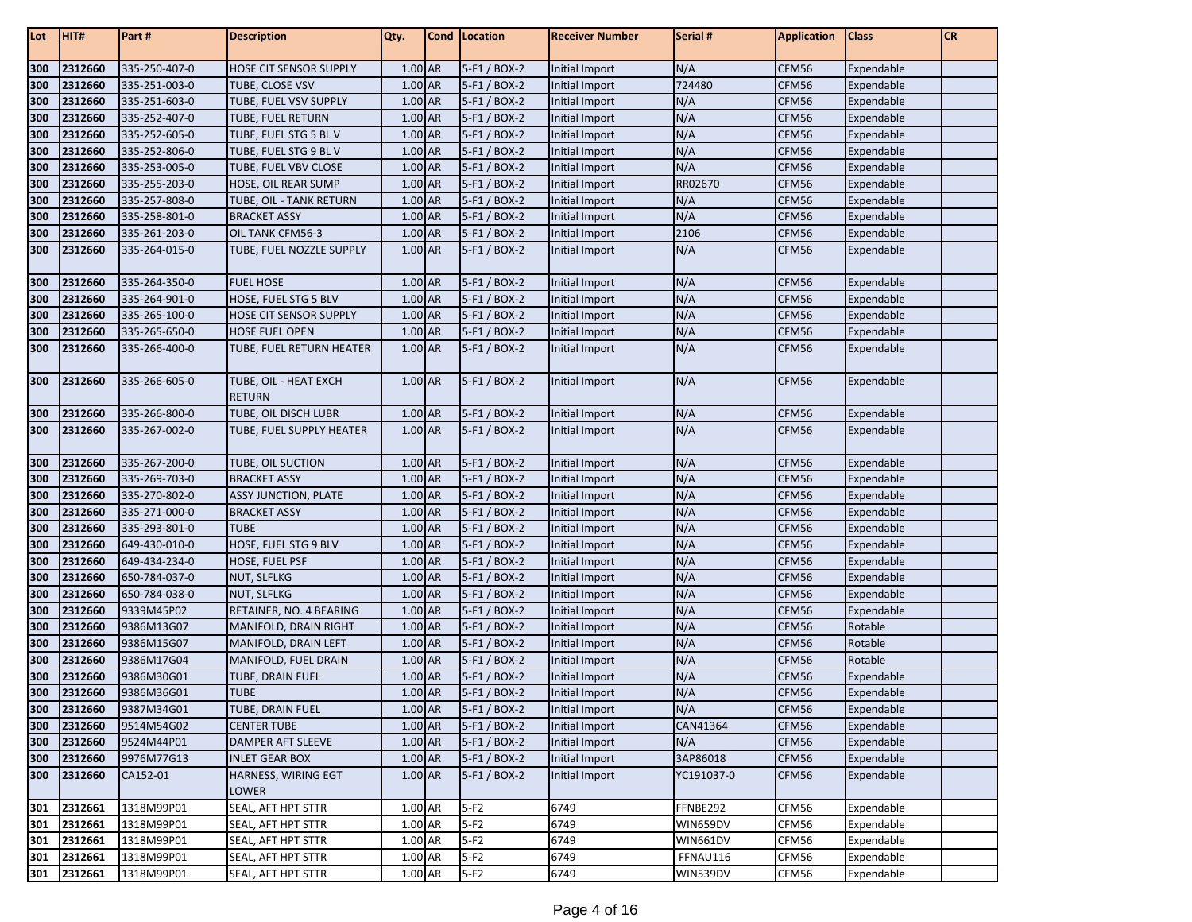| Lot | HIT#        | Part#         | <b>Description</b>                     | Qty.    | Cond Location  | <b>Receiver Number</b> | Serial #   | <b>Application</b> | <b>Class</b> | CR |
|-----|-------------|---------------|----------------------------------------|---------|----------------|------------------------|------------|--------------------|--------------|----|
| 300 | 2312660     | 335-250-407-0 | HOSE CIT SENSOR SUPPLY                 | 1.00 AR | 5-F1 / BOX-2   | Initial Import         | N/A        | CFM56              | Expendable   |    |
| 300 | 2312660     | 335-251-003-0 | TUBE, CLOSE VSV                        | 1.00 AR | 5-F1 / BOX-2   | Initial Import         | 724480     | CFM56              | Expendable   |    |
| 300 | 2312660     | 335-251-603-0 | TUBE, FUEL VSV SUPPLY                  | 1.00 AR | 5-F1 / BOX-2   | Initial Import         | N/A        | CFM56              | Expendable   |    |
| 300 | 2312660     | 335-252-407-0 | TUBE, FUEL RETURN                      | 1.00 AR | 5-F1 / BOX-2   | Initial Import         | N/A        | CFM56              | Expendable   |    |
| 300 | 2312660     | 335-252-605-0 | TUBE, FUEL STG 5 BLV                   | 1.00 AR | 5-F1 / BOX-2   | Initial Import         | N/A        | CFM56              | Expendable   |    |
| 300 | 2312660     | 335-252-806-0 | TUBE, FUEL STG 9 BL V                  | 1.00 AR | 5-F1 / BOX-2   | Initial Import         | N/A        | CFM56              | Expendable   |    |
| 300 | 2312660     | 335-253-005-0 | TUBE, FUEL VBV CLOSE                   | 1.00 AR | 5-F1 / BOX-2   | <b>Initial Import</b>  | N/A        | CFM56              | Expendable   |    |
| 300 | 2312660     | 335-255-203-0 | HOSE, OIL REAR SUMP                    | 1.00 AR | 5-F1 / BOX-2   | Initial Import         | RR02670    | CFM56              | Expendable   |    |
| 300 | 2312660     | 335-257-808-0 | TUBE, OIL - TANK RETURN                | 1.00 AR | 5-F1 / BOX-2   | Initial Import         | N/A        | CFM56              | Expendable   |    |
| 300 | 2312660     | 335-258-801-0 | <b>BRACKET ASSY</b>                    | 1.00 AR | 5-F1 / BOX-2   | Initial Import         | N/A        | CFM56              | Expendable   |    |
| 300 | 2312660     | 335-261-203-0 | OIL TANK CFM56-3                       | 1.00 AR | 5-F1 / BOX-2   | <b>Initial Import</b>  | 2106       | CFM56              | Expendable   |    |
| 300 | 2312660     | 335-264-015-0 | TUBE, FUEL NOZZLE SUPPLY               | 1.00 AR | 5-F1 / BOX-2   | Initial Import         | N/A        | CFM56              | Expendable   |    |
| 300 | 2312660     | 335-264-350-0 | <b>FUEL HOSE</b>                       | 1.00 AR | 5-F1 / BOX-2   | Initial Import         | N/A        | CFM56              | Expendable   |    |
| 300 | 2312660     | 335-264-901-0 | HOSE, FUEL STG 5 BLV                   | 1.00 AR | 5-F1 / BOX-2   | Initial Import         | N/A        | CFM56              | Expendable   |    |
| 300 | 2312660     | 335-265-100-0 | HOSE CIT SENSOR SUPPLY                 | 1.00 AR | 5-F1 / BOX-2   | Initial Import         | N/A        | CFM56              | Expendable   |    |
| 300 | 2312660     | 335-265-650-0 | <b>HOSE FUEL OPEN</b>                  | 1.00 AR | 5-F1 / BOX-2   | Initial Import         | N/A        | CFM56              | Expendable   |    |
| 300 | 2312660     | 335-266-400-0 | TUBE, FUEL RETURN HEATER               | 1.00 AR | 5-F1 / BOX-2   | Initial Import         | N/A        | CFM56              | Expendable   |    |
| 300 | 2312660     | 335-266-605-0 | TUBE, OIL - HEAT EXCH<br><b>RETURN</b> | 1.00 AR | 5-F1 / BOX-2   | Initial Import         | N/A        | CFM56              | Expendable   |    |
| 300 | 2312660     | 335-266-800-0 | TUBE, OIL DISCH LUBR                   | 1.00 AR | 5-F1 / BOX-2   | Initial Import         | N/A        | CFM56              | Expendable   |    |
| 300 | 2312660     | 335-267-002-0 | TUBE, FUEL SUPPLY HEATER               | 1.00 AR | 5-F1 / BOX-2   | Initial Import         | N/A        | CFM56              | Expendable   |    |
| 300 | 2312660     | 335-267-200-0 | TUBE, OIL SUCTION                      | 1.00 AR | 5-F1 / BOX-2   | Initial Import         | N/A        | CFM56              | Expendable   |    |
| 300 | 2312660     | 335-269-703-0 | <b>BRACKET ASSY</b>                    | 1.00 AR | 5-F1 / BOX-2   | Initial Import         | N/A        | CFM56              | Expendable   |    |
| 300 | 2312660     | 335-270-802-0 | <b>ASSY JUNCTION, PLATE</b>            | 1.00 AR | 5-F1 / BOX-2   | Initial Import         | N/A        | CFM56              | Expendable   |    |
| 300 | 2312660     | 335-271-000-0 | <b>BRACKET ASSY</b>                    | 1.00 AR | 5-F1 / BOX-2   | Initial Import         | N/A        | CFM56              | Expendable   |    |
| 300 | 2312660     | 335-293-801-0 | <b>TUBE</b>                            | 1.00 AR | 5-F1 / BOX-2   | <b>Initial Import</b>  | N/A        | CFM56              | Expendable   |    |
| 300 | 2312660     | 649-430-010-0 | HOSE, FUEL STG 9 BLV                   | 1.00 AR | 5-F1 / BOX-2   | Initial Import         | N/A        | CFM56              | Expendable   |    |
| 300 | 2312660     | 649-434-234-0 | HOSE, FUEL PSF                         | 1.00 AR | 5-F1 / BOX-2   | Initial Import         | N/A        | CFM56              | Expendable   |    |
| 300 | 2312660     | 650-784-037-0 | <b>NUT, SLFLKG</b>                     | 1.00 AR | 5-F1 / BOX-2   | Initial Import         | N/A        | CFM56              | Expendable   |    |
| 300 | 2312660     | 650-784-038-0 | <b>NUT, SLFLKG</b>                     | 1.00 AR | 5-F1 / BOX-2   | <b>Initial Import</b>  | N/A        | CFM56              | Expendable   |    |
| 300 | 2312660     | 9339M45P02    | RETAINER, NO. 4 BEARING                | 1.00 AR | 5-F1 / BOX-2   | Initial Import         | N/A        | CFM56              | Expendable   |    |
| 300 | 2312660     | 9386M13G07    | MANIFOLD, DRAIN RIGHT                  | 1.00 AR | 5-F1 / BOX-2   | <b>Initial Import</b>  | N/A        | CFM56              | Rotable      |    |
| 300 | 2312660     | 9386M15G07    | MANIFOLD, DRAIN LEFT                   | 1.00 AR | 5-F1 / BOX-2   | Initial Import         | N/A        | CFM56              | Rotable      |    |
| 300 | 2312660     | 9386M17G04    | MANIFOLD, FUEL DRAIN                   | 1.00 AR | 5-F1 / BOX-2   | Initial Import         | N/A        | CFM56              | Rotable      |    |
| 300 | 2312660     | 9386M30G01    | TUBE, DRAIN FUEL                       | 1.00 AR | 5-F1 / BOX-2   | Initial Import         | N/A        | CFM56              | Expendable   |    |
| 300 | 2312660     | 9386M36G01    | <b>TUBE</b>                            | 1.00 AR | $5-F1 / BOX-2$ | Initial Import         | N/A        | CFM56              | Expendable   |    |
| 300 | 2312660     | 9387M34G01    | TUBE, DRAIN FUEL                       | 1.00 AR | 5-F1 / BOX-2   | Initial Import         | N/A        | CFM56              | Expendable   |    |
| 300 | 2312660     | 9514M54G02    | <b>CENTER TUBE</b>                     | 1.00 AR | 5-F1 / BOX-2   | Initial Import         | CAN41364   | CFM56              | Expendable   |    |
| 300 | 2312660     | 9524M44P01    | DAMPER AFT SLEEVE                      | 1.00 AR | 5-F1 / BOX-2   | Initial Import         | N/A        | CFM56              | Expendable   |    |
| 300 | 2312660     | 9976M77G13    | <b>INLET GEAR BOX</b>                  | 1.00 AR | 5-F1 / BOX-2   | Initial Import         | 3AP86018   | CFM56              | Expendable   |    |
| 300 | 2312660     | CA152-01      | HARNESS, WIRING EGT<br>LOWER           | 1.00 AR | 5-F1 / BOX-2   | Initial Import         | YC191037-0 | CFM56              | Expendable   |    |
| 301 | 2312661     | 1318M99P01    | SEAL, AFT HPT STTR                     | 1.00 AR | $5-F2$         | 6749                   | FFNBE292   | CFM56              | Expendable   |    |
| 301 | 2312661     | 1318M99P01    | SEAL, AFT HPT STTR                     | 1.00 AR | $5-F2$         | 6749                   | WIN659DV   | CFM56              | Expendable   |    |
| 301 | 2312661     | 1318M99P01    | SEAL, AFT HPT STTR                     | 1.00 AR | $5-F2$         | 6749                   | WIN661DV   | CFM56              | Expendable   |    |
| 301 | 2312661     | 1318M99P01    | SEAL, AFT HPT STTR                     | 1.00 AR | $5-F2$         | 6749                   | FFNAU116   | CFM56              | Expendable   |    |
|     | 301 2312661 | 1318M99P01    | SEAL, AFT HPT STTR                     | 1.00 AR | $5-F2$         | 6749                   | WIN539DV   | CFM56              | Expendable   |    |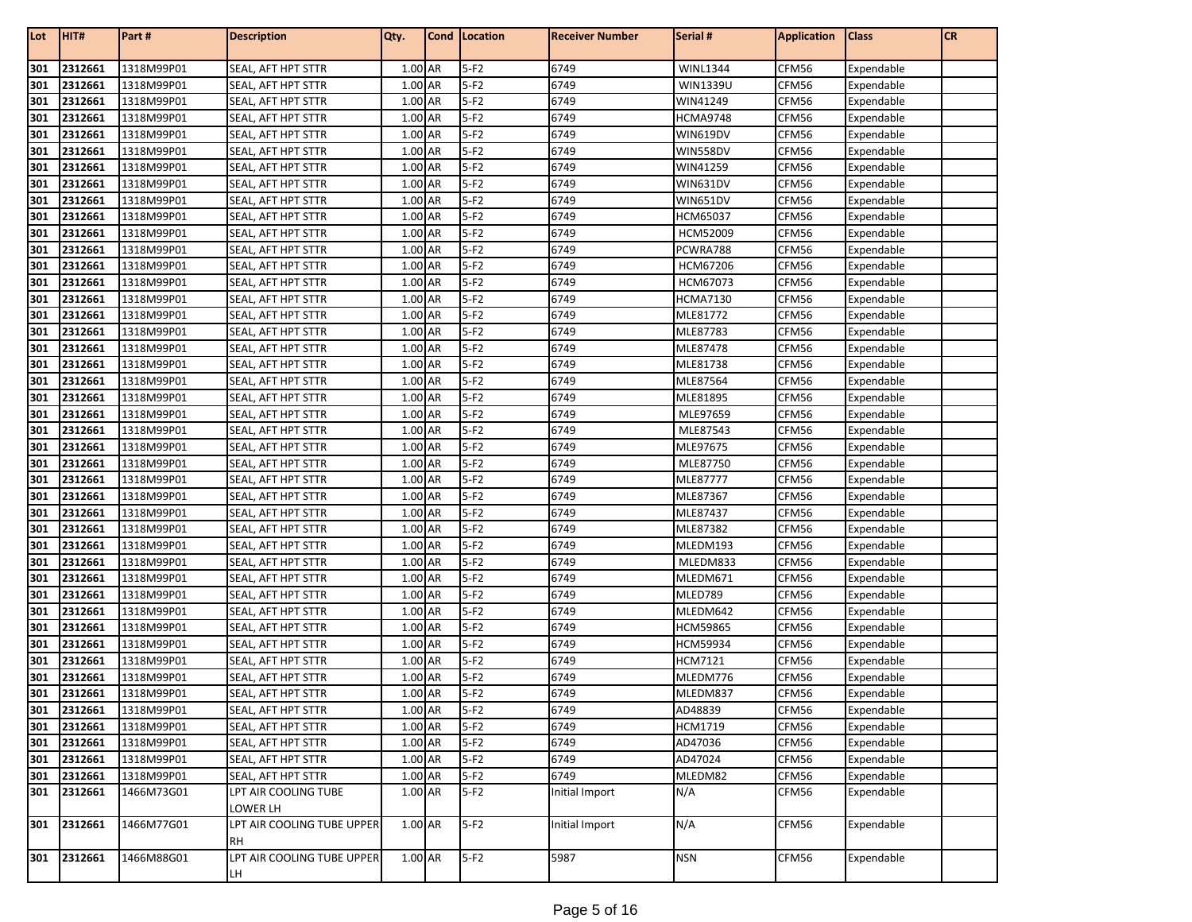| Lot | HIT#    | Part#      | <b>Description</b>               | Qty.    | Cond   Location | <b>Receiver Number</b> | Serial #        | <b>Application</b> | <b>Class</b> | <b>CR</b> |
|-----|---------|------------|----------------------------------|---------|-----------------|------------------------|-----------------|--------------------|--------------|-----------|
| 301 | 2312661 | 1318M99P01 | SEAL, AFT HPT STTR               | 1.00 AR | $5-F2$          | 6749                   | <b>WINL1344</b> | CFM56              | Expendable   |           |
| 301 | 2312661 | 1318M99P01 | SEAL, AFT HPT STTR               | 1.00 AR | $5-F2$          | 6749                   | <b>WIN1339U</b> | CFM56              | Expendable   |           |
| 301 | 2312661 | 1318M99P01 | SEAL, AFT HPT STTR               | 1.00 AR | $5-F2$          | 6749                   | WIN41249        | CFM56              | Expendable   |           |
| 301 | 2312661 | 1318M99P01 | SEAL, AFT HPT STTR               | 1.00 AR | $5-F2$          | 6749                   | HCMA9748        | CFM56              | Expendable   |           |
| 301 | 2312661 | 1318M99P01 | SEAL, AFT HPT STTR               | 1.00 AR | $5-F2$          | 6749                   | WIN619DV        | CFM56              | Expendable   |           |
| 301 | 2312661 | 1318M99P01 | SEAL, AFT HPT STTR               | 1.00 AR | $5-F2$          | 6749                   | WIN558DV        | CFM56              | Expendable   |           |
| 301 | 2312661 | 1318M99P01 | SEAL, AFT HPT STTR               | 1.00 AR | $5-F2$          | 6749                   | WIN41259        | CFM56              | Expendable   |           |
| 301 | 2312661 | 1318M99P01 | SEAL, AFT HPT STTR               | 1.00 AR | $5-F2$          | 6749                   | WIN631DV        | CFM56              | Expendable   |           |
| 301 | 2312661 | 1318M99P01 | SEAL, AFT HPT STTR               | 1.00 AR | $5-F2$          | 6749                   | WIN651DV        | CFM56              | Expendable   |           |
| 301 | 2312661 | 1318M99P01 | SEAL, AFT HPT STTR               | 1.00 AR | $5-F2$          | 6749                   | HCM65037        | CFM56              | Expendable   |           |
| 301 | 2312661 | 1318M99P01 | SEAL, AFT HPT STTR               | 1.00 AR | $5-F2$          | 6749                   | HCM52009        | CFM56              | Expendable   |           |
| 301 | 2312661 | 1318M99P01 | SEAL, AFT HPT STTR               | 1.00 AR | $5-F2$          | 6749                   | PCWRA788        | CFM56              | Expendable   |           |
| 301 | 2312661 | 1318M99P01 | SEAL, AFT HPT STTR               | 1.00 AR | $5-F2$          | 6749                   | HCM67206        | CFM56              | Expendable   |           |
| 301 | 2312661 | 1318M99P01 | SEAL, AFT HPT STTR               | 1.00 AR | $5-F2$          | 6749                   | HCM67073        | CFM56              | Expendable   |           |
| 301 | 2312661 | 1318M99P01 | SEAL, AFT HPT STTR               | 1.00 AR | $5-F2$          | 6749                   | HCMA7130        | CFM56              | Expendable   |           |
| 301 | 2312661 | 1318M99P01 | SEAL, AFT HPT STTR               | 1.00 AR | $5-F2$          | 6749                   | MLE81772        | CFM56              | Expendable   |           |
| 301 | 2312661 | 1318M99P01 | SEAL, AFT HPT STTR               | 1.00 AR | $5-F2$          | 6749                   | MLE87783        | CFM56              | Expendable   |           |
| 301 | 2312661 | 1318M99P01 | SEAL, AFT HPT STTR               | 1.00 AR | $5-F2$          | 6749                   | MLE87478        | CFM56              | Expendable   |           |
| 301 | 2312661 | 1318M99P01 | SEAL, AFT HPT STTR               | 1.00 AR | $5-F2$          | 6749                   | MLE81738        | CFM56              | Expendable   |           |
| 301 | 2312661 | 1318M99P01 | SEAL, AFT HPT STTR               | 1.00 AR | $5-F2$          | 6749                   | MLE87564        | CFM56              | Expendable   |           |
| 301 | 2312661 | 1318M99P01 | SEAL, AFT HPT STTR               | 1.00 AR | $5-F2$          | 6749                   | MLE81895        | CFM56              | Expendable   |           |
| 301 | 2312661 | 1318M99P01 | SEAL, AFT HPT STTR               | 1.00 AR | $5-F2$          | 6749                   | MLE97659        | CFM56              | Expendable   |           |
| 301 | 2312661 | 1318M99P01 | SEAL, AFT HPT STTR               | 1.00 AR | $5-F2$          | 6749                   | MLE87543        | CFM56              | Expendable   |           |
| 301 | 2312661 | 1318M99P01 | SEAL, AFT HPT STTR               | 1.00 AR | $5-F2$          | 6749                   | MLE97675        | CFM56              | Expendable   |           |
| 301 | 2312661 | 1318M99P01 | SEAL, AFT HPT STTR               | 1.00 AR | $5-F2$          | 6749                   | MLE87750        | CFM56              | Expendable   |           |
| 301 | 2312661 | 1318M99P01 | SEAL, AFT HPT STTR               | 1.00 AR | $5-F2$          | 6749                   | MLE87777        | CFM56              | Expendable   |           |
| 301 | 2312661 | 1318M99P01 | SEAL, AFT HPT STTR               | 1.00 AR | $5-F2$          | 6749                   | MLE87367        | CFM56              | Expendable   |           |
| 301 | 2312661 | 1318M99P01 | SEAL, AFT HPT STTR               | 1.00 AR | $5-F2$          | 6749                   | MLE87437        | CFM56              | Expendable   |           |
| 301 | 2312661 | 1318M99P01 | SEAL, AFT HPT STTR               | 1.00 AR | $5-F2$          | 6749                   | MLE87382        | CFM56              | Expendable   |           |
| 301 | 2312661 | 1318M99P01 | SEAL, AFT HPT STTR               | 1.00 AR | $5-F2$          | 6749                   | MLEDM193        | CFM56              | Expendable   |           |
| 301 | 2312661 | 1318M99P01 | SEAL, AFT HPT STTR               | 1.00 AR | $5-F2$          | 6749                   | MLEDM833        | CFM56              | Expendable   |           |
| 301 | 2312661 | 1318M99P01 | SEAL, AFT HPT STTR               | 1.00 AR | $5-F2$          | 6749                   | MLEDM671        | CFM56              | Expendable   |           |
| 301 | 2312661 | 1318M99P01 | SEAL, AFT HPT STTR               | 1.00 AR | $5-F2$          | 6749                   | MLED789         | CFM56              | Expendable   |           |
| 301 | 2312661 | 1318M99P01 | SEAL, AFT HPT STTR               | 1.00 AR | $5-F2$          | 6749                   | MLEDM642        | CFM56              | Expendable   |           |
| 301 | 2312661 | 1318M99P01 | SEAL, AFT HPT STTR               | 1.00 AR | $5-F2$          | 6749                   | HCM59865        | CFM56              | Expendable   |           |
| 301 | 2312661 | 1318M99P01 | SEAL, AFT HPT STTR               | 1.00 AR | $5-F2$          | 6749                   | <b>HCM59934</b> | CFM56              | Expendable   |           |
| 301 | 2312661 | 1318M99P01 | SEAL, AFT HPT STTR               | 1.00 AR | $5-F2$          | 6749                   | HCM7121         | CFM56              | Expendable   |           |
| 301 | 2312661 | 1318M99P01 | SEAL, AFT HPT STTR               | 1.00 AR | $5-F2$          | 6749                   | MLEDM776        | CFM56              | Expendable   |           |
| 301 | 2312661 | 1318M99P01 | SEAL, AFT HPT STTR               | 1.00 AR | $5-F2$          | 6749                   | MLEDM837        | CFM56              | Expendable   |           |
| 301 | 2312661 | 1318M99P01 | SEAL, AFT HPT STTR               | 1.00 AR | $5-F2$          | 6749                   | AD48839         | CFM56              | Expendable   |           |
| 301 | 2312661 | 1318M99P01 | SEAL, AFT HPT STTR               | 1.00 AR | $5-F2$          | 6749                   | HCM1719         | CFM56              | Expendable   |           |
| 301 | 2312661 | 1318M99P01 | SEAL, AFT HPT STTR               | 1.00 AR | $5-F2$          | 6749                   | AD47036         | CFM56              | Expendable   |           |
| 301 | 2312661 | 1318M99P01 | SEAL, AFT HPT STTR               | 1.00 AR | $5-F2$          | 6749                   | AD47024         | CFM56              | Expendable   |           |
| 301 | 2312661 | 1318M99P01 | SEAL, AFT HPT STTR               | 1.00 AR | $5-F2$          | 6749                   | MLEDM82         | CFM56              | Expendable   |           |
| 301 | 2312661 | 1466M73G01 | LPT AIR COOLING TUBE             | 1.00 AR | $5-F2$          | Initial Import         | N/A             | CFM56              | Expendable   |           |
|     |         |            | LOWER LH                         |         |                 |                        |                 |                    |              |           |
| 301 | 2312661 | 1466M77G01 | LPT AIR COOLING TUBE UPPER<br>RH | 1.00 AR | $5-F2$          | Initial Import         | N/A             | CFM56              | Expendable   |           |
| 301 | 2312661 | 1466M88G01 | LPT AIR COOLING TUBE UPPER<br>LH | 1.00 AR | $5-F2$          | 5987                   | <b>NSN</b>      | CFM56              | Expendable   |           |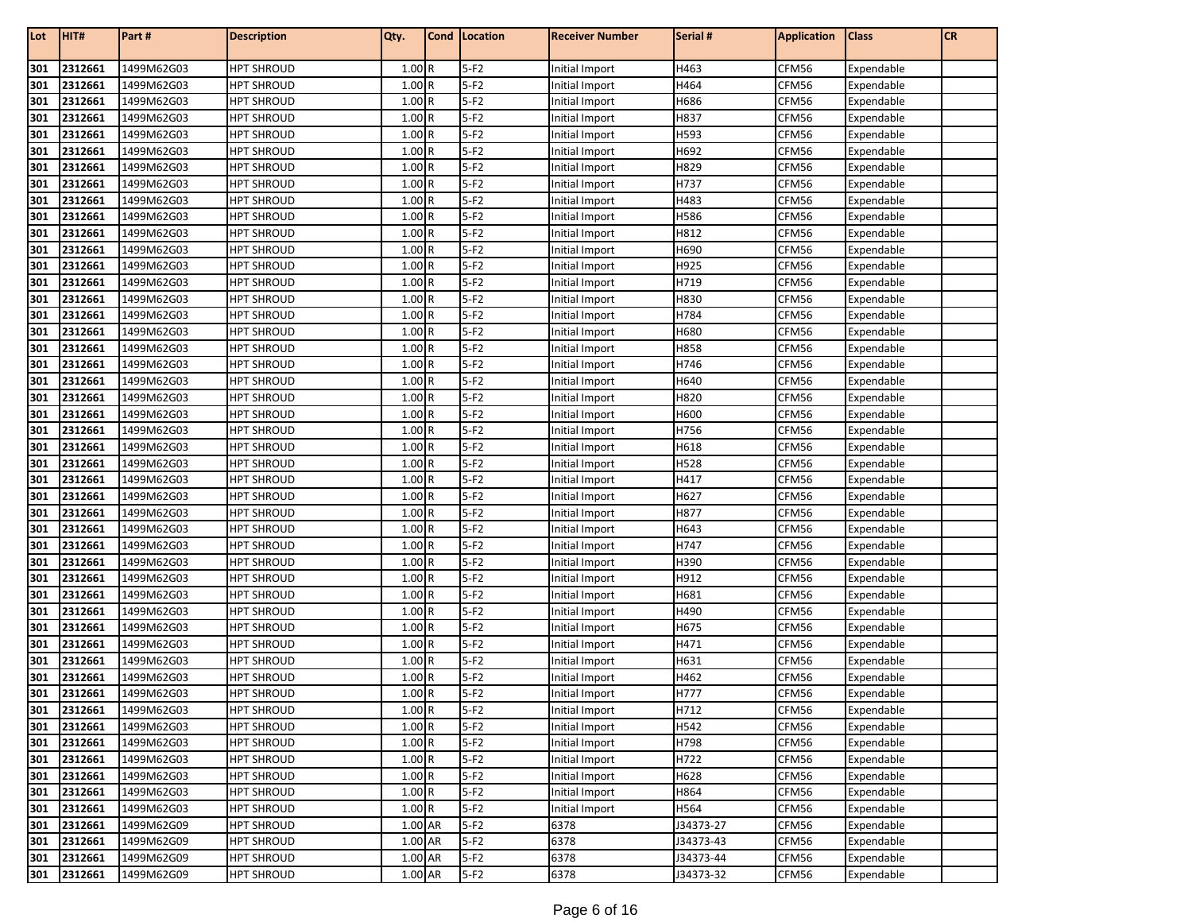| Lot        | HIT#               | Part#                    | <b>Description</b>                     | Qty.           | <b>Cond Location</b> | <b>Receiver Number</b>           | Serial #     | <b>Application</b> | <b>Class</b>             | <b>CR</b> |
|------------|--------------------|--------------------------|----------------------------------------|----------------|----------------------|----------------------------------|--------------|--------------------|--------------------------|-----------|
| 301        | 2312661            | 1499M62G03               | <b>HPT SHROUD</b>                      | 1.00R          | $5-F2$               | Initial Import                   | H463         | CFM56              | Expendable               |           |
| 301        | 2312661            | 1499M62G03               | <b>HPT SHROUD</b>                      | 1.00R          | $5-F2$               | Initial Import                   | H464         | CFM56              | Expendable               |           |
| 301        | 2312661            | 1499M62G03               | <b>HPT SHROUD</b>                      | 1.00R          | $5-F2$               | Initial Import                   | H686         | CFM56              | Expendable               |           |
| 301        | 2312661            | 1499M62G03               | <b>HPT SHROUD</b>                      | 1.00R          | $5-F2$               | Initial Import                   | H837         | CFM56              | Expendable               |           |
| 301        | 2312661            | 1499M62G03               | <b>HPT SHROUD</b>                      | 1.00R          | $5-F2$               | Initial Import                   | H593         | CFM56              | Expendable               |           |
| 301        | 2312661            | 1499M62G03               | <b>HPT SHROUD</b>                      | 1.00R          | $5-F2$               | Initial Import                   | H692         | CFM56              | Expendable               |           |
| 301        | 2312661            | 1499M62G03               | <b>HPT SHROUD</b>                      | 1.00R          | $5-F2$               | Initial Import                   | H829         | CFM56              | Expendable               |           |
| 301        | 2312661            | 1499M62G03               | <b>HPT SHROUD</b>                      | 1.00R          | $5-F2$               | Initial Import                   | H737         | CFM56              | Expendable               |           |
| 301        | 2312661            | 1499M62G03               | HPT SHROUD                             | 1.00R          | $5-F2$               | Initial Import                   | H483         | CFM56              | Expendable               |           |
| 301        | 2312661            | 1499M62G03               | <b>HPT SHROUD</b>                      | 1.00R          | $5-F2$               | Initial Import                   | H586         | CFM56              | Expendable               |           |
| 301        | 2312661            | 1499M62G03               | <b>HPT SHROUD</b>                      | 1.00R          | $5-F2$               | Initial Import                   | H812         | CFM56              | Expendable               |           |
| 301        | 2312661            | 1499M62G03               | <b>HPT SHROUD</b>                      | 1.00R          | $5-F2$               | Initial Import                   | H690         | CFM56              | Expendable               |           |
| 301        | 2312661            | 1499M62G03               | <b>HPT SHROUD</b>                      | 1.00R          | $5-F2$               | Initial Import                   | H925         | CFM56              | Expendable               |           |
| 301        | 2312661            | 1499M62G03               | <b>HPT SHROUD</b>                      | 1.00R          | $5-F2$               | Initial Import                   | H719         | CFM56              | Expendable               |           |
| 301        | 2312661            | 1499M62G03               | <b>HPT SHROUD</b>                      | 1.00R          | $5-F2$               | Initial Import                   | H830         | CFM56              | Expendable               |           |
| 301        | 2312661            | 1499M62G03               | <b>HPT SHROUD</b>                      | 1.00R          | $5-F2$               | Initial Import                   | H784         | CFM56              | Expendable               |           |
| 301        | 2312661            | 1499M62G03               | <b>HPT SHROUD</b>                      | 1.00R          | $5-F2$               | Initial Import                   | H680         | CFM56              | Expendable               |           |
| 301        | 2312661            | 1499M62G03               | <b>HPT SHROUD</b>                      | 1.00R          | $5-F2$               | Initial Import                   | H858         | CFM56              | Expendable               |           |
| 301        | 2312661            | 1499M62G03               | <b>HPT SHROUD</b>                      | 1.00R          | $5-F2$               | Initial Import                   | H746         | CFM56              | Expendable               |           |
| 301        | 2312661            | 1499M62G03               | <b>HPT SHROUD</b>                      | 1.00R          | $5-F2$               | Initial Import                   | H640         | CFM56              | Expendable               |           |
| 301        | 2312661            | 1499M62G03               | <b>HPT SHROUD</b>                      | 1.00R          | $5-F2$               | Initial Import                   | H820         | CFM56              | Expendable               |           |
| 301        | 2312661            | 1499M62G03               | <b>HPT SHROUD</b>                      | 1.00R          | $5-F2$               | Initial Import                   | H600         | CFM56              | Expendable               |           |
| 301        | 2312661            | 1499M62G03               | <b>HPT SHROUD</b>                      | 1.00R          | $5-F2$               | Initial Import                   | H756         | CFM56              | Expendable               |           |
| 301        | 2312661            | 1499M62G03               | <b>HPT SHROUD</b>                      | 1.00R          | $5-F2$               | Initial Import                   | H618         | CFM56              | Expendable               |           |
| 301        | 2312661            | 1499M62G03               | <b>HPT SHROUD</b>                      | 1.00R          | $5-F2$               | Initial Import                   | H528         | CFM56              | Expendable               |           |
| 301        | 2312661            | 1499M62G03               | HPT SHROUD                             | 1.00R          | $5-F2$               | Initial Import                   | H417         | CFM56              | Expendable               |           |
| 301        | 2312661            | 1499M62G03               | <b>HPT SHROUD</b>                      | 1.00R          | $5-F2$               | Initial Import                   | H627         | CFM56              | Expendable               |           |
| 301        | 2312661            | 1499M62G03               | <b>HPT SHROUD</b>                      | 1.00R          | $5-F2$               | Initial Import                   | H877         | CFM56              | Expendable               |           |
| 301        | 2312661            | 1499M62G03               | <b>HPT SHROUD</b>                      | 1.00R          | $5-F2$               | Initial Import                   | H643         | CFM56              | Expendable               |           |
| 301        | 2312661            | 1499M62G03               | <b>HPT SHROUD</b>                      | 1.00R          | $5-F2$               | Initial Import                   | H747         | CFM56              | Expendable               |           |
| 301        | 2312661            | 1499M62G03               | <b>HPT SHROUD</b>                      | 1.00R          | $5-F2$               | Initial Import                   | H390         | CFM56              | Expendable               |           |
| 301        | 2312661            | 1499M62G03               | <b>HPT SHROUD</b>                      | 1.00R          | $5-F2$               | Initial Import                   | H912         | CFM56              | Expendable               |           |
| 301        | 2312661            | 1499M62G03               | <b>HPT SHROUD</b>                      | 1.00R          | $5-F2$               | Initial Import                   | H681         | CFM56              | Expendable               |           |
| 301        | 2312661            | 1499M62G03               | <b>HPT SHROUD</b>                      | 1.00R          | $5-F2$               | Initial Import                   | H490         | CFM56              | Expendable               |           |
| 301        | 2312661            | 1499M62G03               | <b>HPT SHROUD</b>                      | 1.00R          | $5-F2$               | Initial Import                   | H675         | CFM56              | Expendable               |           |
| 301        | 2312661            | 1499M62G03               | <b>HPT SHROUD</b>                      | 1.00R          | $5-F2$               | Initial Import                   | H471         | CFM56              | Expendable               |           |
| 301        | 2312661            | 1499M62G03               | HPT SHROUD                             | 1.00R          | $5-F2$               | Initial Import                   | H631         | CFM56              | Expendable               |           |
| 301        | 2312661            | 1499M62G03               | <b>HPT SHROUD</b>                      | 1.00R          | $5-F2$               | Initial Import                   | H462         | CFM56              | Expendable               |           |
| 301        | 2312661            | 1499M62G03               | <b>HPT SHROUD</b>                      | 1.00R          | $5-F2$               | Initial Import                   | H777         | CFM56              | Expendable               |           |
| 301<br>301 | 2312661<br>2312661 | 1499M62G03               | <b>HPT SHROUD</b><br><b>HPT SHROUD</b> | 1.00R<br>1.00R | $5-F2$<br>$5-F2$     | Initial Import                   | H712<br>H542 | CFM56              | Expendable<br>Expendable |           |
| 301        |                    | 1499M62G03               |                                        | 1.00R          | $5-F2$               | Initial Import                   |              | CFM56              | Expendable               |           |
| 301        | 2312661<br>2312661 | 1499M62G03<br>1499M62G03 | <b>HPT SHROUD</b><br><b>HPT SHROUD</b> | 1.00R          | $5-F2$               | Initial Import<br>Initial Import | H798<br>H722 | CFM56<br>CFM56     | Expendable               |           |
| 301        | 2312661            | 1499M62G03               | <b>HPT SHROUD</b>                      | 1.00R          | $5-F2$               | Initial Import                   | H628         | CFM56              | Expendable               |           |
| 301        | 2312661            | 1499M62G03               | <b>HPT SHROUD</b>                      | 1.00R          | $5-F2$               | Initial Import                   | H864         | CFM56              | Expendable               |           |
| 301        | 2312661            | 1499M62G03               | <b>HPT SHROUD</b>                      | 1.00R          | $5-F2$               | Initial Import                   | H564         | CFM56              | Expendable               |           |
| 301        | 2312661            | 1499M62G09               | <b>HPT SHROUD</b>                      | 1.00 AR        | $5-F2$               | 6378                             | J34373-27    | CFM56              | Expendable               |           |
| 301        | 2312661            | 1499M62G09               | <b>HPT SHROUD</b>                      | 1.00 AR        | $5-F2$               | 6378                             | J34373-43    | CFM56              | Expendable               |           |
| 301        | 2312661            | 1499M62G09               | <b>HPT SHROUD</b>                      | 1.00 AR        | $5-F2$               | 6378                             | J34373-44    | CFM56              | Expendable               |           |
|            | 301 2312661        | 1499M62G09               | <b>HPT SHROUD</b>                      | 1.00 AR        | $5-F2$               | 6378                             | J34373-32    | CFM56              | Expendable               |           |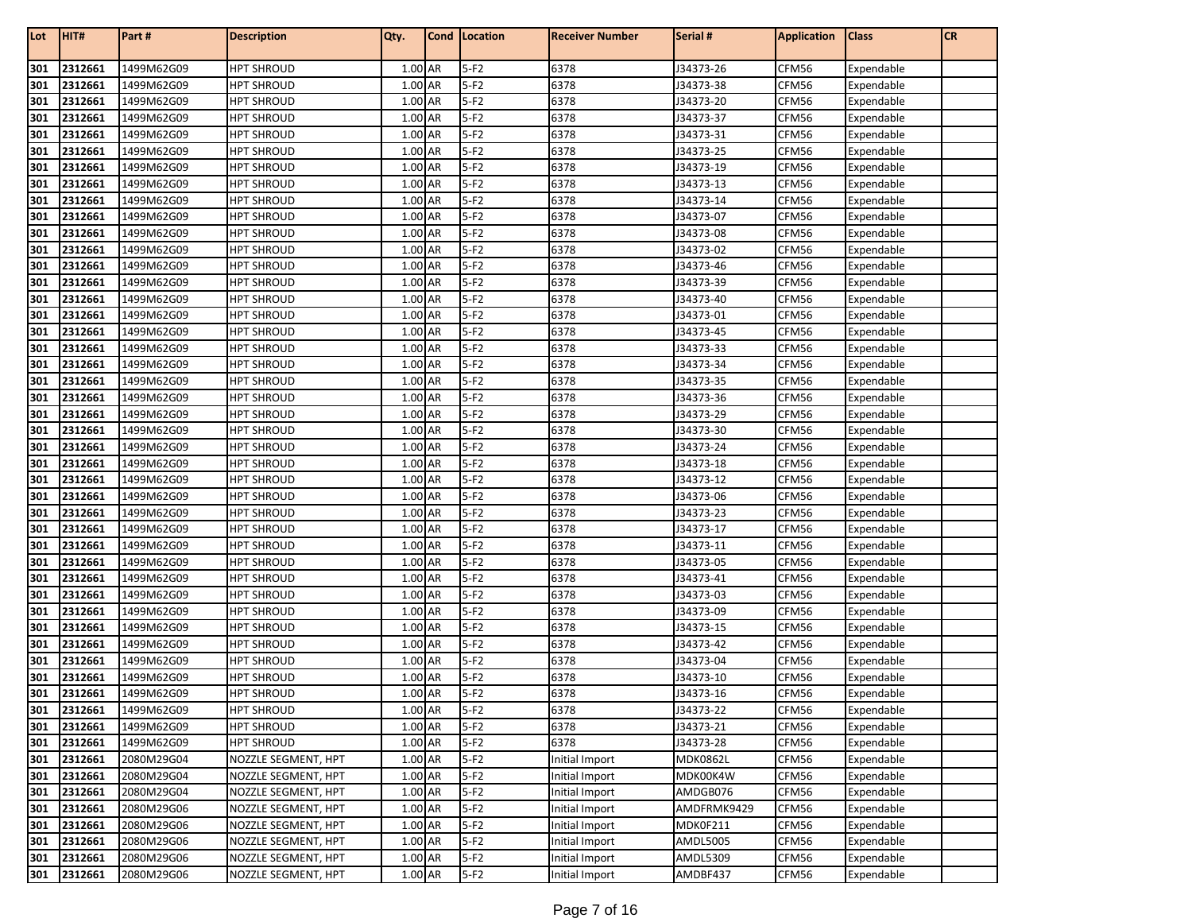| Lot        | HIT#               | Part#                    | <b>Description</b>                     | Qty.               | Cond   Location  | <b>Receiver Number</b> | Serial #               | <b>Application</b> | <b>Class</b>             | CR |
|------------|--------------------|--------------------------|----------------------------------------|--------------------|------------------|------------------------|------------------------|--------------------|--------------------------|----|
| 301        | 2312661            | 1499M62G09               | <b>HPT SHROUD</b>                      | 1.00 AR            | $5-F2$           | 6378                   | J34373-26              | CFM56              | Expendable               |    |
| 301        | 2312661            | 1499M62G09               | <b>HPT SHROUD</b>                      | 1.00 AR            | $5-F2$           | 6378                   | J34373-38              | CFM56              | Expendable               |    |
| 301        | 2312661            | 1499M62G09               | <b>HPT SHROUD</b>                      | 1.00 AR            | $5-F2$           | 6378                   | J34373-20              | CFM56              | Expendable               |    |
| 301        | 2312661            | 1499M62G09               | HPT SHROUD                             | 1.00 AR            | $5-F2$           | 6378                   | J34373-37              | CFM56              | Expendable               |    |
| 301        | 2312661            | 1499M62G09               | <b>HPT SHROUD</b>                      | 1.00 AR            | $5-F2$           | 6378                   | J34373-31              | CFM56              | Expendable               |    |
| 301        | 2312661            | 1499M62G09               | <b>HPT SHROUD</b>                      | 1.00 AR            | $5-F2$           | 6378                   | J34373-25              | CFM56              | Expendable               |    |
| 301        | 2312661            | 1499M62G09               | <b>HPT SHROUD</b>                      | 1.00 AR            | $5-F2$           | 6378                   | J34373-19              | CFM56              | Expendable               |    |
| 301        | 2312661            | 1499M62G09               | <b>HPT SHROUD</b>                      | 1.00 AR            | $5-F2$           | 6378                   | J34373-13              | CFM56              | Expendable               |    |
| 301        | 2312661            | 1499M62G09               | <b>HPT SHROUD</b>                      | 1.00 AR            | $5-F2$           | 6378                   | J34373-14              | CFM56              | Expendable               |    |
| 301        | 2312661            | 1499M62G09               | <b>HPT SHROUD</b>                      | 1.00 AR            | $5-F2$           | 6378                   | J34373-07              | CFM56              | Expendable               |    |
| 301        | 2312661            | 1499M62G09               | <b>HPT SHROUD</b>                      | 1.00 AR            | $5-F2$           | 6378                   | J34373-08              | CFM56              | Expendable               |    |
| 301        | 2312661            | 1499M62G09               | <b>HPT SHROUD</b>                      | 1.00 AR            | $5-F2$           | 6378                   | J34373-02              | CFM56              | Expendable               |    |
| 301        | 2312661            | 1499M62G09               | <b>HPT SHROUD</b>                      | 1.00 AR            | $5-F2$           | 6378                   | J34373-46              | CFM56              | Expendable               |    |
| 301        | 2312661            | 1499M62G09               | <b>HPT SHROUD</b>                      | 1.00 AR            | $5-F2$           | 6378                   | J34373-39              | CFM56              | Expendable               |    |
| 301        | 2312661            | 1499M62G09               | <b>HPT SHROUD</b>                      | 1.00 AR            | $5-F2$           | 6378                   | J34373-40              | CFM56              | Expendable               |    |
| 301        | 2312661            | 1499M62G09               | <b>HPT SHROUD</b>                      | 1.00 AR            | $5-F2$           | 6378                   | J34373-01              | CFM56              | Expendable               |    |
| 301        | 2312661            | 1499M62G09               | <b>HPT SHROUD</b>                      | 1.00 AR            | $5-F2$           | 6378                   | J34373-45              | CFM56              | Expendable               |    |
| 301        | 2312661            | 1499M62G09               | <b>HPT SHROUD</b>                      | 1.00 AR            | $5-F2$           | 6378                   | J34373-33              | CFM56              | Expendable               |    |
| 301        | 2312661            | 1499M62G09               | <b>HPT SHROUD</b>                      | 1.00 AR            | $5-F2$           | 6378                   | J34373-34              | CFM56              | Expendable               |    |
| 301        | 2312661            | 1499M62G09               | <b>HPT SHROUD</b>                      | 1.00 AR            | $5-F2$           | 6378                   | J34373-35              | CFM56              | Expendable               |    |
| 301        | 2312661            | 1499M62G09               | <b>HPT SHROUD</b>                      | 1.00 AR            | $5-F2$           | 6378                   | J34373-36              | CFM56              | Expendable               |    |
| 301        | 2312661            | 1499M62G09               | <b>HPT SHROUD</b>                      | 1.00 AR            | $5-F2$           | 6378                   | J34373-29              | CFM56              | Expendable               |    |
| 301        | 2312661            | 1499M62G09               | <b>HPT SHROUD</b>                      | 1.00 AR            | $5-F2$           | 6378                   | J34373-30              | CFM56              | Expendable               |    |
| 301        | 2312661            | 1499M62G09               | <b>HPT SHROUD</b>                      | 1.00 AR            | $5-F2$           | 6378                   | J34373-24              | CFM56              | Expendable               |    |
| 301        | 2312661            | 1499M62G09               | <b>HPT SHROUD</b>                      | 1.00 AR            | $5-F2$           | 6378                   | J34373-18              | CFM56              | Expendable               |    |
| 301        | 2312661            | 1499M62G09               | <b>HPT SHROUD</b>                      | 1.00 AR            | $5-F2$           | 6378                   | J34373-12              | CFM56              | Expendable               |    |
| 301        | 2312661            | 1499M62G09               | <b>HPT SHROUD</b>                      | 1.00 AR            | $5-F2$           | 6378                   | J34373-06              | CFM56              | Expendable               |    |
| 301        | 2312661            | 1499M62G09               | <b>HPT SHROUD</b>                      | 1.00 AR            | $5-F2$           | 6378                   | J34373-23              | CFM56              | Expendable               |    |
| 301        | 2312661            | 1499M62G09               | <b>HPT SHROUD</b>                      | 1.00 AR            | $5-F2$           | 6378                   | J34373-17              | CFM56              | Expendable               |    |
| 301        | 2312661            | 1499M62G09               | <b>HPT SHROUD</b>                      | 1.00 AR            | $5-F2$           | 6378                   | J34373-11              | CFM56              | Expendable               |    |
| 301        | 2312661            | 1499M62G09               | <b>HPT SHROUD</b>                      | 1.00 AR            | $5-F2$           | 6378                   | J34373-05              | CFM56              | Expendable               |    |
| 301        | 2312661            | 1499M62G09               | <b>HPT SHROUD</b>                      | 1.00 AR            | $5-F2$           | 6378                   | J34373-41              | CFM56              | Expendable               |    |
| 301        | 2312661            | 1499M62G09               | <b>HPT SHROUD</b>                      | 1.00 AR            | $5-F2$           | 6378                   | J34373-03              | CFM56              | Expendable               |    |
| 301        | 2312661            | 1499M62G09               | <b>HPT SHROUD</b>                      | 1.00 AR            | $5-F2$           | 6378                   | J34373-09              | CFM56              | Expendable               |    |
| 301        | 2312661            | 1499M62G09               | <b>HPT SHROUD</b>                      | 1.00 AR            | $5-F2$           | 6378                   | J34373-15              | CFM56              | Expendable               |    |
| 301        | 2312661            | 1499M62G09               | <b>HPT SHROUD</b>                      | 1.00 AR            | $5-F2$           | 6378                   | J34373-42              | CFM56              | Expendable               |    |
| 301        | 2312661            | 1499M62G09               | <b>HPT SHROUD</b>                      | 1.00 AR            | $5-F2$           | 6378                   | J34373-04              | CFM56              | Expendable               |    |
| 301<br>301 | 2312661            | 1499M62G09               | <b>HPT SHROUD</b>                      | 1.00 AR            | $5-F2$           | 6378                   | J34373-10              | CFM56              | Expendable               |    |
|            | 2312661            | 1499M62G09               | <b>HPT SHROUD</b><br><b>HPT SHROUD</b> | 1.00 AR            | $5-F2$<br>$5-F2$ | 6378                   | J34373-16              | CFM56              | Expendable               |    |
| 301<br>301 | 2312661<br>2312661 | 1499M62G09<br>1499M62G09 |                                        | 1.00 AR<br>1.00 AR | $5-F2$           | 6378<br>6378           | J34373-22<br>J34373-21 | CFM56              | Expendable<br>Expendable |    |
| 301        | 2312661            | 1499M62G09               | <b>HPT SHROUD</b><br><b>HPT SHROUD</b> | 1.00 AR            | $5-F2$           | 6378                   | J34373-28              | CFM56<br>CFM56     | Expendable               |    |
| 301        | 2312661            | 2080M29G04               | NOZZLE SEGMENT, HPT                    | 1.00 AR            | $5-F2$           | Initial Import         | <b>MDK0862L</b>        | CFM56              | Expendable               |    |
| 301        | 2312661            | 2080M29G04               | NOZZLE SEGMENT, HPT                    | 1.00 AR            | $5-F2$           | Initial Import         | MDK00K4W               | CFM56              | Expendable               |    |
| 301        | 2312661            | 2080M29G04               | NOZZLE SEGMENT, HPT                    | 1.00 AR            | $5-F2$           | Initial Import         | AMDGB076               | CFM56              | Expendable               |    |
| 301        | 2312661            | 2080M29G06               | NOZZLE SEGMENT, HPT                    | 1.00 AR            | $5-F2$           | Initial Import         | AMDFRMK9429            | CFM56              | Expendable               |    |
| 301        | 2312661            | 2080M29G06               | NOZZLE SEGMENT, HPT                    | 1.00 AR            | $5-F2$           | Initial Import         | MDK0F211               | CFM56              | Expendable               |    |
| 301        | 2312661            | 2080M29G06               | NOZZLE SEGMENT, HPT                    | 1.00 AR            | $5-F2$           | Initial Import         | AMDL5005               | CFM56              | Expendable               |    |
| 301        | 2312661            | 2080M29G06               | NOZZLE SEGMENT, HPT                    | 1.00 AR            | $5-F2$           | Initial Import         | AMDL5309               | CFM56              | Expendable               |    |
| 301        | 2312661            | 2080M29G06               | NOZZLE SEGMENT, HPT                    | 1.00 AR            | $5-F2$           | Initial Import         | AMDBF437               | CFM56              | Expendable               |    |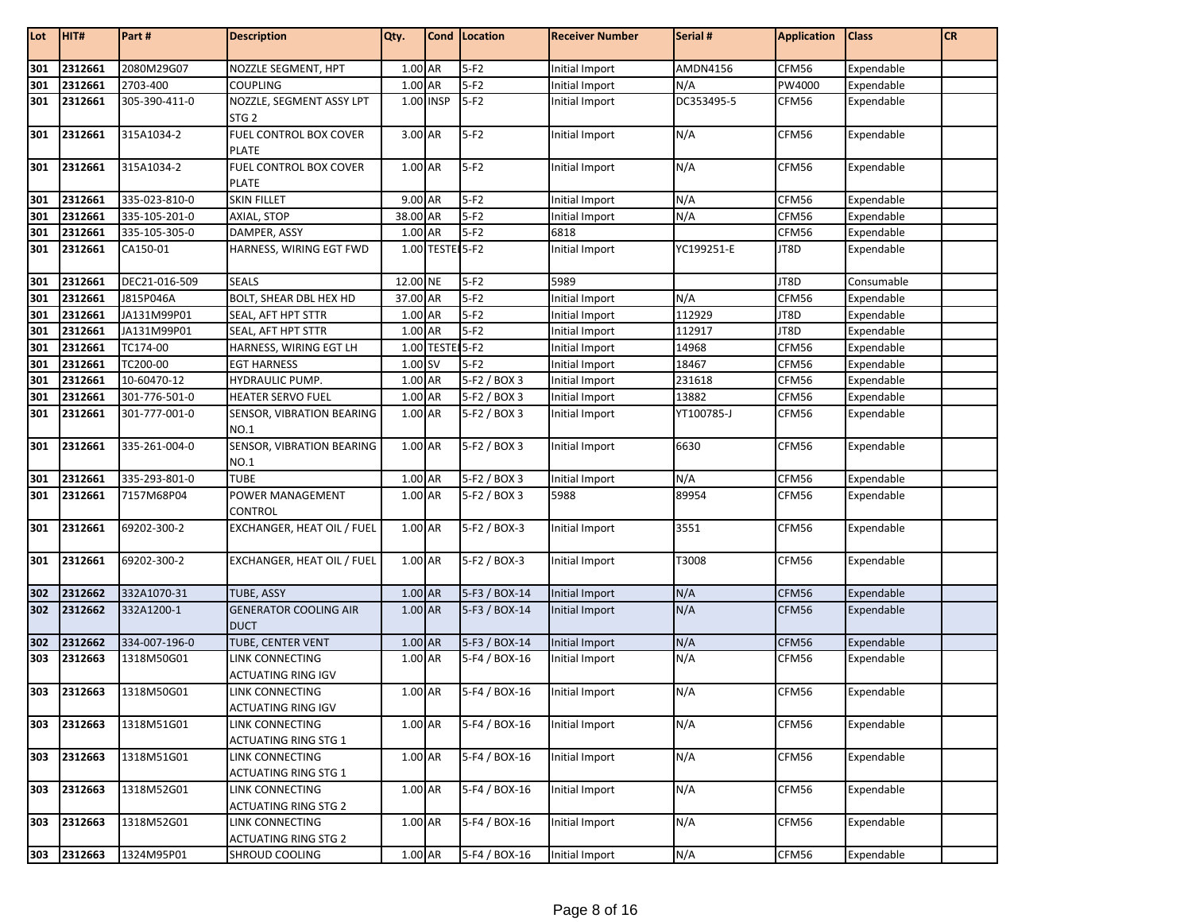| Lot | HIT#        | Part#         | <b>Description</b>                          | Qty.      |                 | Cond   Location | <b>Receiver Number</b> | Serial #   | <b>Application</b> | <b>Class</b> | <b>CR</b> |
|-----|-------------|---------------|---------------------------------------------|-----------|-----------------|-----------------|------------------------|------------|--------------------|--------------|-----------|
| 301 | 2312661     | 2080M29G07    | NOZZLE SEGMENT, HPT                         | 1.00 AR   |                 | $5-F2$          | Initial Import         | AMDN4156   | CFM56              | Expendable   |           |
| 301 | 2312661     | 2703-400      | <b>COUPLING</b>                             | 1.00 AR   |                 | $5-F2$          | Initial Import         | N/A        | PW4000             | Expendable   |           |
| 301 | 2312661     | 305-390-411-0 | NOZZLE, SEGMENT ASSY LPT                    |           | 1.00 INSP       | $5-F2$          | Initial Import         | DC353495-5 | CFM56              | Expendable   |           |
|     |             |               | STG <sub>2</sub>                            |           |                 |                 |                        |            |                    |              |           |
| 301 | 2312661     | 315A1034-2    | <b>FUEL CONTROL BOX COVER</b>               | 3.00 AR   |                 | $5-F2$          | Initial Import         | N/A        | CFM56              | Expendable   |           |
|     |             |               | <b>PLATE</b>                                |           |                 |                 |                        |            |                    |              |           |
| 301 | 2312661     | 315A1034-2    | FUEL CONTROL BOX COVER                      | 1.00 AR   |                 | $5-F2$          | Initial Import         | N/A        | CFM56              | Expendable   |           |
|     |             |               | <b>PLATE</b>                                |           |                 |                 |                        |            |                    |              |           |
| 301 | 2312661     | 335-023-810-0 | <b>SKIN FILLET</b>                          | 9.00 AR   |                 | $5-F2$          | Initial Import         | N/A        | CFM56              | Expendable   |           |
| 301 | 2312661     | 335-105-201-0 | AXIAL, STOP                                 | 38.00 AR  |                 | $5-F2$          | Initial Import         | N/A        | CFM56              | Expendable   |           |
| 301 | 2312661     | 335-105-305-0 | DAMPER, ASSY                                | $1.00$ AR |                 | $5-F2$          | 6818                   |            | CFM56              | Expendable   |           |
| 301 | 2312661     | CA150-01      | HARNESS, WIRING EGT FWD                     |           | 1.00 TESTE 5-F2 |                 | Initial Import         | YC199251-E | JT8D               | Expendable   |           |
| 301 | 2312661     | DEC21-016-509 | <b>SEALS</b>                                | 12.00 NE  |                 | $5-F2$          | 5989                   |            | JT8D               | Consumable   |           |
| 301 | 2312661     | J815P046A     | BOLT, SHEAR DBL HEX HD                      | 37.00 AR  |                 | $5-F2$          | Initial Import         | N/A        | CFM56              | Expendable   |           |
| 301 | 2312661     | JA131M99P01   | SEAL, AFT HPT STTR                          | 1.00 AR   |                 | $5-F2$          | Initial Import         | 112929     | JT8D               | Expendable   |           |
| 301 | 2312661     | JA131M99P01   | SEAL, AFT HPT STTR                          | 1.00 AR   |                 | $5-F2$          | Initial Import         | 112917     | JT8D               | Expendable   |           |
| 301 | 2312661     | TC174-00      | HARNESS, WIRING EGT LH                      |           | 1.00 TESTE 5-F2 |                 | Initial Import         | 14968      | CFM56              | Expendable   |           |
| 301 | 2312661     | TC200-00      | <b>EGT HARNESS</b>                          | 1.00 SV   |                 | $5-F2$          | Initial Import         | 18467      | CFM56              | Expendable   |           |
| 301 | 2312661     | 10-60470-12   | HYDRAULIC PUMP.                             | 1.00 AR   |                 | 5-F2 / BOX 3    | Initial Import         | 231618     | CFM56              | Expendable   |           |
| 301 | 2312661     | 301-776-501-0 | <b>HEATER SERVO FUEL</b>                    | 1.00 AR   |                 | 5-F2 / BOX 3    | Initial Import         | 13882      | CFM56              | Expendable   |           |
| 301 | 2312661     | 301-777-001-0 | SENSOR, VIBRATION BEARING                   | 1.00 AR   |                 | 5-F2 / BOX 3    | Initial Import         | YT100785-J | CFM56              | Expendable   |           |
|     |             |               | <b>NO.1</b>                                 |           |                 |                 |                        |            |                    |              |           |
| 301 | 2312661     | 335-261-004-0 | SENSOR, VIBRATION BEARING                   | 1.00 AR   |                 | 5-F2 / BOX 3    | Initial Import         | 6630       | CFM56              | Expendable   |           |
|     |             |               | <b>NO.1</b>                                 |           |                 |                 |                        |            |                    |              |           |
| 301 | 2312661     | 335-293-801-0 | <b>TUBE</b>                                 | 1.00 AR   |                 | 5-F2 / BOX 3    | Initial Import         | N/A        | CFM56              | Expendable   |           |
| 301 | 2312661     | 7157M68P04    | POWER MANAGEMENT                            | 1.00 AR   |                 | 5-F2 / BOX 3    | 5988                   | 89954      | CFM56              | Expendable   |           |
|     |             |               | <b>CONTROL</b>                              |           |                 |                 |                        |            |                    |              |           |
| 301 | 2312661     | 69202-300-2   | EXCHANGER, HEAT OIL / FUEL                  | 1.00 AR   |                 | 5-F2 / BOX-3    | Initial Import         | 3551       | CFM56              | Expendable   |           |
| 301 | 2312661     | 69202-300-2   | EXCHANGER, HEAT OIL / FUEL                  | 1.00 AR   |                 | 5-F2 / BOX-3    | Initial Import         | T3008      | CFM56              | Expendable   |           |
|     |             |               |                                             |           |                 |                 |                        |            |                    |              |           |
| 302 | 2312662     | 332A1070-31   | <b>TUBE, ASSY</b>                           | 1.00 AR   |                 | 5-F3 / BOX-14   | Initial Import         | N/A        | CFM56              | Expendable   |           |
| 302 | 2312662     | 332A1200-1    | <b>GENERATOR COOLING AIR</b><br><b>DUCT</b> | 1.00 AR   |                 | 5-F3 / BOX-14   | Initial Import         | N/A        | CFM56              | Expendable   |           |
| 302 | 2312662     | 334-007-196-0 | TUBE, CENTER VENT                           | 1.00 AR   |                 | 5-F3 / BOX-14   | Initial Import         | N/A        | CFM56              | Expendable   |           |
| 303 | 2312663     | 1318M50G01    | <b>LINK CONNECTING</b>                      | 1.00 AR   |                 | 5-F4 / BOX-16   | Initial Import         | N/A        | CFM56              | Expendable   |           |
|     |             |               | <b>ACTUATING RING IGV</b>                   |           |                 |                 |                        |            |                    |              |           |
| 303 | 2312663     | 1318M50G01    | LINK CONNECTING                             | 1.00 AR   |                 | 5-F4 / BOX-16   | Initial Import         | N/A        | CFM56              | Expendable   |           |
|     |             |               | <b>ACTUATING RING IGV</b>                   |           |                 |                 |                        |            |                    |              |           |
| 303 | 2312663     | 1318M51G01    | LINK CONNECTING                             | 1.00 AR   |                 | 5-F4 / BOX-16   | Initial Import         | N/A        | CFM56              | Expendable   |           |
|     |             |               | <b>ACTUATING RING STG 1</b>                 |           |                 |                 |                        |            |                    |              |           |
| 303 | 2312663     | 1318M51G01    | <b>LINK CONNECTING</b>                      | 1.00 AR   |                 | 5-F4 / BOX-16   | Initial Import         | N/A        | CFM56              | Expendable   |           |
|     |             |               | <b>ACTUATING RING STG 1</b>                 |           |                 |                 |                        |            |                    |              |           |
| 303 | 2312663     | 1318M52G01    | LINK CONNECTING                             | 1.00 AR   |                 | 5-F4 / BOX-16   | Initial Import         | N/A        | CFM56              | Expendable   |           |
|     |             |               | <b>ACTUATING RING STG 2</b>                 |           |                 |                 |                        |            |                    |              |           |
| 303 | 2312663     | 1318M52G01    | LINK CONNECTING                             | 1.00 AR   |                 | 5-F4 / BOX-16   | Initial Import         | N/A        | CFM56              | Expendable   |           |
|     |             |               | <b>ACTUATING RING STG 2</b>                 |           |                 |                 |                        |            |                    |              |           |
|     | 303 2312663 | 1324M95P01    | <b>SHROUD COOLING</b>                       | 1.00 AR   |                 | 5-F4 / BOX-16   | Initial Import         | N/A        | CFM56              | Expendable   |           |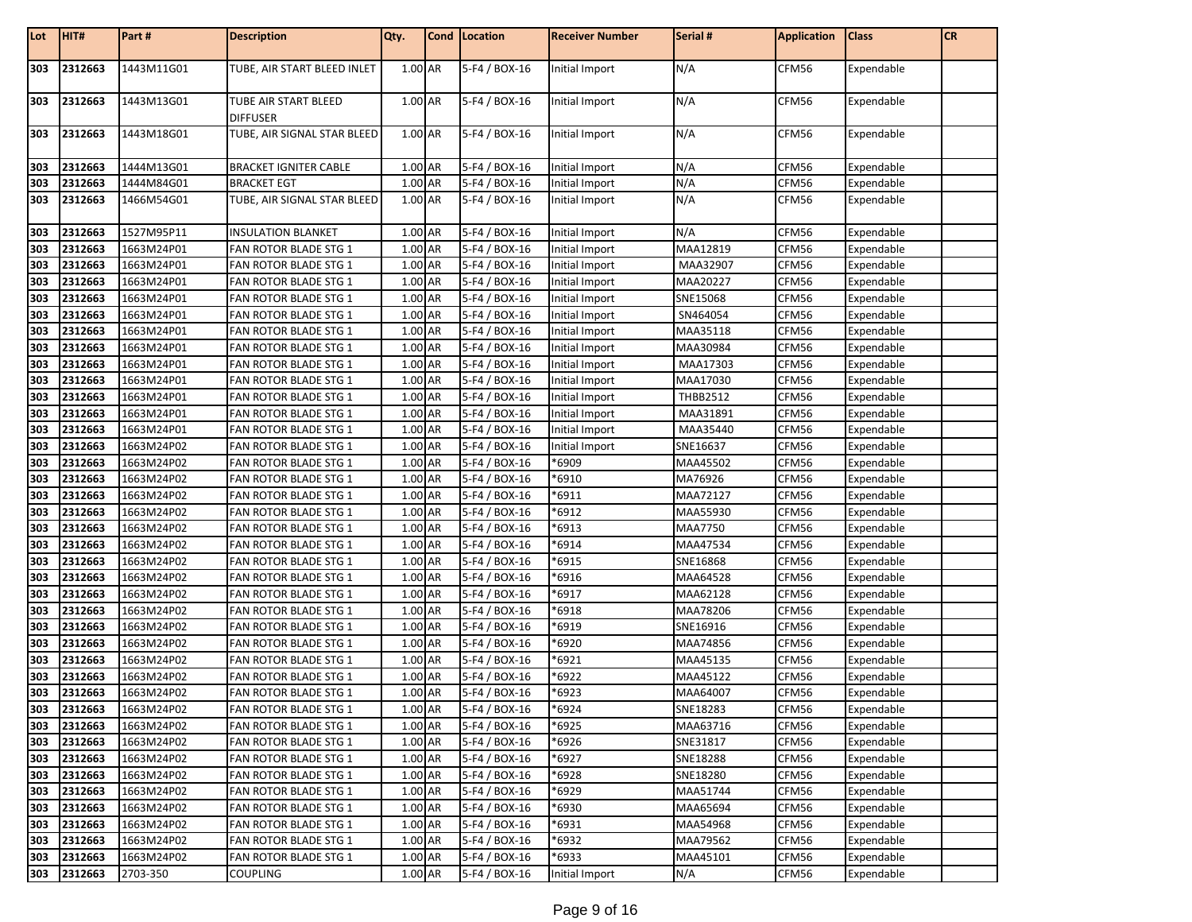| 303<br>2312663<br>TUBE, AIR START BLEED INLET<br>1.00 AR<br>5-F4 / BOX-16<br>N/A<br>CFM56<br>1443M11G01<br>Expendable<br>Initial Import<br>303<br>5-F4 / BOX-16<br>2312663<br>1443M13G01<br>TUBE AIR START BLEED<br>1.00 AR<br>N/A<br>CFM56<br>Initial Import<br>Expendable<br><b>DIFFUSER</b><br>303<br>1.00 AR<br>N/A<br>CFM56<br>2312663<br>1443M18G01<br>TUBE, AIR SIGNAL STAR BLEED<br>5-F4 / BOX-16<br>Expendable<br>Initial Import<br>303<br>1.00 AR<br>5-F4 / BOX-16<br>N/A<br>CFM56<br>2312663<br>1444M13G01<br><b>BRACKET IGNITER CABLE</b><br>Initial Import<br>Expendable<br>5-F4 / BOX-16<br>N/A<br>303<br>2312663<br>1444M84G01<br><b>BRACKET EGT</b><br>1.00 AR<br>Initial Import<br>CFM56<br>Expendable<br>1.00 AR<br>N/A<br>303<br>2312663<br>TUBE, AIR SIGNAL STAR BLEED<br>5-F4 / BOX-16<br>CFM56<br>1466M54G01<br>Initial Import<br>Expendable<br>N/A<br><b>INSULATION BLANKET</b><br>1.00 AR<br>5-F4 / BOX-16<br>CFM56<br>2312663<br>1527M95P11<br>Initial Import<br>Expendable<br>303<br>303<br>2312663<br>1.00 AR<br>5-F4 / BOX-16<br>MAA12819<br>CFM56<br>1663M24P01<br>FAN ROTOR BLADE STG 1<br>Initial Import<br>Expendable<br>303<br>1.00 AR<br>5-F4 / BOX-16<br>2312663<br>1663M24P01<br>FAN ROTOR BLADE STG 1<br>Initial Import<br>MAA32907<br>CFM56<br>Expendable<br>303<br>1.00 AR<br>2312663<br>5-F4 / BOX-16<br>MAA20227<br>CFM56<br>1663M24P01<br>FAN ROTOR BLADE STG 1<br>Initial Import<br>Expendable<br>2312663<br>CFM56<br>303<br>1663M24P01<br>1.00 AR<br>5-F4 / BOX-16<br>SNE15068<br>Expendable<br>FAN ROTOR BLADE STG 1<br>Initial Import<br>303<br>2312663<br>1.00 AR<br>5-F4 / BOX-16<br>CFM56<br>1663M24P01<br>Initial Import<br>SN464054<br>Expendable<br>FAN ROTOR BLADE STG 1<br>1.00 AR<br>5-F4 / BOX-16<br>CFM56<br>303<br>2312663<br>MAA35118<br>1663M24P01<br>FAN ROTOR BLADE STG 1<br>Initial Import<br>Expendable<br>303<br>2312663<br>1.00 AR<br>5-F4 / BOX-16<br>MAA30984<br>CFM56<br>1663M24P01<br>FAN ROTOR BLADE STG 1<br>Initial Import<br>Expendable<br>1.00 AR<br>5-F4 / BOX-16<br>303<br>2312663<br>1663M24P01<br>MAA17303<br>CFM56<br>Expendable<br>FAN ROTOR BLADE STG 1<br>Initial Import<br>1.00 AR<br>303<br>2312663<br>5-F4 / BOX-16<br>MAA17030<br>CFM56<br>1663M24P01<br>FAN ROTOR BLADE STG 1<br>Initial Import<br>Expendable<br>303<br>CFM56<br>2312663<br>1.00 AR<br>5-F4 / BOX-16<br>THBB2512<br>1663M24P01<br>FAN ROTOR BLADE STG 1<br>Expendable<br>Initial Import<br>1.00 AR<br>5-F4 / BOX-16<br>CFM56<br>2312663<br>1663M24P01<br>MAA31891<br>Expendable<br>303<br>FAN ROTOR BLADE STG 1<br>Initial Import<br>303<br>2312663<br>1.00 AR<br>5-F4 / BOX-16<br>MAA35440<br>CFM56<br>1663M24P01<br>FAN ROTOR BLADE STG 1<br>Expendable<br>Initial Import<br>303<br>2312663<br>1.00 AR<br>5-F4 / BOX-16<br>SNE16637<br>CFM56<br>1663M24P02<br>FAN ROTOR BLADE STG 1<br>Expendable<br>Initial Import<br>1.00 AR<br>5-F4 / BOX-16<br>CFM56<br>303<br>2312663<br>1663M24P02<br>FAN ROTOR BLADE STG 1<br>*6909<br>MAA45502<br>Expendable<br>303<br>2312663<br>1.00 AR<br>*6910<br>CFM56<br>1663M24P02<br>5-F4 / BOX-16<br>MA76926<br>Expendable<br>FAN ROTOR BLADE STG 1<br>303<br>2312663<br>5-F4 / BOX-16<br>*6911<br>CFM56<br>1663M24P02<br>1.00 AR<br>MAA72127<br>Expendable<br>FAN ROTOR BLADE STG 1<br>303<br>*6912<br>2312663<br>1.00 AR<br>5-F4 / BOX-16<br>MAA55930<br>CFM56<br>1663M24P02<br>FAN ROTOR BLADE STG 1<br>Expendable<br>303<br>2312663<br>1.00 AR<br>5-F4 / BOX-16<br>*6913<br><b>MAA7750</b><br>CFM56<br>1663M24P02<br>FAN ROTOR BLADE STG 1<br>Expendable<br>1.00 AR<br>5-F4 / BOX-16<br>*6914<br>MAA47534<br>303<br>2312663<br>1663M24P02<br>CFM56<br>Expendable<br>FAN ROTOR BLADE STG 1<br>1.00 AR<br>*6915<br>303<br>2312663<br>5-F4 / BOX-16<br>SNE16868<br>CFM56<br>1663M24P02<br>FAN ROTOR BLADE STG 1<br>Expendable<br>CFM56<br>303<br>2312663<br>5-F4 / BOX-16<br>*6916<br>1663M24P02<br>1.00 AR<br>MAA64528<br>Expendable<br>FAN ROTOR BLADE STG 1<br>1.00 AR<br>5-F4 / BOX-16<br>*6917<br>MAA62128<br>CFM56<br>303<br>2312663<br>1663M24P02<br>FAN ROTOR BLADE STG 1<br>Expendable<br>303<br>2312663<br>1.00 AR<br>5-F4 / BOX-16<br>*6918<br>MAA78206<br>CFM56<br>1663M24P02<br>FAN ROTOR BLADE STG 1<br>Expendable<br>303<br>*6919<br>2312663<br>1.00 AR<br>5-F4 / BOX-16<br>SNE16916<br>CFM56<br>Expendable<br>1663M24P02<br>FAN ROTOR BLADE STG 1<br>5-F4 / BOX-16<br>*6920<br>2312663<br>1663M24P02<br>1.00 AR<br>CFM56<br>303<br>FAN ROTOR BLADE STG 1<br>MAA74856<br>Expendable<br>303<br>*6921<br>CFM56<br>2312663<br>1663M24P02<br>1.00 AR<br>5-F4 / BOX-16<br>MAA45135<br>Expendable<br>FAN ROTOR BLADE STG 1<br>303<br>5-F4 / BOX-16<br>*6922<br>CFM56<br>2312663<br>1663M24P02<br>1.00 AR<br>MAA45122<br>Expendable<br>FAN ROTOR BLADE STG 1<br>303<br>2312663<br>1.00 AR<br>5-F4 / BOX-16<br>*6923<br>MAA64007<br>CFM56<br>1663M24P02<br>FAN ROTOR BLADE STG 1<br>Expendable<br>1663M24P02<br>FAN ROTOR BLADE STG 1<br>1.00 AR<br>5-F4 / BOX-16<br>*6924<br>SNE18283<br>CFM56<br>Expendable<br>303<br>1.00 AR<br>5-F4 / BOX-16<br>2312663<br>1663M24P02<br>FAN ROTOR BLADE STG 1<br>*6925<br>MAA63716<br>CFM56<br>Expendable<br>303 2312663<br>1.00 AR<br>5-F4 / BOX-16<br>*6926<br>SNE31817<br>CFM56<br>1663M24P02<br>FAN ROTOR BLADE STG 1<br>Expendable<br>303<br>CFM56<br>2312663<br>1663M24P02<br>1.00 AR<br>5-F4 / BOX-16<br>*6927<br>SNE18288<br>Expendable<br>FAN ROTOR BLADE STG 1<br>303<br>5-F4 / BOX-16<br>2312663<br>1663M24P02<br>FAN ROTOR BLADE STG 1<br>1.00 AR<br>*6928<br>SNE18280<br>CFM56<br>Expendable<br>303<br>2312663<br>1663M24P02<br>FAN ROTOR BLADE STG 1<br>1.00 AR<br>5-F4 / BOX-16<br>*6929<br>MAA51744<br>CFM56<br>Expendable<br>303<br>1.00 AR<br>MAA65694<br>CFM56<br>2312663<br>1663M24P02<br>5-F4 / BOX-16<br>*6930<br>Expendable<br>FAN ROTOR BLADE STG 1<br>1.00 AR<br>5-F4 / BOX-16<br>303<br>2312663<br>1663M24P02<br>FAN ROTOR BLADE STG 1<br>*6931<br>MAA54968<br>CFM56<br>Expendable<br>303 2312663<br>1.00 AR<br>$*6932$<br>1663M24P02<br>FAN ROTOR BLADE STG 1<br>5-F4 / BOX-16<br>MAA79562<br>CFM56<br>Expendable<br>303<br>2312663<br>1.00 AR<br>5-F4 / BOX-16<br>*6933<br>MAA45101<br>CFM56<br>1663M24P02<br>FAN ROTOR BLADE STG 1<br>Expendable<br>1.00 AR<br>N/A | Lot | HIT# | Part #   | <b>Description</b> | Qty. | Cond   Location | <b>Receiver Number</b> | Serial # | <b>Application</b> | <b>Class</b> | <b>CR</b> |
|-----------------------------------------------------------------------------------------------------------------------------------------------------------------------------------------------------------------------------------------------------------------------------------------------------------------------------------------------------------------------------------------------------------------------------------------------------------------------------------------------------------------------------------------------------------------------------------------------------------------------------------------------------------------------------------------------------------------------------------------------------------------------------------------------------------------------------------------------------------------------------------------------------------------------------------------------------------------------------------------------------------------------------------------------------------------------------------------------------------------------------------------------------------------------------------------------------------------------------------------------------------------------------------------------------------------------------------------------------------------------------------------------------------------------------------------------------------------------------------------------------------------------------------------------------------------------------------------------------------------------------------------------------------------------------------------------------------------------------------------------------------------------------------------------------------------------------------------------------------------------------------------------------------------------------------------------------------------------------------------------------------------------------------------------------------------------------------------------------------------------------------------------------------------------------------------------------------------------------------------------------------------------------------------------------------------------------------------------------------------------------------------------------------------------------------------------------------------------------------------------------------------------------------------------------------------------------------------------------------------------------------------------------------------------------------------------------------------------------------------------------------------------------------------------------------------------------------------------------------------------------------------------------------------------------------------------------------------------------------------------------------------------------------------------------------------------------------------------------------------------------------------------------------------------------------------------------------------------------------------------------------------------------------------------------------------------------------------------------------------------------------------------------------------------------------------------------------------------------------------------------------------------------------------------------------------------------------------------------------------------------------------------------------------------------------------------------------------------------------------------------------------------------------------------------------------------------------------------------------------------------------------------------------------------------------------------------------------------------------------------------------------------------------------------------------------------------------------------------------------------------------------------------------------------------------------------------------------------------------------------------------------------------------------------------------------------------------------------------------------------------------------------------------------------------------------------------------------------------------------------------------------------------------------------------------------------------------------------------------------------------------------------------------------------------------------------------------------------------------------------------------------------------------------------------------------------------------------------------------------------------------------------------------------------------------------------------------------------------------------------------------------------------------------------------------------------------------------------------------------------------------------------------------------------------------------------------------------------------------------------------------------------------------------------------------------------------------------------------------------------------------------------------------------------------------------------------------------------------------------------------------------------------------------------------------------------------------------------------------------------------------------------------------------------------------------------------------------------------------------------------------------------------------------------------------------------------------------------------------------------------------------------------------------------------------------------------------------------------------------------------------------------------------------------------------------------------------------------------------------------------------------------------------------------------------------------------------------------------------------|-----|------|----------|--------------------|------|-----------------|------------------------|----------|--------------------|--------------|-----------|
| 303 2312663<br>303 2312663                                                                                                                                                                                                                                                                                                                                                                                                                                                                                                                                                                                                                                                                                                                                                                                                                                                                                                                                                                                                                                                                                                                                                                                                                                                                                                                                                                                                                                                                                                                                                                                                                                                                                                                                                                                                                                                                                                                                                                                                                                                                                                                                                                                                                                                                                                                                                                                                                                                                                                                                                                                                                                                                                                                                                                                                                                                                                                                                                                                                                                                                                                                                                                                                                                                                                                                                                                                                                                                                                                                                                                                                                                                                                                                                                                                                                                                                                                                                                                                                                                                                                                                                                                                                                                                                                                                                                                                                                                                                                                                                                                                                                                                                                                                                                                                                                                                                                                                                                                                                                                                                                                                                                                                                                                                                                                                                                                                                                                                                                                                                                                                                                                                                                                                                                                                                                                                                                                                                                                                                                                                                                                                                                                                                              |     |      |          |                    |      |                 |                        |          |                    |              |           |
|                                                                                                                                                                                                                                                                                                                                                                                                                                                                                                                                                                                                                                                                                                                                                                                                                                                                                                                                                                                                                                                                                                                                                                                                                                                                                                                                                                                                                                                                                                                                                                                                                                                                                                                                                                                                                                                                                                                                                                                                                                                                                                                                                                                                                                                                                                                                                                                                                                                                                                                                                                                                                                                                                                                                                                                                                                                                                                                                                                                                                                                                                                                                                                                                                                                                                                                                                                                                                                                                                                                                                                                                                                                                                                                                                                                                                                                                                                                                                                                                                                                                                                                                                                                                                                                                                                                                                                                                                                                                                                                                                                                                                                                                                                                                                                                                                                                                                                                                                                                                                                                                                                                                                                                                                                                                                                                                                                                                                                                                                                                                                                                                                                                                                                                                                                                                                                                                                                                                                                                                                                                                                                                                                                                                                                         |     |      |          |                    |      |                 |                        |          |                    |              |           |
|                                                                                                                                                                                                                                                                                                                                                                                                                                                                                                                                                                                                                                                                                                                                                                                                                                                                                                                                                                                                                                                                                                                                                                                                                                                                                                                                                                                                                                                                                                                                                                                                                                                                                                                                                                                                                                                                                                                                                                                                                                                                                                                                                                                                                                                                                                                                                                                                                                                                                                                                                                                                                                                                                                                                                                                                                                                                                                                                                                                                                                                                                                                                                                                                                                                                                                                                                                                                                                                                                                                                                                                                                                                                                                                                                                                                                                                                                                                                                                                                                                                                                                                                                                                                                                                                                                                                                                                                                                                                                                                                                                                                                                                                                                                                                                                                                                                                                                                                                                                                                                                                                                                                                                                                                                                                                                                                                                                                                                                                                                                                                                                                                                                                                                                                                                                                                                                                                                                                                                                                                                                                                                                                                                                                                                         |     |      |          |                    |      |                 |                        |          |                    |              |           |
|                                                                                                                                                                                                                                                                                                                                                                                                                                                                                                                                                                                                                                                                                                                                                                                                                                                                                                                                                                                                                                                                                                                                                                                                                                                                                                                                                                                                                                                                                                                                                                                                                                                                                                                                                                                                                                                                                                                                                                                                                                                                                                                                                                                                                                                                                                                                                                                                                                                                                                                                                                                                                                                                                                                                                                                                                                                                                                                                                                                                                                                                                                                                                                                                                                                                                                                                                                                                                                                                                                                                                                                                                                                                                                                                                                                                                                                                                                                                                                                                                                                                                                                                                                                                                                                                                                                                                                                                                                                                                                                                                                                                                                                                                                                                                                                                                                                                                                                                                                                                                                                                                                                                                                                                                                                                                                                                                                                                                                                                                                                                                                                                                                                                                                                                                                                                                                                                                                                                                                                                                                                                                                                                                                                                                                         |     |      |          |                    |      |                 |                        |          |                    |              |           |
|                                                                                                                                                                                                                                                                                                                                                                                                                                                                                                                                                                                                                                                                                                                                                                                                                                                                                                                                                                                                                                                                                                                                                                                                                                                                                                                                                                                                                                                                                                                                                                                                                                                                                                                                                                                                                                                                                                                                                                                                                                                                                                                                                                                                                                                                                                                                                                                                                                                                                                                                                                                                                                                                                                                                                                                                                                                                                                                                                                                                                                                                                                                                                                                                                                                                                                                                                                                                                                                                                                                                                                                                                                                                                                                                                                                                                                                                                                                                                                                                                                                                                                                                                                                                                                                                                                                                                                                                                                                                                                                                                                                                                                                                                                                                                                                                                                                                                                                                                                                                                                                                                                                                                                                                                                                                                                                                                                                                                                                                                                                                                                                                                                                                                                                                                                                                                                                                                                                                                                                                                                                                                                                                                                                                                                         |     |      |          |                    |      |                 |                        |          |                    |              |           |
|                                                                                                                                                                                                                                                                                                                                                                                                                                                                                                                                                                                                                                                                                                                                                                                                                                                                                                                                                                                                                                                                                                                                                                                                                                                                                                                                                                                                                                                                                                                                                                                                                                                                                                                                                                                                                                                                                                                                                                                                                                                                                                                                                                                                                                                                                                                                                                                                                                                                                                                                                                                                                                                                                                                                                                                                                                                                                                                                                                                                                                                                                                                                                                                                                                                                                                                                                                                                                                                                                                                                                                                                                                                                                                                                                                                                                                                                                                                                                                                                                                                                                                                                                                                                                                                                                                                                                                                                                                                                                                                                                                                                                                                                                                                                                                                                                                                                                                                                                                                                                                                                                                                                                                                                                                                                                                                                                                                                                                                                                                                                                                                                                                                                                                                                                                                                                                                                                                                                                                                                                                                                                                                                                                                                                                         |     |      |          |                    |      |                 |                        |          |                    |              |           |
|                                                                                                                                                                                                                                                                                                                                                                                                                                                                                                                                                                                                                                                                                                                                                                                                                                                                                                                                                                                                                                                                                                                                                                                                                                                                                                                                                                                                                                                                                                                                                                                                                                                                                                                                                                                                                                                                                                                                                                                                                                                                                                                                                                                                                                                                                                                                                                                                                                                                                                                                                                                                                                                                                                                                                                                                                                                                                                                                                                                                                                                                                                                                                                                                                                                                                                                                                                                                                                                                                                                                                                                                                                                                                                                                                                                                                                                                                                                                                                                                                                                                                                                                                                                                                                                                                                                                                                                                                                                                                                                                                                                                                                                                                                                                                                                                                                                                                                                                                                                                                                                                                                                                                                                                                                                                                                                                                                                                                                                                                                                                                                                                                                                                                                                                                                                                                                                                                                                                                                                                                                                                                                                                                                                                                                         |     |      |          |                    |      |                 |                        |          |                    |              |           |
|                                                                                                                                                                                                                                                                                                                                                                                                                                                                                                                                                                                                                                                                                                                                                                                                                                                                                                                                                                                                                                                                                                                                                                                                                                                                                                                                                                                                                                                                                                                                                                                                                                                                                                                                                                                                                                                                                                                                                                                                                                                                                                                                                                                                                                                                                                                                                                                                                                                                                                                                                                                                                                                                                                                                                                                                                                                                                                                                                                                                                                                                                                                                                                                                                                                                                                                                                                                                                                                                                                                                                                                                                                                                                                                                                                                                                                                                                                                                                                                                                                                                                                                                                                                                                                                                                                                                                                                                                                                                                                                                                                                                                                                                                                                                                                                                                                                                                                                                                                                                                                                                                                                                                                                                                                                                                                                                                                                                                                                                                                                                                                                                                                                                                                                                                                                                                                                                                                                                                                                                                                                                                                                                                                                                                                         |     |      |          |                    |      |                 |                        |          |                    |              |           |
|                                                                                                                                                                                                                                                                                                                                                                                                                                                                                                                                                                                                                                                                                                                                                                                                                                                                                                                                                                                                                                                                                                                                                                                                                                                                                                                                                                                                                                                                                                                                                                                                                                                                                                                                                                                                                                                                                                                                                                                                                                                                                                                                                                                                                                                                                                                                                                                                                                                                                                                                                                                                                                                                                                                                                                                                                                                                                                                                                                                                                                                                                                                                                                                                                                                                                                                                                                                                                                                                                                                                                                                                                                                                                                                                                                                                                                                                                                                                                                                                                                                                                                                                                                                                                                                                                                                                                                                                                                                                                                                                                                                                                                                                                                                                                                                                                                                                                                                                                                                                                                                                                                                                                                                                                                                                                                                                                                                                                                                                                                                                                                                                                                                                                                                                                                                                                                                                                                                                                                                                                                                                                                                                                                                                                                         |     |      |          |                    |      |                 |                        |          |                    |              |           |
|                                                                                                                                                                                                                                                                                                                                                                                                                                                                                                                                                                                                                                                                                                                                                                                                                                                                                                                                                                                                                                                                                                                                                                                                                                                                                                                                                                                                                                                                                                                                                                                                                                                                                                                                                                                                                                                                                                                                                                                                                                                                                                                                                                                                                                                                                                                                                                                                                                                                                                                                                                                                                                                                                                                                                                                                                                                                                                                                                                                                                                                                                                                                                                                                                                                                                                                                                                                                                                                                                                                                                                                                                                                                                                                                                                                                                                                                                                                                                                                                                                                                                                                                                                                                                                                                                                                                                                                                                                                                                                                                                                                                                                                                                                                                                                                                                                                                                                                                                                                                                                                                                                                                                                                                                                                                                                                                                                                                                                                                                                                                                                                                                                                                                                                                                                                                                                                                                                                                                                                                                                                                                                                                                                                                                                         |     |      |          |                    |      |                 |                        |          |                    |              |           |
|                                                                                                                                                                                                                                                                                                                                                                                                                                                                                                                                                                                                                                                                                                                                                                                                                                                                                                                                                                                                                                                                                                                                                                                                                                                                                                                                                                                                                                                                                                                                                                                                                                                                                                                                                                                                                                                                                                                                                                                                                                                                                                                                                                                                                                                                                                                                                                                                                                                                                                                                                                                                                                                                                                                                                                                                                                                                                                                                                                                                                                                                                                                                                                                                                                                                                                                                                                                                                                                                                                                                                                                                                                                                                                                                                                                                                                                                                                                                                                                                                                                                                                                                                                                                                                                                                                                                                                                                                                                                                                                                                                                                                                                                                                                                                                                                                                                                                                                                                                                                                                                                                                                                                                                                                                                                                                                                                                                                                                                                                                                                                                                                                                                                                                                                                                                                                                                                                                                                                                                                                                                                                                                                                                                                                                         |     |      |          |                    |      |                 |                        |          |                    |              |           |
|                                                                                                                                                                                                                                                                                                                                                                                                                                                                                                                                                                                                                                                                                                                                                                                                                                                                                                                                                                                                                                                                                                                                                                                                                                                                                                                                                                                                                                                                                                                                                                                                                                                                                                                                                                                                                                                                                                                                                                                                                                                                                                                                                                                                                                                                                                                                                                                                                                                                                                                                                                                                                                                                                                                                                                                                                                                                                                                                                                                                                                                                                                                                                                                                                                                                                                                                                                                                                                                                                                                                                                                                                                                                                                                                                                                                                                                                                                                                                                                                                                                                                                                                                                                                                                                                                                                                                                                                                                                                                                                                                                                                                                                                                                                                                                                                                                                                                                                                                                                                                                                                                                                                                                                                                                                                                                                                                                                                                                                                                                                                                                                                                                                                                                                                                                                                                                                                                                                                                                                                                                                                                                                                                                                                                                         |     |      |          |                    |      |                 |                        |          |                    |              |           |
|                                                                                                                                                                                                                                                                                                                                                                                                                                                                                                                                                                                                                                                                                                                                                                                                                                                                                                                                                                                                                                                                                                                                                                                                                                                                                                                                                                                                                                                                                                                                                                                                                                                                                                                                                                                                                                                                                                                                                                                                                                                                                                                                                                                                                                                                                                                                                                                                                                                                                                                                                                                                                                                                                                                                                                                                                                                                                                                                                                                                                                                                                                                                                                                                                                                                                                                                                                                                                                                                                                                                                                                                                                                                                                                                                                                                                                                                                                                                                                                                                                                                                                                                                                                                                                                                                                                                                                                                                                                                                                                                                                                                                                                                                                                                                                                                                                                                                                                                                                                                                                                                                                                                                                                                                                                                                                                                                                                                                                                                                                                                                                                                                                                                                                                                                                                                                                                                                                                                                                                                                                                                                                                                                                                                                                         |     |      |          |                    |      |                 |                        |          |                    |              |           |
|                                                                                                                                                                                                                                                                                                                                                                                                                                                                                                                                                                                                                                                                                                                                                                                                                                                                                                                                                                                                                                                                                                                                                                                                                                                                                                                                                                                                                                                                                                                                                                                                                                                                                                                                                                                                                                                                                                                                                                                                                                                                                                                                                                                                                                                                                                                                                                                                                                                                                                                                                                                                                                                                                                                                                                                                                                                                                                                                                                                                                                                                                                                                                                                                                                                                                                                                                                                                                                                                                                                                                                                                                                                                                                                                                                                                                                                                                                                                                                                                                                                                                                                                                                                                                                                                                                                                                                                                                                                                                                                                                                                                                                                                                                                                                                                                                                                                                                                                                                                                                                                                                                                                                                                                                                                                                                                                                                                                                                                                                                                                                                                                                                                                                                                                                                                                                                                                                                                                                                                                                                                                                                                                                                                                                                         |     |      |          |                    |      |                 |                        |          |                    |              |           |
|                                                                                                                                                                                                                                                                                                                                                                                                                                                                                                                                                                                                                                                                                                                                                                                                                                                                                                                                                                                                                                                                                                                                                                                                                                                                                                                                                                                                                                                                                                                                                                                                                                                                                                                                                                                                                                                                                                                                                                                                                                                                                                                                                                                                                                                                                                                                                                                                                                                                                                                                                                                                                                                                                                                                                                                                                                                                                                                                                                                                                                                                                                                                                                                                                                                                                                                                                                                                                                                                                                                                                                                                                                                                                                                                                                                                                                                                                                                                                                                                                                                                                                                                                                                                                                                                                                                                                                                                                                                                                                                                                                                                                                                                                                                                                                                                                                                                                                                                                                                                                                                                                                                                                                                                                                                                                                                                                                                                                                                                                                                                                                                                                                                                                                                                                                                                                                                                                                                                                                                                                                                                                                                                                                                                                                         |     |      |          |                    |      |                 |                        |          |                    |              |           |
|                                                                                                                                                                                                                                                                                                                                                                                                                                                                                                                                                                                                                                                                                                                                                                                                                                                                                                                                                                                                                                                                                                                                                                                                                                                                                                                                                                                                                                                                                                                                                                                                                                                                                                                                                                                                                                                                                                                                                                                                                                                                                                                                                                                                                                                                                                                                                                                                                                                                                                                                                                                                                                                                                                                                                                                                                                                                                                                                                                                                                                                                                                                                                                                                                                                                                                                                                                                                                                                                                                                                                                                                                                                                                                                                                                                                                                                                                                                                                                                                                                                                                                                                                                                                                                                                                                                                                                                                                                                                                                                                                                                                                                                                                                                                                                                                                                                                                                                                                                                                                                                                                                                                                                                                                                                                                                                                                                                                                                                                                                                                                                                                                                                                                                                                                                                                                                                                                                                                                                                                                                                                                                                                                                                                                                         |     |      |          |                    |      |                 |                        |          |                    |              |           |
|                                                                                                                                                                                                                                                                                                                                                                                                                                                                                                                                                                                                                                                                                                                                                                                                                                                                                                                                                                                                                                                                                                                                                                                                                                                                                                                                                                                                                                                                                                                                                                                                                                                                                                                                                                                                                                                                                                                                                                                                                                                                                                                                                                                                                                                                                                                                                                                                                                                                                                                                                                                                                                                                                                                                                                                                                                                                                                                                                                                                                                                                                                                                                                                                                                                                                                                                                                                                                                                                                                                                                                                                                                                                                                                                                                                                                                                                                                                                                                                                                                                                                                                                                                                                                                                                                                                                                                                                                                                                                                                                                                                                                                                                                                                                                                                                                                                                                                                                                                                                                                                                                                                                                                                                                                                                                                                                                                                                                                                                                                                                                                                                                                                                                                                                                                                                                                                                                                                                                                                                                                                                                                                                                                                                                                         |     |      |          |                    |      |                 |                        |          |                    |              |           |
|                                                                                                                                                                                                                                                                                                                                                                                                                                                                                                                                                                                                                                                                                                                                                                                                                                                                                                                                                                                                                                                                                                                                                                                                                                                                                                                                                                                                                                                                                                                                                                                                                                                                                                                                                                                                                                                                                                                                                                                                                                                                                                                                                                                                                                                                                                                                                                                                                                                                                                                                                                                                                                                                                                                                                                                                                                                                                                                                                                                                                                                                                                                                                                                                                                                                                                                                                                                                                                                                                                                                                                                                                                                                                                                                                                                                                                                                                                                                                                                                                                                                                                                                                                                                                                                                                                                                                                                                                                                                                                                                                                                                                                                                                                                                                                                                                                                                                                                                                                                                                                                                                                                                                                                                                                                                                                                                                                                                                                                                                                                                                                                                                                                                                                                                                                                                                                                                                                                                                                                                                                                                                                                                                                                                                                         |     |      |          |                    |      |                 |                        |          |                    |              |           |
|                                                                                                                                                                                                                                                                                                                                                                                                                                                                                                                                                                                                                                                                                                                                                                                                                                                                                                                                                                                                                                                                                                                                                                                                                                                                                                                                                                                                                                                                                                                                                                                                                                                                                                                                                                                                                                                                                                                                                                                                                                                                                                                                                                                                                                                                                                                                                                                                                                                                                                                                                                                                                                                                                                                                                                                                                                                                                                                                                                                                                                                                                                                                                                                                                                                                                                                                                                                                                                                                                                                                                                                                                                                                                                                                                                                                                                                                                                                                                                                                                                                                                                                                                                                                                                                                                                                                                                                                                                                                                                                                                                                                                                                                                                                                                                                                                                                                                                                                                                                                                                                                                                                                                                                                                                                                                                                                                                                                                                                                                                                                                                                                                                                                                                                                                                                                                                                                                                                                                                                                                                                                                                                                                                                                                                         |     |      |          |                    |      |                 |                        |          |                    |              |           |
|                                                                                                                                                                                                                                                                                                                                                                                                                                                                                                                                                                                                                                                                                                                                                                                                                                                                                                                                                                                                                                                                                                                                                                                                                                                                                                                                                                                                                                                                                                                                                                                                                                                                                                                                                                                                                                                                                                                                                                                                                                                                                                                                                                                                                                                                                                                                                                                                                                                                                                                                                                                                                                                                                                                                                                                                                                                                                                                                                                                                                                                                                                                                                                                                                                                                                                                                                                                                                                                                                                                                                                                                                                                                                                                                                                                                                                                                                                                                                                                                                                                                                                                                                                                                                                                                                                                                                                                                                                                                                                                                                                                                                                                                                                                                                                                                                                                                                                                                                                                                                                                                                                                                                                                                                                                                                                                                                                                                                                                                                                                                                                                                                                                                                                                                                                                                                                                                                                                                                                                                                                                                                                                                                                                                                                         |     |      |          |                    |      |                 |                        |          |                    |              |           |
|                                                                                                                                                                                                                                                                                                                                                                                                                                                                                                                                                                                                                                                                                                                                                                                                                                                                                                                                                                                                                                                                                                                                                                                                                                                                                                                                                                                                                                                                                                                                                                                                                                                                                                                                                                                                                                                                                                                                                                                                                                                                                                                                                                                                                                                                                                                                                                                                                                                                                                                                                                                                                                                                                                                                                                                                                                                                                                                                                                                                                                                                                                                                                                                                                                                                                                                                                                                                                                                                                                                                                                                                                                                                                                                                                                                                                                                                                                                                                                                                                                                                                                                                                                                                                                                                                                                                                                                                                                                                                                                                                                                                                                                                                                                                                                                                                                                                                                                                                                                                                                                                                                                                                                                                                                                                                                                                                                                                                                                                                                                                                                                                                                                                                                                                                                                                                                                                                                                                                                                                                                                                                                                                                                                                                                         |     |      |          |                    |      |                 |                        |          |                    |              |           |
|                                                                                                                                                                                                                                                                                                                                                                                                                                                                                                                                                                                                                                                                                                                                                                                                                                                                                                                                                                                                                                                                                                                                                                                                                                                                                                                                                                                                                                                                                                                                                                                                                                                                                                                                                                                                                                                                                                                                                                                                                                                                                                                                                                                                                                                                                                                                                                                                                                                                                                                                                                                                                                                                                                                                                                                                                                                                                                                                                                                                                                                                                                                                                                                                                                                                                                                                                                                                                                                                                                                                                                                                                                                                                                                                                                                                                                                                                                                                                                                                                                                                                                                                                                                                                                                                                                                                                                                                                                                                                                                                                                                                                                                                                                                                                                                                                                                                                                                                                                                                                                                                                                                                                                                                                                                                                                                                                                                                                                                                                                                                                                                                                                                                                                                                                                                                                                                                                                                                                                                                                                                                                                                                                                                                                                         |     |      |          |                    |      |                 |                        |          |                    |              |           |
|                                                                                                                                                                                                                                                                                                                                                                                                                                                                                                                                                                                                                                                                                                                                                                                                                                                                                                                                                                                                                                                                                                                                                                                                                                                                                                                                                                                                                                                                                                                                                                                                                                                                                                                                                                                                                                                                                                                                                                                                                                                                                                                                                                                                                                                                                                                                                                                                                                                                                                                                                                                                                                                                                                                                                                                                                                                                                                                                                                                                                                                                                                                                                                                                                                                                                                                                                                                                                                                                                                                                                                                                                                                                                                                                                                                                                                                                                                                                                                                                                                                                                                                                                                                                                                                                                                                                                                                                                                                                                                                                                                                                                                                                                                                                                                                                                                                                                                                                                                                                                                                                                                                                                                                                                                                                                                                                                                                                                                                                                                                                                                                                                                                                                                                                                                                                                                                                                                                                                                                                                                                                                                                                                                                                                                         |     |      |          |                    |      |                 |                        |          |                    |              |           |
|                                                                                                                                                                                                                                                                                                                                                                                                                                                                                                                                                                                                                                                                                                                                                                                                                                                                                                                                                                                                                                                                                                                                                                                                                                                                                                                                                                                                                                                                                                                                                                                                                                                                                                                                                                                                                                                                                                                                                                                                                                                                                                                                                                                                                                                                                                                                                                                                                                                                                                                                                                                                                                                                                                                                                                                                                                                                                                                                                                                                                                                                                                                                                                                                                                                                                                                                                                                                                                                                                                                                                                                                                                                                                                                                                                                                                                                                                                                                                                                                                                                                                                                                                                                                                                                                                                                                                                                                                                                                                                                                                                                                                                                                                                                                                                                                                                                                                                                                                                                                                                                                                                                                                                                                                                                                                                                                                                                                                                                                                                                                                                                                                                                                                                                                                                                                                                                                                                                                                                                                                                                                                                                                                                                                                                         |     |      |          |                    |      |                 |                        |          |                    |              |           |
|                                                                                                                                                                                                                                                                                                                                                                                                                                                                                                                                                                                                                                                                                                                                                                                                                                                                                                                                                                                                                                                                                                                                                                                                                                                                                                                                                                                                                                                                                                                                                                                                                                                                                                                                                                                                                                                                                                                                                                                                                                                                                                                                                                                                                                                                                                                                                                                                                                                                                                                                                                                                                                                                                                                                                                                                                                                                                                                                                                                                                                                                                                                                                                                                                                                                                                                                                                                                                                                                                                                                                                                                                                                                                                                                                                                                                                                                                                                                                                                                                                                                                                                                                                                                                                                                                                                                                                                                                                                                                                                                                                                                                                                                                                                                                                                                                                                                                                                                                                                                                                                                                                                                                                                                                                                                                                                                                                                                                                                                                                                                                                                                                                                                                                                                                                                                                                                                                                                                                                                                                                                                                                                                                                                                                                         |     |      |          |                    |      |                 |                        |          |                    |              |           |
|                                                                                                                                                                                                                                                                                                                                                                                                                                                                                                                                                                                                                                                                                                                                                                                                                                                                                                                                                                                                                                                                                                                                                                                                                                                                                                                                                                                                                                                                                                                                                                                                                                                                                                                                                                                                                                                                                                                                                                                                                                                                                                                                                                                                                                                                                                                                                                                                                                                                                                                                                                                                                                                                                                                                                                                                                                                                                                                                                                                                                                                                                                                                                                                                                                                                                                                                                                                                                                                                                                                                                                                                                                                                                                                                                                                                                                                                                                                                                                                                                                                                                                                                                                                                                                                                                                                                                                                                                                                                                                                                                                                                                                                                                                                                                                                                                                                                                                                                                                                                                                                                                                                                                                                                                                                                                                                                                                                                                                                                                                                                                                                                                                                                                                                                                                                                                                                                                                                                                                                                                                                                                                                                                                                                                                         |     |      |          |                    |      |                 |                        |          |                    |              |           |
|                                                                                                                                                                                                                                                                                                                                                                                                                                                                                                                                                                                                                                                                                                                                                                                                                                                                                                                                                                                                                                                                                                                                                                                                                                                                                                                                                                                                                                                                                                                                                                                                                                                                                                                                                                                                                                                                                                                                                                                                                                                                                                                                                                                                                                                                                                                                                                                                                                                                                                                                                                                                                                                                                                                                                                                                                                                                                                                                                                                                                                                                                                                                                                                                                                                                                                                                                                                                                                                                                                                                                                                                                                                                                                                                                                                                                                                                                                                                                                                                                                                                                                                                                                                                                                                                                                                                                                                                                                                                                                                                                                                                                                                                                                                                                                                                                                                                                                                                                                                                                                                                                                                                                                                                                                                                                                                                                                                                                                                                                                                                                                                                                                                                                                                                                                                                                                                                                                                                                                                                                                                                                                                                                                                                                                         |     |      |          |                    |      |                 |                        |          |                    |              |           |
|                                                                                                                                                                                                                                                                                                                                                                                                                                                                                                                                                                                                                                                                                                                                                                                                                                                                                                                                                                                                                                                                                                                                                                                                                                                                                                                                                                                                                                                                                                                                                                                                                                                                                                                                                                                                                                                                                                                                                                                                                                                                                                                                                                                                                                                                                                                                                                                                                                                                                                                                                                                                                                                                                                                                                                                                                                                                                                                                                                                                                                                                                                                                                                                                                                                                                                                                                                                                                                                                                                                                                                                                                                                                                                                                                                                                                                                                                                                                                                                                                                                                                                                                                                                                                                                                                                                                                                                                                                                                                                                                                                                                                                                                                                                                                                                                                                                                                                                                                                                                                                                                                                                                                                                                                                                                                                                                                                                                                                                                                                                                                                                                                                                                                                                                                                                                                                                                                                                                                                                                                                                                                                                                                                                                                                         |     |      |          |                    |      |                 |                        |          |                    |              |           |
|                                                                                                                                                                                                                                                                                                                                                                                                                                                                                                                                                                                                                                                                                                                                                                                                                                                                                                                                                                                                                                                                                                                                                                                                                                                                                                                                                                                                                                                                                                                                                                                                                                                                                                                                                                                                                                                                                                                                                                                                                                                                                                                                                                                                                                                                                                                                                                                                                                                                                                                                                                                                                                                                                                                                                                                                                                                                                                                                                                                                                                                                                                                                                                                                                                                                                                                                                                                                                                                                                                                                                                                                                                                                                                                                                                                                                                                                                                                                                                                                                                                                                                                                                                                                                                                                                                                                                                                                                                                                                                                                                                                                                                                                                                                                                                                                                                                                                                                                                                                                                                                                                                                                                                                                                                                                                                                                                                                                                                                                                                                                                                                                                                                                                                                                                                                                                                                                                                                                                                                                                                                                                                                                                                                                                                         |     |      |          |                    |      |                 |                        |          |                    |              |           |
|                                                                                                                                                                                                                                                                                                                                                                                                                                                                                                                                                                                                                                                                                                                                                                                                                                                                                                                                                                                                                                                                                                                                                                                                                                                                                                                                                                                                                                                                                                                                                                                                                                                                                                                                                                                                                                                                                                                                                                                                                                                                                                                                                                                                                                                                                                                                                                                                                                                                                                                                                                                                                                                                                                                                                                                                                                                                                                                                                                                                                                                                                                                                                                                                                                                                                                                                                                                                                                                                                                                                                                                                                                                                                                                                                                                                                                                                                                                                                                                                                                                                                                                                                                                                                                                                                                                                                                                                                                                                                                                                                                                                                                                                                                                                                                                                                                                                                                                                                                                                                                                                                                                                                                                                                                                                                                                                                                                                                                                                                                                                                                                                                                                                                                                                                                                                                                                                                                                                                                                                                                                                                                                                                                                                                                         |     |      |          |                    |      |                 |                        |          |                    |              |           |
|                                                                                                                                                                                                                                                                                                                                                                                                                                                                                                                                                                                                                                                                                                                                                                                                                                                                                                                                                                                                                                                                                                                                                                                                                                                                                                                                                                                                                                                                                                                                                                                                                                                                                                                                                                                                                                                                                                                                                                                                                                                                                                                                                                                                                                                                                                                                                                                                                                                                                                                                                                                                                                                                                                                                                                                                                                                                                                                                                                                                                                                                                                                                                                                                                                                                                                                                                                                                                                                                                                                                                                                                                                                                                                                                                                                                                                                                                                                                                                                                                                                                                                                                                                                                                                                                                                                                                                                                                                                                                                                                                                                                                                                                                                                                                                                                                                                                                                                                                                                                                                                                                                                                                                                                                                                                                                                                                                                                                                                                                                                                                                                                                                                                                                                                                                                                                                                                                                                                                                                                                                                                                                                                                                                                                                         |     |      |          |                    |      |                 |                        |          |                    |              |           |
|                                                                                                                                                                                                                                                                                                                                                                                                                                                                                                                                                                                                                                                                                                                                                                                                                                                                                                                                                                                                                                                                                                                                                                                                                                                                                                                                                                                                                                                                                                                                                                                                                                                                                                                                                                                                                                                                                                                                                                                                                                                                                                                                                                                                                                                                                                                                                                                                                                                                                                                                                                                                                                                                                                                                                                                                                                                                                                                                                                                                                                                                                                                                                                                                                                                                                                                                                                                                                                                                                                                                                                                                                                                                                                                                                                                                                                                                                                                                                                                                                                                                                                                                                                                                                                                                                                                                                                                                                                                                                                                                                                                                                                                                                                                                                                                                                                                                                                                                                                                                                                                                                                                                                                                                                                                                                                                                                                                                                                                                                                                                                                                                                                                                                                                                                                                                                                                                                                                                                                                                                                                                                                                                                                                                                                         |     |      |          |                    |      |                 |                        |          |                    |              |           |
|                                                                                                                                                                                                                                                                                                                                                                                                                                                                                                                                                                                                                                                                                                                                                                                                                                                                                                                                                                                                                                                                                                                                                                                                                                                                                                                                                                                                                                                                                                                                                                                                                                                                                                                                                                                                                                                                                                                                                                                                                                                                                                                                                                                                                                                                                                                                                                                                                                                                                                                                                                                                                                                                                                                                                                                                                                                                                                                                                                                                                                                                                                                                                                                                                                                                                                                                                                                                                                                                                                                                                                                                                                                                                                                                                                                                                                                                                                                                                                                                                                                                                                                                                                                                                                                                                                                                                                                                                                                                                                                                                                                                                                                                                                                                                                                                                                                                                                                                                                                                                                                                                                                                                                                                                                                                                                                                                                                                                                                                                                                                                                                                                                                                                                                                                                                                                                                                                                                                                                                                                                                                                                                                                                                                                                         |     |      |          |                    |      |                 |                        |          |                    |              |           |
|                                                                                                                                                                                                                                                                                                                                                                                                                                                                                                                                                                                                                                                                                                                                                                                                                                                                                                                                                                                                                                                                                                                                                                                                                                                                                                                                                                                                                                                                                                                                                                                                                                                                                                                                                                                                                                                                                                                                                                                                                                                                                                                                                                                                                                                                                                                                                                                                                                                                                                                                                                                                                                                                                                                                                                                                                                                                                                                                                                                                                                                                                                                                                                                                                                                                                                                                                                                                                                                                                                                                                                                                                                                                                                                                                                                                                                                                                                                                                                                                                                                                                                                                                                                                                                                                                                                                                                                                                                                                                                                                                                                                                                                                                                                                                                                                                                                                                                                                                                                                                                                                                                                                                                                                                                                                                                                                                                                                                                                                                                                                                                                                                                                                                                                                                                                                                                                                                                                                                                                                                                                                                                                                                                                                                                         |     |      |          |                    |      |                 |                        |          |                    |              |           |
|                                                                                                                                                                                                                                                                                                                                                                                                                                                                                                                                                                                                                                                                                                                                                                                                                                                                                                                                                                                                                                                                                                                                                                                                                                                                                                                                                                                                                                                                                                                                                                                                                                                                                                                                                                                                                                                                                                                                                                                                                                                                                                                                                                                                                                                                                                                                                                                                                                                                                                                                                                                                                                                                                                                                                                                                                                                                                                                                                                                                                                                                                                                                                                                                                                                                                                                                                                                                                                                                                                                                                                                                                                                                                                                                                                                                                                                                                                                                                                                                                                                                                                                                                                                                                                                                                                                                                                                                                                                                                                                                                                                                                                                                                                                                                                                                                                                                                                                                                                                                                                                                                                                                                                                                                                                                                                                                                                                                                                                                                                                                                                                                                                                                                                                                                                                                                                                                                                                                                                                                                                                                                                                                                                                                                                         |     |      |          |                    |      |                 |                        |          |                    |              |           |
|                                                                                                                                                                                                                                                                                                                                                                                                                                                                                                                                                                                                                                                                                                                                                                                                                                                                                                                                                                                                                                                                                                                                                                                                                                                                                                                                                                                                                                                                                                                                                                                                                                                                                                                                                                                                                                                                                                                                                                                                                                                                                                                                                                                                                                                                                                                                                                                                                                                                                                                                                                                                                                                                                                                                                                                                                                                                                                                                                                                                                                                                                                                                                                                                                                                                                                                                                                                                                                                                                                                                                                                                                                                                                                                                                                                                                                                                                                                                                                                                                                                                                                                                                                                                                                                                                                                                                                                                                                                                                                                                                                                                                                                                                                                                                                                                                                                                                                                                                                                                                                                                                                                                                                                                                                                                                                                                                                                                                                                                                                                                                                                                                                                                                                                                                                                                                                                                                                                                                                                                                                                                                                                                                                                                                                         |     |      |          |                    |      |                 |                        |          |                    |              |           |
|                                                                                                                                                                                                                                                                                                                                                                                                                                                                                                                                                                                                                                                                                                                                                                                                                                                                                                                                                                                                                                                                                                                                                                                                                                                                                                                                                                                                                                                                                                                                                                                                                                                                                                                                                                                                                                                                                                                                                                                                                                                                                                                                                                                                                                                                                                                                                                                                                                                                                                                                                                                                                                                                                                                                                                                                                                                                                                                                                                                                                                                                                                                                                                                                                                                                                                                                                                                                                                                                                                                                                                                                                                                                                                                                                                                                                                                                                                                                                                                                                                                                                                                                                                                                                                                                                                                                                                                                                                                                                                                                                                                                                                                                                                                                                                                                                                                                                                                                                                                                                                                                                                                                                                                                                                                                                                                                                                                                                                                                                                                                                                                                                                                                                                                                                                                                                                                                                                                                                                                                                                                                                                                                                                                                                                         |     |      |          |                    |      |                 |                        |          |                    |              |           |
|                                                                                                                                                                                                                                                                                                                                                                                                                                                                                                                                                                                                                                                                                                                                                                                                                                                                                                                                                                                                                                                                                                                                                                                                                                                                                                                                                                                                                                                                                                                                                                                                                                                                                                                                                                                                                                                                                                                                                                                                                                                                                                                                                                                                                                                                                                                                                                                                                                                                                                                                                                                                                                                                                                                                                                                                                                                                                                                                                                                                                                                                                                                                                                                                                                                                                                                                                                                                                                                                                                                                                                                                                                                                                                                                                                                                                                                                                                                                                                                                                                                                                                                                                                                                                                                                                                                                                                                                                                                                                                                                                                                                                                                                                                                                                                                                                                                                                                                                                                                                                                                                                                                                                                                                                                                                                                                                                                                                                                                                                                                                                                                                                                                                                                                                                                                                                                                                                                                                                                                                                                                                                                                                                                                                                                         |     |      |          |                    |      |                 |                        |          |                    |              |           |
|                                                                                                                                                                                                                                                                                                                                                                                                                                                                                                                                                                                                                                                                                                                                                                                                                                                                                                                                                                                                                                                                                                                                                                                                                                                                                                                                                                                                                                                                                                                                                                                                                                                                                                                                                                                                                                                                                                                                                                                                                                                                                                                                                                                                                                                                                                                                                                                                                                                                                                                                                                                                                                                                                                                                                                                                                                                                                                                                                                                                                                                                                                                                                                                                                                                                                                                                                                                                                                                                                                                                                                                                                                                                                                                                                                                                                                                                                                                                                                                                                                                                                                                                                                                                                                                                                                                                                                                                                                                                                                                                                                                                                                                                                                                                                                                                                                                                                                                                                                                                                                                                                                                                                                                                                                                                                                                                                                                                                                                                                                                                                                                                                                                                                                                                                                                                                                                                                                                                                                                                                                                                                                                                                                                                                                         |     |      |          |                    |      |                 |                        |          |                    |              |           |
|                                                                                                                                                                                                                                                                                                                                                                                                                                                                                                                                                                                                                                                                                                                                                                                                                                                                                                                                                                                                                                                                                                                                                                                                                                                                                                                                                                                                                                                                                                                                                                                                                                                                                                                                                                                                                                                                                                                                                                                                                                                                                                                                                                                                                                                                                                                                                                                                                                                                                                                                                                                                                                                                                                                                                                                                                                                                                                                                                                                                                                                                                                                                                                                                                                                                                                                                                                                                                                                                                                                                                                                                                                                                                                                                                                                                                                                                                                                                                                                                                                                                                                                                                                                                                                                                                                                                                                                                                                                                                                                                                                                                                                                                                                                                                                                                                                                                                                                                                                                                                                                                                                                                                                                                                                                                                                                                                                                                                                                                                                                                                                                                                                                                                                                                                                                                                                                                                                                                                                                                                                                                                                                                                                                                                                         |     |      |          |                    |      |                 |                        |          |                    |              |           |
|                                                                                                                                                                                                                                                                                                                                                                                                                                                                                                                                                                                                                                                                                                                                                                                                                                                                                                                                                                                                                                                                                                                                                                                                                                                                                                                                                                                                                                                                                                                                                                                                                                                                                                                                                                                                                                                                                                                                                                                                                                                                                                                                                                                                                                                                                                                                                                                                                                                                                                                                                                                                                                                                                                                                                                                                                                                                                                                                                                                                                                                                                                                                                                                                                                                                                                                                                                                                                                                                                                                                                                                                                                                                                                                                                                                                                                                                                                                                                                                                                                                                                                                                                                                                                                                                                                                                                                                                                                                                                                                                                                                                                                                                                                                                                                                                                                                                                                                                                                                                                                                                                                                                                                                                                                                                                                                                                                                                                                                                                                                                                                                                                                                                                                                                                                                                                                                                                                                                                                                                                                                                                                                                                                                                                                         |     |      |          |                    |      |                 |                        |          |                    |              |           |
|                                                                                                                                                                                                                                                                                                                                                                                                                                                                                                                                                                                                                                                                                                                                                                                                                                                                                                                                                                                                                                                                                                                                                                                                                                                                                                                                                                                                                                                                                                                                                                                                                                                                                                                                                                                                                                                                                                                                                                                                                                                                                                                                                                                                                                                                                                                                                                                                                                                                                                                                                                                                                                                                                                                                                                                                                                                                                                                                                                                                                                                                                                                                                                                                                                                                                                                                                                                                                                                                                                                                                                                                                                                                                                                                                                                                                                                                                                                                                                                                                                                                                                                                                                                                                                                                                                                                                                                                                                                                                                                                                                                                                                                                                                                                                                                                                                                                                                                                                                                                                                                                                                                                                                                                                                                                                                                                                                                                                                                                                                                                                                                                                                                                                                                                                                                                                                                                                                                                                                                                                                                                                                                                                                                                                                         |     |      |          |                    |      |                 |                        |          |                    |              |           |
|                                                                                                                                                                                                                                                                                                                                                                                                                                                                                                                                                                                                                                                                                                                                                                                                                                                                                                                                                                                                                                                                                                                                                                                                                                                                                                                                                                                                                                                                                                                                                                                                                                                                                                                                                                                                                                                                                                                                                                                                                                                                                                                                                                                                                                                                                                                                                                                                                                                                                                                                                                                                                                                                                                                                                                                                                                                                                                                                                                                                                                                                                                                                                                                                                                                                                                                                                                                                                                                                                                                                                                                                                                                                                                                                                                                                                                                                                                                                                                                                                                                                                                                                                                                                                                                                                                                                                                                                                                                                                                                                                                                                                                                                                                                                                                                                                                                                                                                                                                                                                                                                                                                                                                                                                                                                                                                                                                                                                                                                                                                                                                                                                                                                                                                                                                                                                                                                                                                                                                                                                                                                                                                                                                                                                                         |     |      |          |                    |      |                 |                        |          |                    |              |           |
|                                                                                                                                                                                                                                                                                                                                                                                                                                                                                                                                                                                                                                                                                                                                                                                                                                                                                                                                                                                                                                                                                                                                                                                                                                                                                                                                                                                                                                                                                                                                                                                                                                                                                                                                                                                                                                                                                                                                                                                                                                                                                                                                                                                                                                                                                                                                                                                                                                                                                                                                                                                                                                                                                                                                                                                                                                                                                                                                                                                                                                                                                                                                                                                                                                                                                                                                                                                                                                                                                                                                                                                                                                                                                                                                                                                                                                                                                                                                                                                                                                                                                                                                                                                                                                                                                                                                                                                                                                                                                                                                                                                                                                                                                                                                                                                                                                                                                                                                                                                                                                                                                                                                                                                                                                                                                                                                                                                                                                                                                                                                                                                                                                                                                                                                                                                                                                                                                                                                                                                                                                                                                                                                                                                                                                         |     |      |          |                    |      |                 |                        |          |                    |              |           |
|                                                                                                                                                                                                                                                                                                                                                                                                                                                                                                                                                                                                                                                                                                                                                                                                                                                                                                                                                                                                                                                                                                                                                                                                                                                                                                                                                                                                                                                                                                                                                                                                                                                                                                                                                                                                                                                                                                                                                                                                                                                                                                                                                                                                                                                                                                                                                                                                                                                                                                                                                                                                                                                                                                                                                                                                                                                                                                                                                                                                                                                                                                                                                                                                                                                                                                                                                                                                                                                                                                                                                                                                                                                                                                                                                                                                                                                                                                                                                                                                                                                                                                                                                                                                                                                                                                                                                                                                                                                                                                                                                                                                                                                                                                                                                                                                                                                                                                                                                                                                                                                                                                                                                                                                                                                                                                                                                                                                                                                                                                                                                                                                                                                                                                                                                                                                                                                                                                                                                                                                                                                                                                                                                                                                                                         |     |      | 2703-350 | <b>COUPLING</b>    |      | 5-F4 / BOX-16   | Initial Import         |          | CFM56              | Expendable   |           |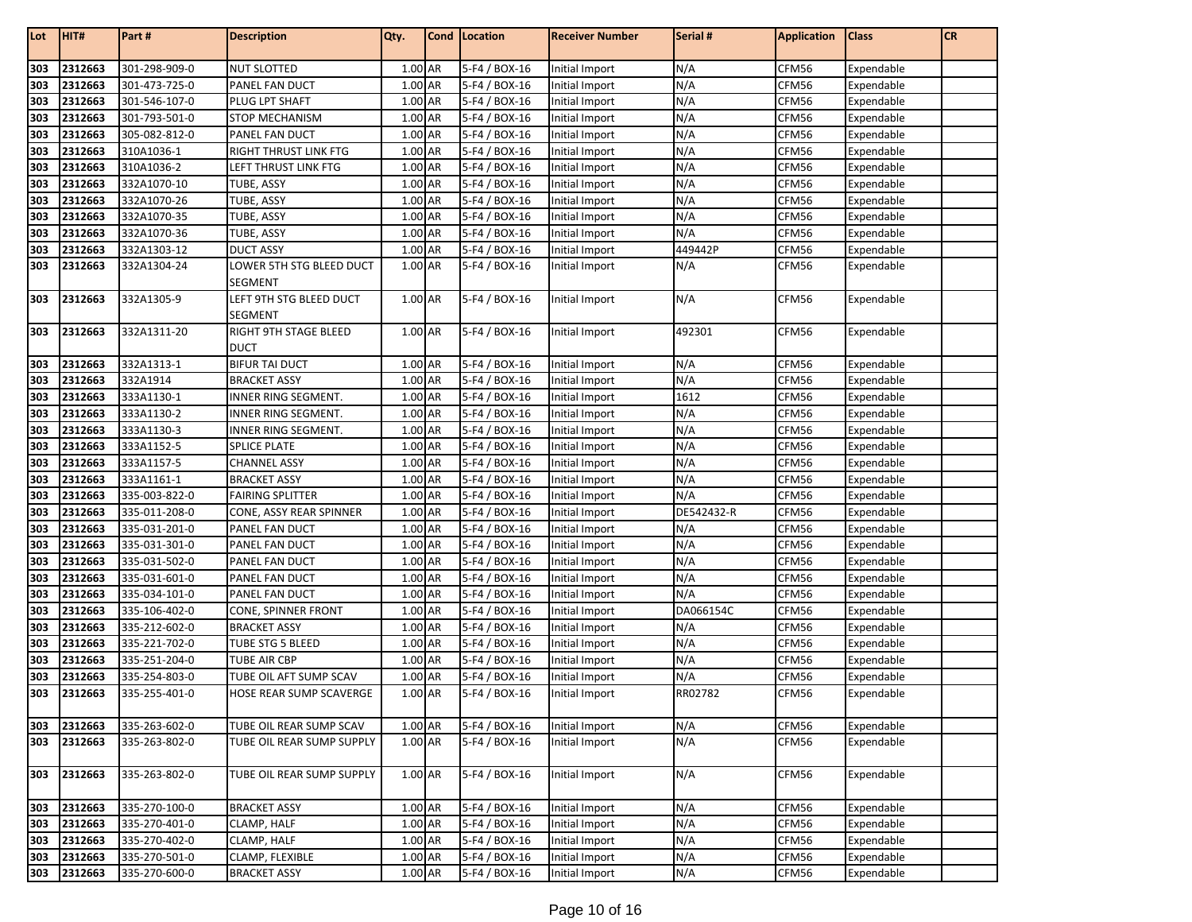| Lot | HIT#    | Part #        | <b>Description</b>                   | Qty.    | Cond   Location | <b>Receiver Number</b> | Serial #   | <b>Application</b> | <b>Class</b> | <b>CR</b> |
|-----|---------|---------------|--------------------------------------|---------|-----------------|------------------------|------------|--------------------|--------------|-----------|
| 303 | 2312663 | 301-298-909-0 | <b>NUT SLOTTED</b>                   | 1.00 AR | 5-F4 / BOX-16   | Initial Import         | N/A        | CFM56              | Expendable   |           |
| 303 | 2312663 | 301-473-725-0 | PANEL FAN DUCT                       | 1.00 AR | 5-F4 / BOX-16   | Initial Import         | N/A        | CFM56              | Expendable   |           |
| 303 | 2312663 | 301-546-107-0 | PLUG LPT SHAFT                       | 1.00 AR | 5-F4 / BOX-16   | Initial Import         | N/A        | CFM56              | Expendable   |           |
| 303 | 2312663 | 301-793-501-0 | <b>STOP MECHANISM</b>                | 1.00 AR | 5-F4 / BOX-16   | Initial Import         | N/A        | CFM56              | Expendable   |           |
| 303 | 2312663 | 305-082-812-0 | PANEL FAN DUCT                       | 1.00 AR | 5-F4 / BOX-16   | Initial Import         | N/A        | CFM56              | Expendable   |           |
| 303 | 2312663 | 310A1036-1    | <b>RIGHT THRUST LINK FTG</b>         | 1.00 AR | 5-F4 / BOX-16   | Initial Import         | N/A        | CFM56              | Expendable   |           |
| 303 | 2312663 | 310A1036-2    | LEFT THRUST LINK FTG                 | 1.00 AR | 5-F4 / BOX-16   | Initial Import         | N/A        | CFM56              | Expendable   |           |
| 303 | 2312663 | 332A1070-10   | TUBE, ASSY                           | 1.00 AR | 5-F4 / BOX-16   | Initial Import         | N/A        | CFM56              | Expendable   |           |
| 303 | 2312663 | 332A1070-26   | TUBE, ASSY                           | 1.00 AR | 5-F4 / BOX-16   | Initial Import         | N/A        | CFM56              | Expendable   |           |
| 303 | 2312663 | 332A1070-35   | TUBE, ASSY                           | 1.00 AR | 5-F4 / BOX-16   | Initial Import         | N/A        | CFM56              | Expendable   |           |
| 303 | 2312663 | 332A1070-36   | <b>TUBE, ASSY</b>                    | 1.00 AR | 5-F4 / BOX-16   | Initial Import         | N/A        | CFM56              | Expendable   |           |
| 303 | 2312663 | 332A1303-12   | <b>DUCT ASSY</b>                     | 1.00 AR | 5-F4 / BOX-16   | Initial Import         | 449442P    | CFM56              | Expendable   |           |
| 303 | 2312663 | 332A1304-24   | LOWER 5TH STG BLEED DUCT             | 1.00 AR | 5-F4 / BOX-16   | Initial Import         | N/A        | CFM56              | Expendable   |           |
|     |         |               | <b>SEGMENT</b>                       |         |                 |                        |            |                    |              |           |
| 303 | 2312663 | 332A1305-9    | LEFT 9TH STG BLEED DUCT              | 1.00 AR | 5-F4 / BOX-16   | Initial Import         | N/A        | CFM56              | Expendable   |           |
|     |         |               | <b>SEGMENT</b>                       |         |                 |                        |            |                    |              |           |
| 303 | 2312663 | 332A1311-20   | RIGHT 9TH STAGE BLEED<br><b>DUCT</b> | 1.00 AR | 5-F4 / BOX-16   | Initial Import         | 492301     | CFM56              | Expendable   |           |
| 303 | 2312663 | 332A1313-1    | <b>BIFUR TAI DUCT</b>                | 1.00 AR | 5-F4 / BOX-16   | Initial Import         | N/A        | CFM56              | Expendable   |           |
| 303 | 2312663 | 332A1914      | <b>BRACKET ASSY</b>                  | 1.00 AR | 5-F4 / BOX-16   | Initial Import         | N/A        | CFM56              | Expendable   |           |
| 303 | 2312663 | 333A1130-1    | INNER RING SEGMENT.                  | 1.00 AR | 5-F4 / BOX-16   | Initial Import         | 1612       | CFM56              | Expendable   |           |
| 303 | 2312663 | 333A1130-2    | INNER RING SEGMENT.                  | 1.00 AR | 5-F4 / BOX-16   | Initial Import         | N/A        | CFM56              | Expendable   |           |
| 303 | 2312663 | 333A1130-3    | INNER RING SEGMENT.                  | 1.00 AR | 5-F4 / BOX-16   | Initial Import         | N/A        | CFM56              | Expendable   |           |
| 303 | 2312663 | 333A1152-5    | <b>SPLICE PLATE</b>                  | 1.00 AR | 5-F4 / BOX-16   | Initial Import         | N/A        | CFM56              | Expendable   |           |
| 303 | 2312663 | 333A1157-5    | <b>CHANNEL ASSY</b>                  | 1.00 AR | 5-F4 / BOX-16   | Initial Import         | N/A        | CFM56              | Expendable   |           |
| 303 | 2312663 | 333A1161-1    | <b>BRACKET ASSY</b>                  | 1.00 AR | 5-F4 / BOX-16   | Initial Import         | N/A        | CFM56              | Expendable   |           |
| 303 | 2312663 | 335-003-822-0 | <b>FAIRING SPLITTER</b>              | 1.00 AR | 5-F4 / BOX-16   | Initial Import         | N/A        | CFM56              | Expendable   |           |
| 303 | 2312663 | 335-011-208-0 | CONE, ASSY REAR SPINNER              | 1.00 AR | 5-F4 / BOX-16   | Initial Import         | DE542432-R | CFM56              | Expendable   |           |
| 303 | 2312663 | 335-031-201-0 | PANEL FAN DUCT                       | 1.00 AR | 5-F4 / BOX-16   | Initial Import         | N/A        | CFM56              | Expendable   |           |
| 303 | 2312663 | 335-031-301-0 | PANEL FAN DUCT                       | 1.00 AR | 5-F4 / BOX-16   | Initial Import         | N/A        | CFM56              | Expendable   |           |
| 303 | 2312663 | 335-031-502-0 | PANEL FAN DUCT                       | 1.00 AR | 5-F4 / BOX-16   | Initial Import         | N/A        | CFM56              | Expendable   |           |
| 303 | 2312663 | 335-031-601-0 | PANEL FAN DUCT                       | 1.00 AR | 5-F4 / BOX-16   | Initial Import         | N/A        | CFM56              | Expendable   |           |
| 303 | 2312663 | 335-034-101-0 | PANEL FAN DUCT                       | 1.00 AR | 5-F4 / BOX-16   | Initial Import         | N/A        | CFM56              | Expendable   |           |
| 303 | 2312663 | 335-106-402-0 | CONE, SPINNER FRONT                  | 1.00 AR | 5-F4 / BOX-16   | Initial Import         | DA066154C  | CFM56              | Expendable   |           |
| 303 | 2312663 | 335-212-602-0 | <b>BRACKET ASSY</b>                  | 1.00 AR | 5-F4 / BOX-16   | Initial Import         | N/A        | CFM56              | Expendable   |           |
| 303 | 2312663 | 335-221-702-0 | TUBE STG 5 BLEED                     | 1.00 AR | 5-F4 / BOX-16   | Initial Import         | N/A        | CFM56              | Expendable   |           |
| 303 | 2312663 | 335-251-204-0 | TUBE AIR CBP                         | 1.00 AR | 5-F4 / BOX-16   | Initial Import         | N/A        | CFM56              | Expendable   |           |
| 303 | 2312663 | 335-254-803-0 | TUBE OIL AFT SUMP SCAV               | 1.00 AR | 5-F4 / BOX-16   | Initial Import         | N/A        | CFM56              | Expendable   |           |
| 303 | 2312663 | 335-255-401-0 | HOSE REAR SUMP SCAVERGE              | 1.00 AR | 5-F4 / BOX-16   | Initial Import         | RR02782    | CFM56              | Expendable   |           |
| 303 | 2312663 | 335-263-602-0 | TUBE OIL REAR SUMP SCAV              | 1.00 AR | 5-F4 / BOX-16   | Initial Import         | N/A        | CFM56              | Expendable   |           |
| 303 | 2312663 | 335-263-802-0 | TUBE OIL REAR SUMP SUPPLY            | 1.00 AR | 5-F4 / BOX-16   | Initial Import         | N/A        | CFM56              | Expendable   |           |
| 303 | 2312663 | 335-263-802-0 | TUBE OIL REAR SUMP SUPPLY            | 1.00 AR | 5-F4 / BOX-16   | Initial Import         | N/A        | CFM56              | Expendable   |           |
| 303 | 2312663 | 335-270-100-0 | <b>BRACKET ASSY</b>                  | 1.00 AR | 5-F4 / BOX-16   | Initial Import         | N/A        | CFM56              | Expendable   |           |
| 303 | 2312663 | 335-270-401-0 | CLAMP, HALF                          | 1.00 AR | 5-F4 / BOX-16   | Initial Import         | N/A        | CFM56              | Expendable   |           |
| 303 | 2312663 | 335-270-402-0 | CLAMP, HALF                          | 1.00 AR | 5-F4 / BOX-16   | Initial Import         | N/A        | CFM56              | Expendable   |           |
| 303 | 2312663 | 335-270-501-0 | CLAMP, FLEXIBLE                      | 1.00 AR | 5-F4 / BOX-16   | Initial Import         | N/A        | CFM56              | Expendable   |           |
| 303 | 2312663 | 335-270-600-0 | <b>BRACKET ASSY</b>                  | 1.00 AR | 5-F4 / BOX-16   | Initial Import         | N/A        | CFM56              | Expendable   |           |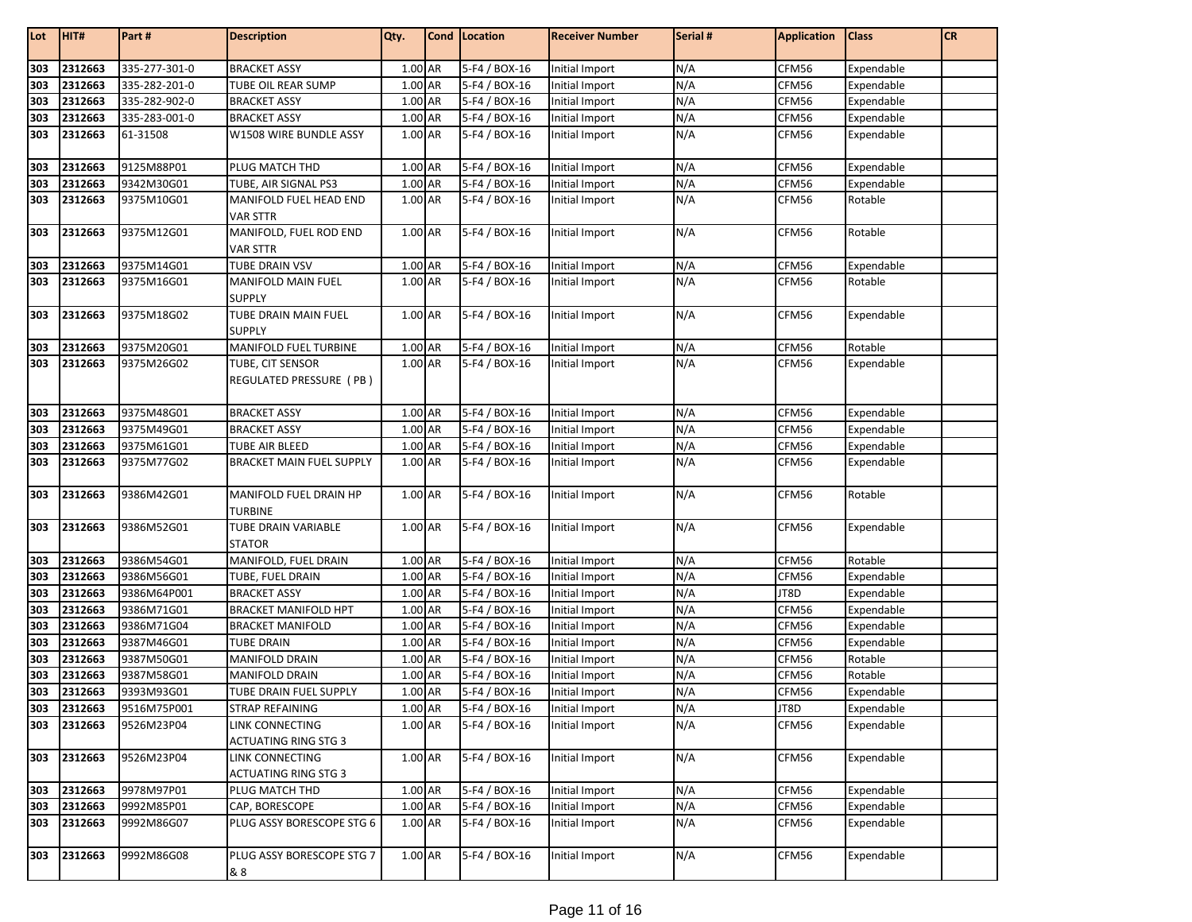| Lot | HIT#        | Part#         | <b>Description</b>                                    | Qty.      | Cond Location | <b>Receiver Number</b> | Serial # | <b>Application</b> | <b>Class</b> | <b>CR</b> |
|-----|-------------|---------------|-------------------------------------------------------|-----------|---------------|------------------------|----------|--------------------|--------------|-----------|
|     |             |               |                                                       |           |               |                        |          |                    |              |           |
| 303 | 2312663     | 335-277-301-0 | <b>BRACKET ASSY</b>                                   | 1.00 AR   | 5-F4 / BOX-16 | Initial Import         | N/A      | CFM56              | Expendable   |           |
| 303 | 2312663     | 335-282-201-0 | TUBE OIL REAR SUMP                                    | 1.00 AR   | 5-F4 / BOX-16 | Initial Import         | N/A      | CFM56              | Expendable   |           |
| 303 | 2312663     | 335-282-902-0 | <b>BRACKET ASSY</b>                                   | 1.00 AR   | 5-F4 / BOX-16 | Initial Import         | N/A      | CFM56              | Expendable   |           |
| 303 | 2312663     | 335-283-001-0 | <b>BRACKET ASSY</b>                                   | 1.00 AR   | 5-F4 / BOX-16 | Initial Import         | N/A      | CFM56              | Expendable   |           |
| 303 | 2312663     | 61-31508      | W1508 WIRE BUNDLE ASSY                                | 1.00 AR   | 5-F4 / BOX-16 | Initial Import         | N/A      | CFM56              | Expendable   |           |
| 303 | 2312663     | 9125M88P01    | PLUG MATCH THD                                        | 1.00 AR   | 5-F4 / BOX-16 | Initial Import         | N/A      | CFM56              | Expendable   |           |
| 303 | 2312663     | 9342M30G01    | TUBE, AIR SIGNAL PS3                                  | 1.00 AR   | 5-F4 / BOX-16 | Initial Import         | N/A      | CFM56              | Expendable   |           |
| 303 | 2312663     | 9375M10G01    | MANIFOLD FUEL HEAD END<br><b>VAR STTR</b>             | 1.00 AR   | 5-F4 / BOX-16 | Initial Import         | N/A      | CFM56              | Rotable      |           |
| 303 | 2312663     | 9375M12G01    | MANIFOLD, FUEL ROD END<br><b>VAR STTR</b>             | 1.00 AR   | 5-F4 / BOX-16 | Initial Import         | N/A      | CFM56              | Rotable      |           |
| 303 | 2312663     | 9375M14G01    | <b>TUBE DRAIN VSV</b>                                 | 1.00 AR   | 5-F4 / BOX-16 | Initial Import         | N/A      | CFM56              | Expendable   |           |
| 303 | 2312663     | 9375M16G01    | <b>MANIFOLD MAIN FUEL</b><br><b>SUPPLY</b>            | 1.00 AR   | 5-F4 / BOX-16 | Initial Import         | N/A      | CFM56              | Rotable      |           |
| 303 | 2312663     | 9375M18G02    | TUBE DRAIN MAIN FUEL<br><b>SUPPLY</b>                 | 1.00 AR   | 5-F4 / BOX-16 | Initial Import         | N/A      | CFM56              | Expendable   |           |
| 303 | 2312663     | 9375M20G01    | MANIFOLD FUEL TURBINE                                 | 1.00 AR   | 5-F4 / BOX-16 | Initial Import         | N/A      | CFM56              | Rotable      |           |
| 303 | 2312663     | 9375M26G02    | TUBE, CIT SENSOR<br>REGULATED PRESSURE (PB)           | 1.00 AR   | 5-F4 / BOX-16 | Initial Import         | N/A      | CFM56              | Expendable   |           |
| 303 | 2312663     | 9375M48G01    | <b>BRACKET ASSY</b>                                   | 1.00 AR   | 5-F4 / BOX-16 | Initial Import         | N/A      | CFM56              | Expendable   |           |
| 303 | 2312663     | 9375M49G01    | <b>BRACKET ASSY</b>                                   | 1.00 AR   | 5-F4 / BOX-16 | Initial Import         | N/A      | CFM56              | Expendable   |           |
| 303 | 2312663     | 9375M61G01    | <b>TUBE AIR BLEED</b>                                 | 1.00 AR   | 5-F4 / BOX-16 | Initial Import         | N/A      | CFM56              | Expendable   |           |
| 303 | 2312663     | 9375M77G02    | <b>BRACKET MAIN FUEL SUPPLY</b>                       | 1.00 AR   | 5-F4 / BOX-16 | Initial Import         | N/A      | CFM56              | Expendable   |           |
| 303 | 2312663     | 9386M42G01    | MANIFOLD FUEL DRAIN HP<br><b>TURBINE</b>              | 1.00 AR   | 5-F4 / BOX-16 | Initial Import         | N/A      | CFM56              | Rotable      |           |
| 303 | 2312663     | 9386M52G01    | TUBE DRAIN VARIABLE<br><b>STATOR</b>                  | 1.00 AR   | 5-F4 / BOX-16 | Initial Import         | N/A      | CFM56              | Expendable   |           |
| 303 | 2312663     | 9386M54G01    | MANIFOLD, FUEL DRAIN                                  | 1.00 AR   | 5-F4 / BOX-16 | Initial Import         | N/A      | CFM56              | Rotable      |           |
| 303 | 2312663     | 9386M56G01    | TUBE, FUEL DRAIN                                      | 1.00 AR   | 5-F4 / BOX-16 | Initial Import         | N/A      | CFM56              | Expendable   |           |
| 303 | 2312663     | 9386M64P001   | <b>BRACKET ASSY</b>                                   | $1.00$ AR | 5-F4 / BOX-16 | Initial Import         | N/A      | JT8D               | Expendable   |           |
| 303 | 2312663     | 9386M71G01    | <b>BRACKET MANIFOLD HPT</b>                           | 1.00 AR   | 5-F4 / BOX-16 | Initial Import         | N/A      | CFM56              | Expendable   |           |
| 303 | 2312663     | 9386M71G04    | <b>BRACKET MANIFOLD</b>                               | 1.00 AR   | 5-F4 / BOX-16 | Initial Import         | N/A      | CFM56              | Expendable   |           |
| 303 | 2312663     | 9387M46G01    | <b>TUBE DRAIN</b>                                     | 1.00 AR   | 5-F4 / BOX-16 | Initial Import         | N/A      | CFM56              | Expendable   |           |
| 303 | 2312663     | 9387M50G01    | <b>MANIFOLD DRAIN</b>                                 | 1.00 AR   | 5-F4 / BOX-16 | Initial Import         | N/A      | CFM56              | Rotable      |           |
| 303 | 2312663     | 9387M58G01    | <b>MANIFOLD DRAIN</b>                                 | 1.00 AR   | 5-F4 / BOX-16 | Initial Import         | N/A      | CFM56              | Rotable      |           |
| 303 | 2312663     | 9393M93G01    | TUBE DRAIN FUEL SUPPLY                                | 1.00 AR   | 5-F4 / BOX-16 | Initial Import         | N/A      | CFM56              | Expendable   |           |
|     | 303 2312663 | 9516M75P001   | <b>STRAP REFAINING</b>                                | 1.00 AR   | 5-F4 / BOX-16 | Initial Import         | N/A      | JT8D               | Expendable   |           |
| 303 | 2312663     | 9526M23P04    | LINK CONNECTING<br><b>ACTUATING RING STG 3</b>        | 1.00 AR   | 5-F4 / BOX-16 | Initial Import         | N/A      | CFM56              | Expendable   |           |
| 303 | 2312663     | 9526M23P04    | <b>LINK CONNECTING</b><br><b>ACTUATING RING STG 3</b> | 1.00 AR   | 5-F4 / BOX-16 | Initial Import         | N/A      | CFM56              | Expendable   |           |
| 303 | 2312663     | 9978M97P01    | PLUG MATCH THD                                        | 1.00 AR   | 5-F4 / BOX-16 | Initial Import         | N/A      | CFM56              | Expendable   |           |
| 303 | 2312663     | 9992M85P01    | CAP, BORESCOPE                                        | 1.00 AR   | 5-F4 / BOX-16 | Initial Import         | N/A      | CFM56              | Expendable   |           |
| 303 | 2312663     | 9992M86G07    | PLUG ASSY BORESCOPE STG 6                             | 1.00 AR   | 5-F4 / BOX-16 | Initial Import         | N/A      | CFM56              | Expendable   |           |
| 303 | 2312663     | 9992M86G08    | PLUG ASSY BORESCOPE STG 7<br>& 8                      | 1.00 AR   | 5-F4 / BOX-16 | Initial Import         | N/A      | CFM56              | Expendable   |           |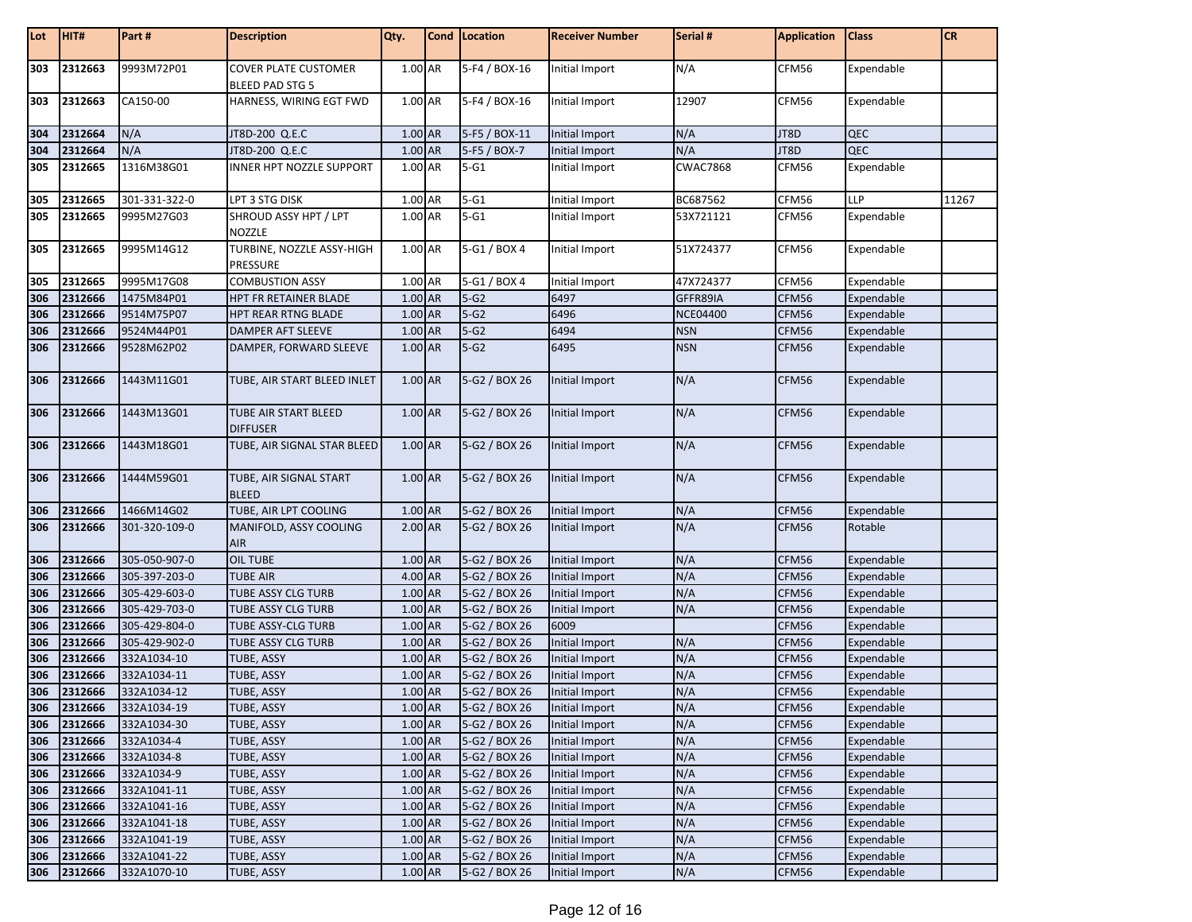| Lot | HIT#    | Part#         | <b>Description</b>                                    | Qty.    | Cond   Location   | <b>Receiver Number</b> | Serial #        | <b>Application</b> | <b>Class</b> | <b>CR</b> |
|-----|---------|---------------|-------------------------------------------------------|---------|-------------------|------------------------|-----------------|--------------------|--------------|-----------|
| 303 | 2312663 | 9993M72P01    | <b>COVER PLATE CUSTOMER</b><br><b>BLEED PAD STG 5</b> | 1.00 AR | 5-F4 / BOX-16     | Initial Import         | N/A             | CFM56              | Expendable   |           |
| 303 | 2312663 | CA150-00      | HARNESS, WIRING EGT FWD                               | 1.00 AR | 5-F4 / BOX-16     | Initial Import         | 12907           | CFM56              | Expendable   |           |
| 304 | 2312664 | N/A           | JT8D-200 Q.E.C                                        | 1.00 AR | 5-F5 / BOX-11     | Initial Import         | N/A             | JT8D               | QEC          |           |
| 304 | 2312664 | N/A           | JT8D-200 Q.E.C                                        | 1.00 AR | 5-F5 / BOX-7      | <b>Initial Import</b>  | N/A             | JT8D               | QEC          |           |
| 305 | 2312665 | 1316M38G01    | INNER HPT NOZZLE SUPPORT                              | 1.00 AR | $5-G1$            | Initial Import         | <b>CWAC7868</b> | CFM56              | Expendable   |           |
| 305 | 2312665 | 301-331-322-0 | LPT 3 STG DISK                                        | 1.00 AR | $5 - G1$          | Initial Import         | BC687562        | CFM56              | <b>LLP</b>   | 11267     |
| 305 | 2312665 | 9995M27G03    | SHROUD ASSY HPT / LPT<br><b>NOZZLE</b>                | 1.00 AR | $5 - G1$          | Initial Import         | 53X721121       | CFM56              | Expendable   |           |
| 305 | 2312665 | 9995M14G12    | TURBINE, NOZZLE ASSY-HIGH<br>PRESSURE                 | 1.00 AR | 5-G1 / BOX 4      | Initial Import         | 51X724377       | CFM56              | Expendable   |           |
| 305 | 2312665 | 9995M17G08    | <b>COMBUSTION ASSY</b>                                | 1.00 AR | 5-G1 / BOX 4      | Initial Import         | 47X724377       | CFM56              | Expendable   |           |
| 306 | 2312666 | 1475M84P01    | HPT FR RETAINER BLADE                                 | 1.00 AR | $5-G2$            | 6497                   | GFFR89IA        | CFM56              | Expendable   |           |
| 306 | 2312666 | 9514M75P07    | HPT REAR RTNG BLADE                                   | 1.00 AR | $5-G2$            | 6496                   | <b>NCE04400</b> | CFM56              | Expendable   |           |
| 306 | 2312666 | 9524M44P01    | DAMPER AFT SLEEVE                                     | 1.00 AR | $5-G2$            | 6494                   | <b>NSN</b>      | CFM56              | Expendable   |           |
| 306 | 2312666 | 9528M62P02    | DAMPER, FORWARD SLEEVE                                | 1.00 AR | $5-G2$            | 6495                   | <b>NSN</b>      | CFM56              | Expendable   |           |
| 306 | 2312666 | 1443M11G01    | TUBE, AIR START BLEED INLET                           | 1.00 AR | 5-G2 / BOX 26     | Initial Import         | N/A             | CFM56              | Expendable   |           |
| 306 | 2312666 | 1443M13G01    | TUBE AIR START BLEED<br><b>DIFFUSER</b>               | 1.00 AR | 5-G2 / BOX 26     | Initial Import         | N/A             | CFM56              | Expendable   |           |
| 306 | 2312666 | 1443M18G01    | TUBE, AIR SIGNAL STAR BLEED                           | 1.00 AR | 5-G2 / BOX 26     | Initial Import         | N/A             | CFM56              | Expendable   |           |
| 306 | 2312666 | 1444M59G01    | TUBE, AIR SIGNAL START<br><b>BLEED</b>                | 1.00 AR | 5-G2 / BOX 26     | Initial Import         | N/A             | CFM56              | Expendable   |           |
| 306 | 2312666 | 1466M14G02    | TUBE, AIR LPT COOLING                                 | 1.00 AR | 5-G2 / BOX 26     | Initial Import         | N/A             | CFM56              | Expendable   |           |
| 306 | 2312666 | 301-320-109-0 | MANIFOLD, ASSY COOLING<br>AIR                         | 2.00 AR | 5-G2 / BOX 26     | Initial Import         | N/A             | CFM56              | Rotable      |           |
| 306 | 2312666 | 305-050-907-0 | <b>OIL TUBE</b>                                       | 1.00 AR | 5-G2 / BOX 26     | Initial Import         | N/A             | CFM56              | Expendable   |           |
| 306 | 2312666 | 305-397-203-0 | <b>TUBE AIR</b>                                       | 4.00 AR | 5-G2 / BOX 26     | Initial Import         | N/A             | CFM56              | Expendable   |           |
| 306 | 2312666 | 305-429-603-0 | TUBE ASSY CLG TURB                                    | 1.00 AR | 5-G2 / BOX 26     | Initial Import         | N/A             | CFM56              | Expendable   |           |
| 306 | 2312666 | 305-429-703-0 | TUBE ASSY CLG TURB                                    | 1.00 AR | 5-G2 / BOX 26     | Initial Import         | N/A             | CFM56              | Expendable   |           |
| 306 | 2312666 | 305-429-804-0 | <b>TUBE ASSY-CLG TURB</b>                             | 1.00 AR | 5-G2 / BOX 26     | 6009                   |                 | CFM56              | Expendable   |           |
| 306 | 2312666 | 305-429-902-0 | <b>TUBE ASSY CLG TURB</b>                             | 1.00 AR | 5-G2 / BOX 26     | Initial Import         | N/A             | CFM56              | Expendable   |           |
| 306 | 2312666 | 332A1034-10   | TUBE, ASSY                                            | 1.00 AR | 5-G2 / BOX 26     | <b>Initial Import</b>  | N/A             | CFM56              | Expendable   |           |
| 306 | 2312666 | 332A1034-11   | TUBE, ASSY                                            | 1.00 AR | 5-G2 / BOX 26     | <b>Initial Import</b>  | N/A             | CFM56              | Expendable   |           |
| 306 | 2312666 | 332A1034-12   | TUBE, ASSY                                            | 1.00 AR | 5-G2 / BOX 26     | Initial Import         | N/A             | CFM56              | Expendable   |           |
| 306 | 2312666 | 332A1034-19   | <b>TUBE, ASSY</b>                                     | 1.00 AR | $5 - G2 / BOX 26$ | Initial Import         | N/A             | CFM56              | Expendable   |           |
| 306 | 2312666 | 332A1034-30   | <b>TUBE, ASSY</b>                                     | 1.00 AR | 5-G2 / BOX 26     | Initial Import         | N/A             | CFM56              | Expendable   |           |
| 306 | 2312666 | 332A1034-4    | TUBE, ASSY                                            | 1.00 AR | 5-G2 / BOX 26     | Initial Import         | N/A             | CFM56              | Expendable   |           |
| 306 | 2312666 | 332A1034-8    | TUBE, ASSY                                            | 1.00 AR | 5-G2 / BOX 26     | Initial Import         | N/A             | CFM56              | Expendable   |           |
| 306 | 2312666 | 332A1034-9    | TUBE, ASSY                                            | 1.00 AR | 5-G2 / BOX 26     | Initial Import         | N/A             | CFM56              | Expendable   |           |
| 306 | 2312666 | 332A1041-11   | TUBE, ASSY                                            | 1.00 AR | 5-G2 / BOX 26     | Initial Import         | N/A             | CFM56              | Expendable   |           |
| 306 | 2312666 | 332A1041-16   | <b>TUBE, ASSY</b>                                     | 1.00 AR | 5-G2 / BOX 26     | Initial Import         | N/A             | CFM56              | Expendable   |           |
| 306 | 2312666 | 332A1041-18   | TUBE, ASSY                                            | 1.00 AR | 5-G2 / BOX 26     | Initial Import         | N/A             | CFM56              | Expendable   |           |
| 306 | 2312666 | 332A1041-19   | TUBE, ASSY                                            | 1.00 AR | 5-G2 / BOX 26     | <b>Initial Import</b>  | N/A             | CFM56              | Expendable   |           |
| 306 | 2312666 | 332A1041-22   | TUBE, ASSY                                            | 1.00 AR | 5-G2 / BOX 26     | <b>Initial Import</b>  | N/A             | CFM56              | Expendable   |           |
| 306 | 2312666 | 332A1070-10   | TUBE, ASSY                                            | 1.00 AR | 5-G2 / BOX 26     | Initial Import         | N/A             | CFM56              | Expendable   |           |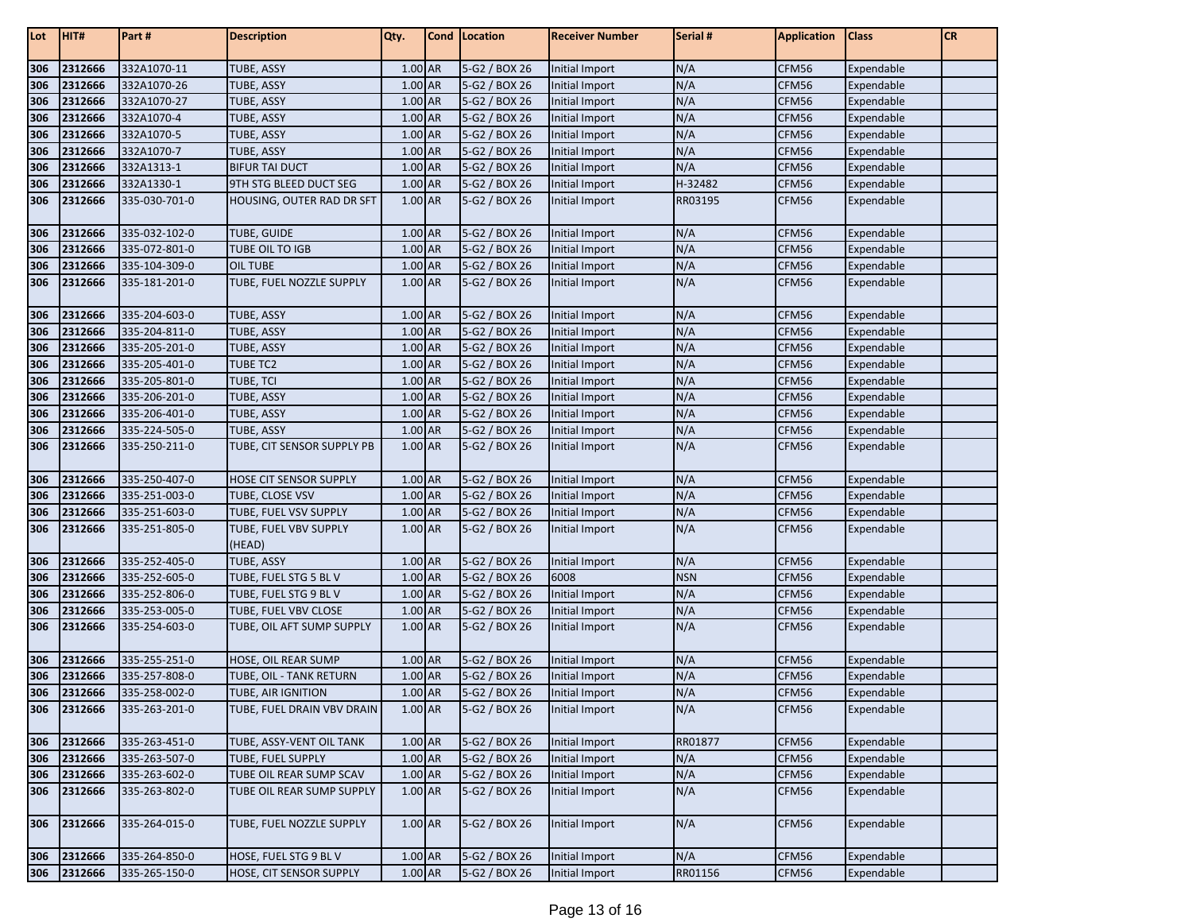| Lot | HIT#        | Part#         | <b>Description</b>              | Qty.    | Cond   Location | <b>Receiver Number</b> | Serial #   | <b>Application</b> | <b>Class</b> | <b>CR</b> |
|-----|-------------|---------------|---------------------------------|---------|-----------------|------------------------|------------|--------------------|--------------|-----------|
| 306 | 2312666     | 332A1070-11   | TUBE, ASSY                      | 1.00 AR | 5-G2 / BOX 26   | Initial Import         | N/A        | CFM56              | Expendable   |           |
| 306 | 2312666     | 332A1070-26   | TUBE, ASSY                      | 1.00 AR | 5-G2 / BOX 26   | Initial Import         | N/A        | CFM56              | Expendable   |           |
| 306 | 2312666     | 332A1070-27   | <b>TUBE, ASSY</b>               | 1.00 AR | 5-G2 / BOX 26   | Initial Import         | N/A        | CFM56              | Expendable   |           |
| 306 | 2312666     | 332A1070-4    | TUBE, ASSY                      | 1.00 AR | 5-G2 / BOX 26   | Initial Import         | N/A        | CFM56              | Expendable   |           |
| 306 | 2312666     | 332A1070-5    | <b>TUBE, ASSY</b>               | 1.00 AR | 5-G2 / BOX 26   | Initial Import         | N/A        | CFM56              | Expendable   |           |
| 306 | 2312666     | 332A1070-7    | <b>TUBE, ASSY</b>               | 1.00 AR | 5-G2 / BOX 26   | Initial Import         | N/A        | CFM56              | Expendable   |           |
| 306 | 2312666     | 332A1313-1    | <b>BIFUR TAI DUCT</b>           | 1.00 AR | 5-G2 / BOX 26   | <b>Initial Import</b>  | N/A        | CFM56              | Expendable   |           |
| 306 | 2312666     | 332A1330-1    | 9TH STG BLEED DUCT SEG          | 1.00 AR | 5-G2 / BOX 26   | Initial Import         | H-32482    | CFM56              | Expendable   |           |
| 306 | 2312666     | 335-030-701-0 | HOUSING, OUTER RAD DR SFT       | 1.00 AR | 5-G2 / BOX 26   | Initial Import         | RR03195    | CFM56              | Expendable   |           |
|     |             |               |                                 |         |                 |                        |            |                    |              |           |
| 306 | 2312666     | 335-032-102-0 | <b>TUBE, GUIDE</b>              | 1.00 AR | 5-G2 / BOX 26   | Initial Import         | N/A        | CFM56              | Expendable   |           |
| 306 | 2312666     | 335-072-801-0 | TUBE OIL TO IGB                 | 1.00 AR | 5-G2 / BOX 26   | Initial Import         | N/A        | CFM56              | Expendable   |           |
| 306 | 2312666     | 335-104-309-0 | <b>OIL TUBE</b>                 | 1.00 AR | 5-G2 / BOX 26   | Initial Import         | N/A        | CFM56              | Expendable   |           |
| 306 | 2312666     | 335-181-201-0 | TUBE, FUEL NOZZLE SUPPLY        | 1.00 AR | 5-G2 / BOX 26   | Initial Import         | N/A        | CFM56              | Expendable   |           |
| 306 | 2312666     | 335-204-603-0 | <b>TUBE, ASSY</b>               | 1.00 AR | 5-G2 / BOX 26   | Initial Import         | N/A        | CFM56              | Expendable   |           |
| 306 | 2312666     | 335-204-811-0 | <b>TUBE, ASSY</b>               | 1.00 AR | 5-G2 / BOX 26   | Initial Import         | N/A        | CFM56              | Expendable   |           |
| 306 | 2312666     | 335-205-201-0 | <b>TUBE, ASSY</b>               | 1.00 AR | 5-G2 / BOX 26   | <b>Initial Import</b>  | N/A        | CFM56              | Expendable   |           |
| 306 | 2312666     | 335-205-401-0 | <b>TUBE TC2</b>                 | 1.00 AR | 5-G2 / BOX 26   | <b>Initial Import</b>  | N/A        | CFM56              | Expendable   |           |
| 306 | 2312666     | 335-205-801-0 | TUBE, TCI                       | 1.00 AR | 5-G2 / BOX 26   | Initial Import         | N/A        | CFM56              | Expendable   |           |
| 306 | 2312666     | 335-206-201-0 | TUBE, ASSY                      | 1.00 AR | 5-G2 / BOX 26   | Initial Import         | N/A        | CFM56              | Expendable   |           |
| 306 | 2312666     | 335-206-401-0 | TUBE, ASSY                      | 1.00 AR | 5-G2 / BOX 26   | Initial Import         | N/A        | CFM56              | Expendable   |           |
| 306 | 2312666     | 335-224-505-0 | <b>TUBE, ASSY</b>               | 1.00 AR | 5-G2 / BOX 26   | Initial Import         | N/A        | CFM56              | Expendable   |           |
| 306 | 2312666     | 335-250-211-0 | TUBE, CIT SENSOR SUPPLY PB      | 1.00 AR | 5-G2 / BOX 26   | Initial Import         | N/A        | CFM56              | Expendable   |           |
| 306 | 2312666     | 335-250-407-0 | HOSE CIT SENSOR SUPPLY          | 1.00 AR | 5-G2 / BOX 26   | Initial Import         | N/A        | CFM56              | Expendable   |           |
| 306 | 2312666     | 335-251-003-0 | TUBE, CLOSE VSV                 | 1.00 AR | 5-G2 / BOX 26   | Initial Import         | N/A        | CFM56              | Expendable   |           |
| 306 | 2312666     | 335-251-603-0 | TUBE, FUEL VSV SUPPLY           | 1.00 AR | 5-G2 / BOX 26   | <b>Initial Import</b>  | N/A        | CFM56              | Expendable   |           |
| 306 | 2312666     | 335-251-805-0 | TUBE, FUEL VBV SUPPLY<br>(HEAD) | 1.00 AR | 5-G2 / BOX 26   | Initial Import         | N/A        | CFM56              | Expendable   |           |
| 306 | 2312666     | 335-252-405-0 | <b>TUBE, ASSY</b>               | 1.00 AR | 5-G2 / BOX 26   | Initial Import         | N/A        | CFM56              | Expendable   |           |
| 306 | 2312666     | 335-252-605-0 | TUBE, FUEL STG 5 BLV            | 1.00 AR | 5-G2 / BOX 26   | 6008                   | <b>NSN</b> | CFM56              | Expendable   |           |
| 306 | 2312666     | 335-252-806-0 | TUBE, FUEL STG 9 BLV            | 1.00 AR | 5-G2 / BOX 26   | Initial Import         | N/A        | CFM56              | Expendable   |           |
| 306 | 2312666     | 335-253-005-0 | TUBE, FUEL VBV CLOSE            | 1.00 AR | 5-G2 / BOX 26   | Initial Import         | N/A        | CFM56              | Expendable   |           |
| 306 | 2312666     | 335-254-603-0 | TUBE, OIL AFT SUMP SUPPLY       | 1.00 AR | 5-G2 / BOX 26   | Initial Import         | N/A        | CFM56              | Expendable   |           |
| 306 | 2312666     | 335-255-251-0 | HOSE, OIL REAR SUMP             | 1.00 AR | 5-G2 / BOX 26   | Initial Import         | N/A        | CFM56              | Expendable   |           |
| 306 | 2312666     | 335-257-808-0 | TUBE, OIL - TANK RETURN         | 1.00 AR | 5-G2 / BOX 26   | Initial Import         | N/A        | CFM56              | Expendable   |           |
| 306 | 2312666     | 335-258-002-0 | TUBE, AIR IGNITION              | 1.00 AR | 5-G2 / BOX 26   | Initial Import         | N/A        | CFM56              | Expendable   |           |
| 306 | 2312666     | 335-263-201-0 | TUBE, FUEL DRAIN VBV DRAIN      | 1.00 AR | 5-G2 / BOX 26   | Initial Import         | N/A        | CFM56              | Expendable   |           |
| 306 | 2312666     | 335-263-451-0 | TUBE, ASSY-VENT OIL TANK        | 1.00 AR | 5-G2 / BOX 26   | Initial Import         | RR01877    | CFM56              | Expendable   |           |
| 306 | 2312666     | 335-263-507-0 | TUBE, FUEL SUPPLY               | 1.00 AR | 5-G2 / BOX 26   | Initial Import         | N/A        | CFM56              | Expendable   |           |
| 306 | 2312666     | 335-263-602-0 | TUBE OIL REAR SUMP SCAV         | 1.00 AR | 5-G2 / BOX 26   | Initial Import         | N/A        | CFM56              | Expendable   |           |
| 306 | 2312666     | 335-263-802-0 | TUBE OIL REAR SUMP SUPPLY       | 1.00 AR | 5-G2 / BOX 26   | Initial Import         | N/A        | CFM56              | Expendable   |           |
| 306 | 2312666     | 335-264-015-0 | TUBE, FUEL NOZZLE SUPPLY        | 1.00 AR | 5-G2 / BOX 26   | Initial Import         | N/A        | CFM56              | Expendable   |           |
| 306 | 2312666     | 335-264-850-0 | HOSE, FUEL STG 9 BLV            | 1.00 AR | 5-G2 / BOX 26   | Initial Import         | N/A        | CFM56              | Expendable   |           |
|     | 306 2312666 | 335-265-150-0 | HOSE, CIT SENSOR SUPPLY         | 1.00 AR | 5-G2 / BOX 26   | Initial Import         | RR01156    | CFM56              | Expendable   |           |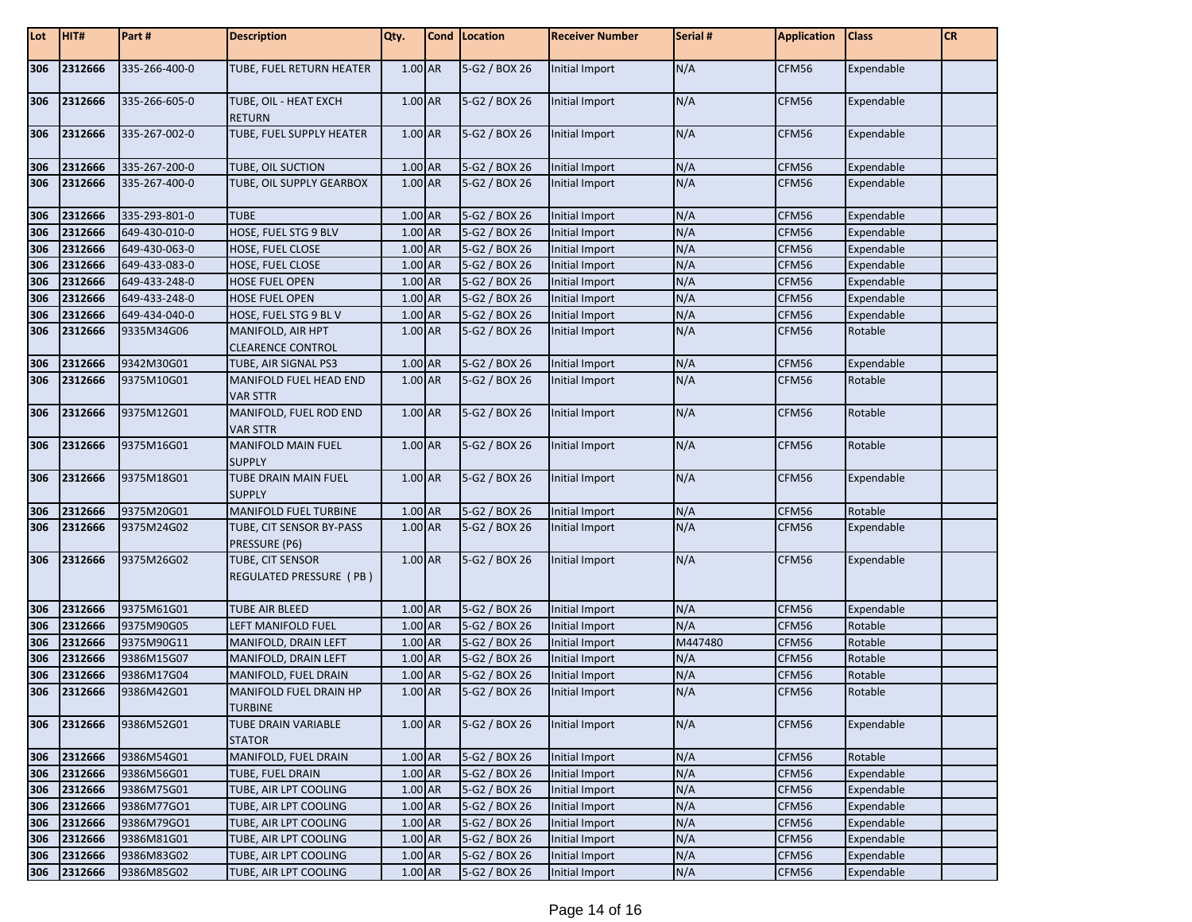| Lot | HIT#    | Part#         | <b>Description</b>                            | Qty.    | Cond   Location | <b>Receiver Number</b> | Serial # | <b>Application</b> | <b>Class</b> | <b>CR</b> |
|-----|---------|---------------|-----------------------------------------------|---------|-----------------|------------------------|----------|--------------------|--------------|-----------|
| 306 | 2312666 | 335-266-400-0 | TUBE, FUEL RETURN HEATER                      | 1.00 AR | 5-G2 / BOX 26   | Initial Import         | N/A      | CFM56              | Expendable   |           |
| 306 | 2312666 | 335-266-605-0 | TUBE, OIL - HEAT EXCH<br><b>RETURN</b>        | 1.00 AR | 5-G2 / BOX 26   | Initial Import         | N/A      | CFM56              | Expendable   |           |
| 306 | 2312666 | 335-267-002-0 | TUBE, FUEL SUPPLY HEATER                      | 1.00 AR | 5-G2 / BOX 26   | Initial Import         | N/A      | CFM56              | Expendable   |           |
| 306 | 2312666 | 335-267-200-0 | TUBE, OIL SUCTION                             | 1.00 AR | 5-G2 / BOX 26   | Initial Import         | N/A      | CFM56              | Expendable   |           |
| 306 | 2312666 | 335-267-400-0 | TUBE, OIL SUPPLY GEARBOX                      | 1.00 AR | 5-G2 / BOX 26   | Initial Import         | N/A      | CFM56              | Expendable   |           |
| 306 | 2312666 | 335-293-801-0 | <b>TUBE</b>                                   | 1.00 AR | 5-G2 / BOX 26   | Initial Import         | N/A      | CFM56              | Expendable   |           |
| 306 | 2312666 | 649-430-010-0 | HOSE, FUEL STG 9 BLV                          | 1.00 AR | 5-G2 / BOX 26   | Initial Import         | N/A      | CFM56              | Expendable   |           |
| 306 | 2312666 | 649-430-063-0 | HOSE, FUEL CLOSE                              | 1.00 AR | 5-G2 / BOX 26   | <b>Initial Import</b>  | N/A      | CFM56              | Expendable   |           |
| 306 | 2312666 | 649-433-083-0 | HOSE, FUEL CLOSE                              | 1.00 AR | 5-G2 / BOX 26   | Initial Import         | N/A      | CFM56              | Expendable   |           |
| 306 | 2312666 | 649-433-248-0 | HOSE FUEL OPEN                                | 1.00 AR | 5-G2 / BOX 26   | <b>Initial Import</b>  | N/A      | CFM56              | Expendable   |           |
| 306 | 2312666 | 649-433-248-0 | <b>HOSE FUEL OPEN</b>                         | 1.00 AR | 5-G2 / BOX 26   | Initial Import         | N/A      | CFM56              | Expendable   |           |
| 306 | 2312666 | 649-434-040-0 | HOSE, FUEL STG 9 BL V                         | 1.00 AR | 5-G2 / BOX 26   | Initial Import         | N/A      | CFM56              | Expendable   |           |
| 306 | 2312666 | 9335M34G06    | MANIFOLD, AIR HPT<br><b>CLEARENCE CONTROL</b> | 1.00 AR | 5-G2 / BOX 26   | Initial Import         | N/A      | CFM56              | Rotable      |           |
| 306 | 2312666 | 9342M30G01    | TUBE, AIR SIGNAL PS3                          | 1.00 AR | 5-G2 / BOX 26   | Initial Import         | N/A      | CFM56              | Expendable   |           |
| 306 | 2312666 | 9375M10G01    | MANIFOLD FUEL HEAD END<br><b>VAR STTR</b>     | 1.00 AR | 5-G2 / BOX 26   | Initial Import         | N/A      | CFM56              | Rotable      |           |
| 306 | 2312666 | 9375M12G01    | MANIFOLD, FUEL ROD END<br><b>VAR STTR</b>     | 1.00 AR | 5-G2 / BOX 26   | Initial Import         | N/A      | CFM56              | Rotable      |           |
| 306 | 2312666 | 9375M16G01    | MANIFOLD MAIN FUEL<br><b>SUPPLY</b>           | 1.00 AR | 5-G2 / BOX 26   | Initial Import         | N/A      | CFM56              | Rotable      |           |
| 306 | 2312666 | 9375M18G01    | TUBE DRAIN MAIN FUEL<br><b>SUPPLY</b>         | 1.00 AR | 5-G2 / BOX 26   | Initial Import         | N/A      | CFM56              | Expendable   |           |
| 306 | 2312666 | 9375M20G01    | MANIFOLD FUEL TURBINE                         | 1.00 AR | 5-G2 / BOX 26   | Initial Import         | N/A      | CFM56              | Rotable      |           |
| 306 | 2312666 | 9375M24G02    | TUBE, CIT SENSOR BY-PASS<br>PRESSURE (P6)     | 1.00 AR | 5-G2 / BOX 26   | Initial Import         | N/A      | CFM56              | Expendable   |           |
| 306 | 2312666 | 9375M26G02    | TUBE, CIT SENSOR<br>REGULATED PRESSURE (PB)   | 1.00 AR | 5-G2 / BOX 26   | Initial Import         | N/A      | CFM56              | Expendable   |           |
| 306 | 2312666 | 9375M61G01    | TUBE AIR BLEED                                | 1.00 AR | 5-G2 / BOX 26   | Initial Import         | N/A      | CFM56              | Expendable   |           |
| 306 | 2312666 | 9375M90G05    | LEFT MANIFOLD FUEL                            | 1.00 AR | 5-G2 / BOX 26   | Initial Import         | N/A      | CFM56              | Rotable      |           |
| 306 | 2312666 | 9375M90G11    | MANIFOLD, DRAIN LEFT                          | 1.00 AR | 5-G2 / BOX 26   | Initial Import         | M447480  | CFM56              | Rotable      |           |
| 306 | 2312666 | 9386M15G07    | MANIFOLD, DRAIN LEFT                          | 1.00 AR | 5-G2 / BOX 26   | <b>Initial Import</b>  | N/A      | CFM56              | Rotable      |           |
| 306 | 2312666 | 9386M17G04    | MANIFOLD, FUEL DRAIN                          | 1.00 AR | 5-G2 / BOX 26   | <b>Initial Import</b>  | N/A      | CFM56              | Rotable      |           |
| 306 | 2312666 | 9386M42G01    | MANIFOLD FUEL DRAIN HP<br><b>TURBINE</b>      | 1.00 AR | 5-G2 / BOX 26   | Initial Import         | N/A      | CFM56              | Rotable      |           |
| 306 | 2312666 | 9386M52G01    | TUBE DRAIN VARIABLE<br><b>STATOR</b>          | 1.00 AR | 5-G2 / BOX 26   | Initial Import         | N/A      | CFM56              | Expendable   |           |
| 306 | 2312666 | 9386M54G01    | MANIFOLD, FUEL DRAIN                          | 1.00 AR | 5-G2 / BOX 26   | Initial Import         | N/A      | CFM56              | Rotable      |           |
| 306 | 2312666 | 9386M56G01    | TUBE, FUEL DRAIN                              | 1.00 AR | 5-G2 / BOX 26   | Initial Import         | N/A      | CFM56              | Expendable   |           |
| 306 | 2312666 | 9386M75G01    | TUBE, AIR LPT COOLING                         | 1.00 AR | 5-G2 / BOX 26   | Initial Import         | N/A      | CFM56              | Expendable   |           |
| 306 | 2312666 | 9386M77GO1    | TUBE, AIR LPT COOLING                         | 1.00 AR | 5-G2 / BOX 26   | Initial Import         | N/A      | CFM56              | Expendable   |           |
| 306 | 2312666 | 9386M79GO1    | TUBE, AIR LPT COOLING                         | 1.00 AR | 5-G2 / BOX 26   | Initial Import         | N/A      | CFM56              | Expendable   |           |
| 306 | 2312666 | 9386M81G01    | TUBE, AIR LPT COOLING                         | 1.00 AR | 5-G2 / BOX 26   | Initial Import         | N/A      | CFM56              | Expendable   |           |
| 306 | 2312666 | 9386M83G02    | TUBE, AIR LPT COOLING                         | 1.00 AR | 5-G2 / BOX 26   | <b>Initial Import</b>  | N/A      | CFM56              | Expendable   |           |
| 306 | 2312666 | 9386M85G02    | TUBE, AIR LPT COOLING                         | 1.00 AR | 5-G2 / BOX 26   | Initial Import         | N/A      | CFM56              | Expendable   |           |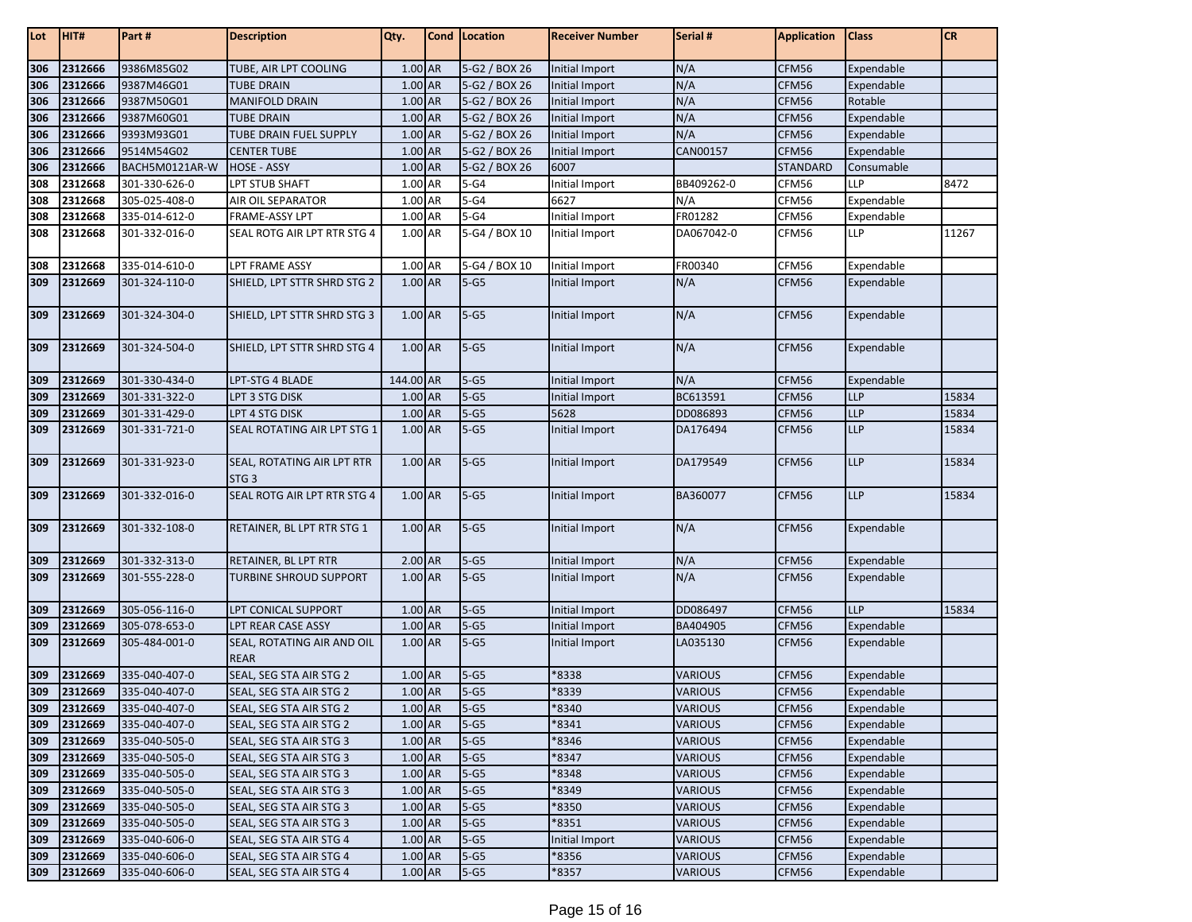| Lot | HIT#        | Part#          | <b>Description</b>                             | Qty.      | Cond   Location | <b>Receiver Number</b> | Serial #       | <b>Application</b> | <b>Class</b> | CR    |
|-----|-------------|----------------|------------------------------------------------|-----------|-----------------|------------------------|----------------|--------------------|--------------|-------|
| 306 | 2312666     | 9386M85G02     | TUBE, AIR LPT COOLING                          | $1.00$ AR | 5-G2 / BOX 26   | Initial Import         | N/A            | CFM56              | Expendable   |       |
| 306 | 2312666     | 9387M46G01     | <b>TUBE DRAIN</b>                              | 1.00 AR   | 5-G2 / BOX 26   | Initial Import         | N/A            | CFM56              | Expendable   |       |
| 306 | 2312666     | 9387M50G01     | <b>MANIFOLD DRAIN</b>                          | 1.00 AR   | 5-G2 / BOX 26   | Initial Import         | N/A            | CFM56              | Rotable      |       |
| 306 | 2312666     | 9387M60G01     | <b>TUBE DRAIN</b>                              | 1.00 AR   | 5-G2 / BOX 26   | Initial Import         | N/A            | CFM56              | Expendable   |       |
| 306 | 2312666     | 9393M93G01     | TUBE DRAIN FUEL SUPPLY                         | 1.00 AR   | 5-G2 / BOX 26   | Initial Import         | N/A            | CFM56              | Expendable   |       |
| 306 | 2312666     | 9514M54G02     | <b>CENTER TUBE</b>                             | 1.00 AR   | 5-G2 / BOX 26   | Initial Import         | CAN00157       | CFM56              | Expendable   |       |
| 306 | 2312666     | BACH5M0121AR-W | <b>HOSE - ASSY</b>                             | 1.00 AR   | 5-G2 / BOX 26   | 6007                   |                | <b>STANDARD</b>    | Consumable   |       |
| 308 | 2312668     | 301-330-626-0  | LPT STUB SHAFT                                 | 1.00 AR   | $5-G4$          | Initial Import         | BB409262-0     | CFM56              | LLP          | 8472  |
| 308 | 2312668     | 305-025-408-0  | AIR OIL SEPARATOR                              | 1.00 AR   | $5-G4$          | 6627                   | N/A            | CFM56              | Expendable   |       |
| 308 | 2312668     | 335-014-612-0  | <b>FRAME-ASSY LPT</b>                          | 1.00 AR   | $5-G4$          | Initial Import         | FR01282        | CFM56              | Expendable   |       |
| 308 | 2312668     | 301-332-016-0  | SEAL ROTG AIR LPT RTR STG 4                    | 1.00 AR   | 5-G4 / BOX 10   | Initial Import         | DA067042-0     | CFM56              | LLP          | 11267 |
|     |             |                |                                                |           |                 |                        |                |                    |              |       |
| 308 | 2312668     | 335-014-610-0  | <b>LPT FRAME ASSY</b>                          | 1.00 AR   | $5-G4/BOX10$    | Initial Import         | FR00340        | CFM56              | Expendable   |       |
| 309 | 2312669     | 301-324-110-0  | SHIELD, LPT STTR SHRD STG 2                    | 1.00 AR   | $5-G5$          | Initial Import         | N/A            | CFM56              | Expendable   |       |
| 309 | 2312669     | 301-324-304-0  | SHIELD, LPT STTR SHRD STG 3                    | 1.00 AR   | $5-G5$          | Initial Import         | N/A            | CFM56              | Expendable   |       |
| 309 | 2312669     | 301-324-504-0  | SHIELD, LPT STTR SHRD STG 4                    | 1.00 AR   | $5-G5$          | Initial Import         | N/A            | CFM56              | Expendable   |       |
| 309 | 2312669     | 301-330-434-0  | LPT-STG 4 BLADE                                | 144.00 AR | $5-G5$          | Initial Import         | N/A            | CFM56              | Expendable   |       |
| 309 | 2312669     | 301-331-322-0  | LPT 3 STG DISK                                 | 1.00 AR   | $5 - G5$        | Initial Import         | BC613591       | CFM56              | <b>LLP</b>   | 15834 |
| 309 | 2312669     | 301-331-429-0  | <b>LPT 4 STG DISK</b>                          | 1.00 AR   | $5-G5$          | 5628                   | DD086893       | CFM56              | <b>LLP</b>   | 15834 |
| 309 | 2312669     | 301-331-721-0  | SEAL ROTATING AIR LPT STG 1                    | 1.00 AR   | $5 - G5$        | Initial Import         | DA176494       | CFM56              | <b>LLP</b>   | 15834 |
| 309 | 2312669     | 301-331-923-0  | SEAL, ROTATING AIR LPT RTR<br>STG <sub>3</sub> | 1.00 AR   | $5-G5$          | Initial Import         | DA179549       | CFM56              | <b>LLP</b>   | 15834 |
| 309 | 2312669     | 301-332-016-0  | SEAL ROTG AIR LPT RTR STG 4                    | 1.00 AR   | $5 - G5$        | Initial Import         | BA360077       | CFM56              | <b>LLP</b>   | 15834 |
| 309 | 2312669     | 301-332-108-0  | RETAINER, BL LPT RTR STG 1                     | 1.00 AR   | $5 - G5$        | Initial Import         | N/A            | CFM56              | Expendable   |       |
| 309 | 2312669     | 301-332-313-0  | RETAINER, BL LPT RTR                           | 2.00 AR   | $5 - G5$        | Initial Import         | N/A            | CFM56              | Expendable   |       |
| 309 | 2312669     | 301-555-228-0  | TURBINE SHROUD SUPPORT                         | 1.00 AR   | $5 - G5$        | Initial Import         | N/A            | CFM56              | Expendable   |       |
| 309 | 2312669     | 305-056-116-0  | LPT CONICAL SUPPORT                            | $1.00$ AR | $5 - G5$        | Initial Import         | DD086497       | CFM56              | LLP          | 15834 |
| 309 | 2312669     | 305-078-653-0  | LPT REAR CASE ASSY                             | 1.00 AR   | $5 - G5$        | Initial Import         | BA404905       | CFM56              | Expendable   |       |
| 309 | 2312669     | 305-484-001-0  | SEAL, ROTATING AIR AND OIL<br><b>REAR</b>      | 1.00 AR   | $5 - G5$        | Initial Import         | LA035130       | CFM56              | Expendable   |       |
| 309 | 2312669     | 335-040-407-0  | SEAL, SEG STA AIR STG 2                        | 1.00 AR   | $5 - G5$        | *8338                  | <b>VARIOUS</b> | CFM56              | Expendable   |       |
| 309 | 2312669     | 335-040-407-0  | SEAL, SEG STA AIR STG 2                        | 1.00 AR   | $5 - G5$        | *8339                  | <b>VARIOUS</b> | CFM56              | Expendable   |       |
| 309 | 2312669     | 335-040-407-0  | SEAL, SEG STA AIR STG 2                        | 1.00 AR   | $5 - G5$        | *8340                  | <b>VARIOUS</b> | CFM56              | Expendable   |       |
| 309 | 2312669     | 335-040-407-0  | SEAL, SEG STA AIR STG 2                        | 1.00 AR   | $5 - G5$        | *8341                  | <b>VARIOUS</b> | CFM56              | Expendable   |       |
| 309 | 2312669     | 335-040-505-0  | SEAL, SEG STA AIR STG 3                        | $1.00$ AR | $5-G5$          | *8346                  | <b>VARIOUS</b> | CFM56              | Expendable   |       |
| 309 | 2312669     | 335-040-505-0  | SEAL, SEG STA AIR STG 3                        | 1.00 AR   | $5-G5$          | *8347                  | <b>VARIOUS</b> | CFM56              | Expendable   |       |
| 309 | 2312669     | 335-040-505-0  | SEAL, SEG STA AIR STG 3                        | 1.00 AR   | $5-G5$          | *8348                  | <b>VARIOUS</b> | CFM56              | Expendable   |       |
| 309 | 2312669     | 335-040-505-0  | SEAL, SEG STA AIR STG 3                        | 1.00 AR   | $5-G5$          | *8349                  | <b>VARIOUS</b> | CFM56              | Expendable   |       |
| 309 | 2312669     | 335-040-505-0  | SEAL, SEG STA AIR STG 3                        | 1.00 AR   | $5-G5$          | *8350                  | <b>VARIOUS</b> | CFM56              | Expendable   |       |
| 309 | 2312669     | 335-040-505-0  | SEAL, SEG STA AIR STG 3                        | 1.00 AR   | $5 - G5$        | *8351                  | <b>VARIOUS</b> | CFM56              | Expendable   |       |
| 309 | 2312669     | 335-040-606-0  | SEAL, SEG STA AIR STG 4                        | 1.00 AR   | $5-G5$          | Initial Import         | <b>VARIOUS</b> | CFM56              | Expendable   |       |
| 309 | 2312669     | 335-040-606-0  | SEAL, SEG STA AIR STG 4                        | 1.00 AR   | $5-G5$          | *8356                  | <b>VARIOUS</b> | CFM56              | Expendable   |       |
|     | 309 2312669 | 335-040-606-0  | SEAL, SEG STA AIR STG 4                        | 1.00 AR   | $5-65$          | *8357                  | <b>VARIOUS</b> | CFM56              | Expendable   |       |